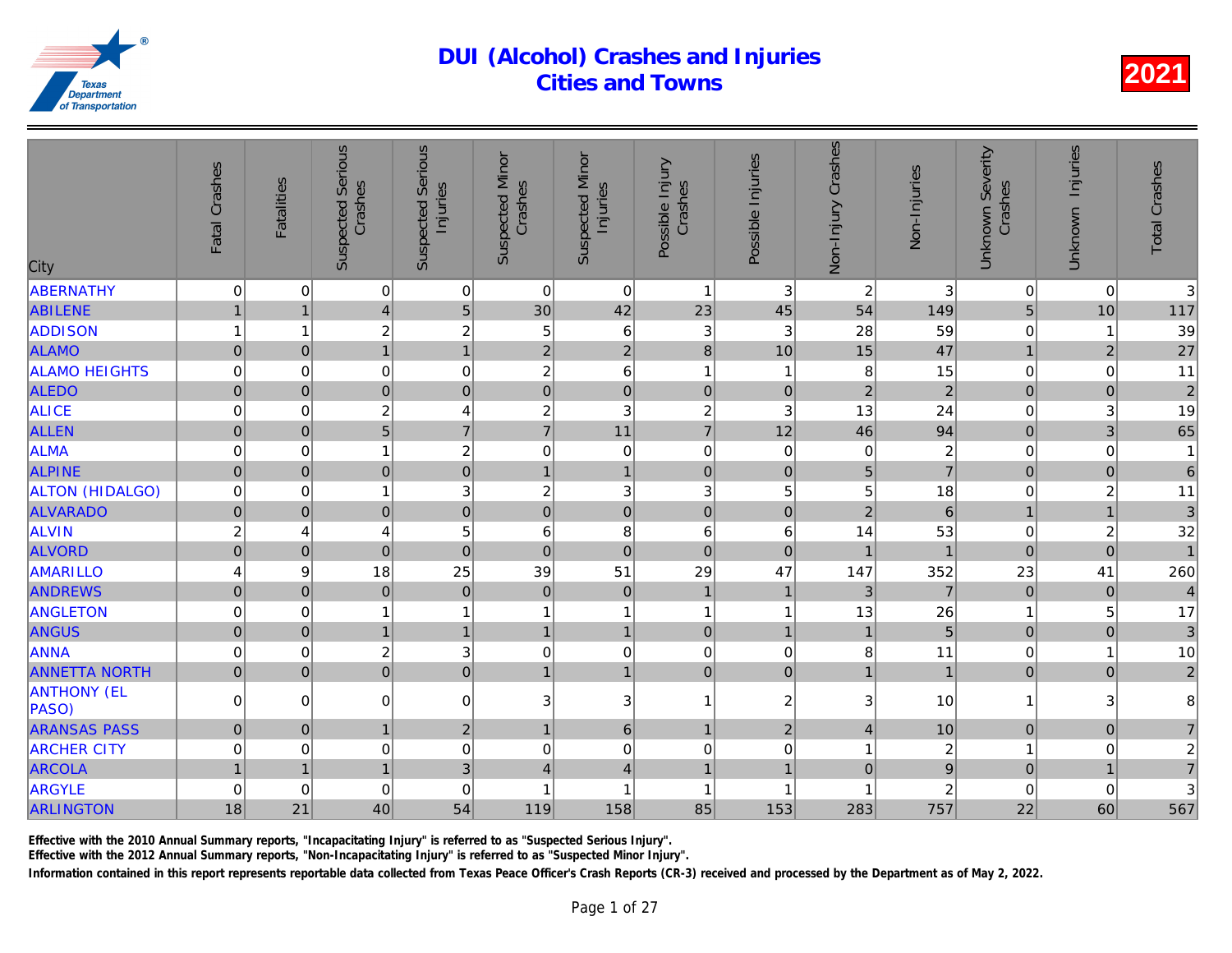| City                                | Fatal Crashes       | <b>Fatalities</b>                | <b>Suspected Serious</b><br>Crashes       | <b>Suspected Serious</b><br>Injuries | <b>Suspected Minor</b><br>Crashes | <b>Suspected Minor</b><br>Injuries | Possible Injury<br>Crashes | Possible Injuries | Non-Injury Crashes | Non-Injuries         |
|-------------------------------------|---------------------|----------------------------------|-------------------------------------------|--------------------------------------|-----------------------------------|------------------------------------|----------------------------|-------------------|--------------------|----------------------|
| <b>ABERNATHY</b>                    | 0                   | 0                                | 0                                         | $\pmb{0}$                            | $\mathsf 0$                       | 0                                  | $\overline{1}$             | $\mathbf{3}$      | $\overline{c}$     | 3                    |
| <b>ABILENE</b>                      | $\mathbf{1}$        | $\mathbf{1}$                     | $\overline{\mathbf{4}}$                   | $\sqrt{5}$                           | 30                                | 42                                 | 23                         | 45                | 54                 | 149                  |
| <b>ADDISON</b>                      | 1                   | 1                                | $\overline{c}$                            | $\overline{c}$                       | 5                                 | 6                                  | 3                          | 3                 | 28                 | 59                   |
| <b>ALAMO</b>                        | $\overline{0}$      | 0                                | $\overline{1}$                            | $\overline{1}$                       | $\overline{2}$                    | $\overline{2}$                     | 8                          | 10                | 15                 | 47                   |
| <b>ALAMO HEIGHTS</b>                | 0                   | $\Omega$                         | 0                                         | $\mathbf 0$                          | $\boldsymbol{2}$                  | 6                                  | $\overline{1}$             | 1                 | 8                  | 15                   |
| <b>ALEDO</b>                        | $\pmb{0}$           | $\Omega$                         | $\overline{0}$                            | $\bf 0$                              | $\pmb{0}$                         | $\overline{0}$                     | $\mathbf 0$                | $\mathbf 0$       | $\overline{2}$     | $\overline{a}$       |
| <b>ALICE</b>                        | 0                   | 0                                | $\overline{\mathbf{c}}$                   | $\overline{4}$                       | $\boldsymbol{2}$                  | 3                                  | $\overline{c}$             | 3                 | 13                 | 24                   |
| <b>ALLEN</b>                        | $\mathbf 0$         | 0                                | 5                                         | $\overline{7}$                       | $\overline{7}$                    | 11                                 | $\overline{7}$             | 12                | 46                 | 94                   |
| <b>ALMA</b>                         | 0                   | 0                                | 1                                         | $\overline{c}$                       | $\mathbf 0$                       | $\mathbf 0$                        | $\mathbf 0$                | $\mathbf 0$       | $\mathsf 0$        | $\frac{2}{7}$        |
| <b>ALPINE</b>                       | $\mathbf 0$         | $\overline{0}$                   | $\overline{0}$                            | $\overline{0}$                       | $\mathbf 1$                       | $\overline{1}$                     | $\mathbf 0$                | $\mathbf{0}$      | 5                  |                      |
| <b>ALTON (HIDALGO)</b>              | 0                   | 0                                | 1                                         | 3                                    | $\boldsymbol{2}$                  | 3                                  | 3                          | 5                 | 5                  | 18                   |
| <b>ALVARADO</b>                     | $\mathbf 0$         | $\overline{0}$                   | $\overline{0}$                            | $\mathbf 0$                          | $\mathbf 0$                       | $\overline{0}$                     | $\mathbf 0$                | $\mathbf 0$       | $\overline{2}$     | $\overline{6}$       |
| <b>ALVIN</b>                        | $\boldsymbol{2}$    | 4                                | 4                                         | 5                                    | 6                                 | 8                                  | 6                          | 6                 | 14                 | 53                   |
| <b>ALVORD</b>                       | $\mathbf 0$         | $\overline{0}$                   | $\overline{0}$                            | $\mathbf 0$                          | $\pmb{0}$                         | $\overline{0}$                     | $\overline{0}$             | $\mathbf{0}$      | $\overline{1}$     |                      |
| <b>AMARILLO</b>                     | 4                   | 9                                | 18                                        | 25                                   | 39                                | 51                                 | 29                         | 47                | 147                | 352                  |
| <b>ANDREWS</b>                      | $\pmb{0}$           | $\overline{0}$                   | $\mathbf 0$                               | $\mathbf 0$                          | $\mathbf 0$                       | $\mathbf 0$                        | $\mathbf{1}$               | $\mathbf{1}$      | 3                  | $\overline{7}$       |
| <b>ANGLETON</b>                     | 0                   | $\overline{0}$                   | 1                                         | $\mathbf{1}$                         |                                   | $\mathbf{1}$                       | $\overline{1}$             | 1                 | 13                 | 26<br>5              |
| <b>ANGUS</b>                        | $\pmb{0}$           | 0                                | $\overline{1}$                            | $\mathbf{1}$                         | $\overline{1}$                    | $\mathbf{1}$                       | $\mathbf 0$                | $\overline{1}$    | $\mathbf{1}$       |                      |
| <b>ANNA</b><br><b>ANNETTA NORTH</b> | 0<br>$\overline{0}$ | $\overline{0}$<br>$\overline{0}$ | $\overline{\mathbf{c}}$<br>$\overline{0}$ | 3<br>$\mathbf 0$                     | 0<br>$\mathbf{1}$                 | $\mathbf 0$<br>$\mathbf{1}$        | $\mathbf 0$<br>$\mathbf 0$ | 0<br>$\pmb{0}$    | 8<br>$\mathbf{1}$  | 11<br>$\overline{1}$ |
| <b>ANTHONY (EL</b><br>PASO)         | $\Omega$            | $\Omega$                         | 0                                         | $\mathbf 0$                          | 3                                 | 3                                  | $\overline{1}$             | $\overline{2}$    | 3                  | 10                   |
| <b>ARANSAS PASS</b>                 | $\pmb{0}$           | 0                                | $\mathbf{1}$                              | $\overline{2}$                       | $\mathbf{1}$                      | $6\phantom{a}$                     | $\mathbf{1}$               | $\overline{2}$    | $\vert$            | 10                   |
| <b>ARCHER CITY</b>                  | 0                   | $\overline{0}$                   | 0                                         | $\mathbf 0$                          | $\mathbf 0$                       | 0                                  | $\boldsymbol{0}$           | 0                 | $\mathbf{1}$       | $\overline{c}$       |
| <b>ARCOLA</b>                       | $\mathbf{1}$        | $\mathbf{1}$                     | $\overline{1}$                            | $\mathbf{3}$                         | $\overline{4}$                    | $\overline{\mathbf{4}}$            | $\overline{1}$             | 1                 | $\overline{0}$     | $\overline{9}$       |
| <b>ARGYLE</b>                       | 0                   | $\Omega$                         | 0                                         | $\mathbf 0$                          | 1                                 | 1                                  | $\overline{1}$             | 1                 |                    | $\overline{2}$       |
| <b>ARLINGTON</b>                    | 18                  | 21                               | 40                                        | 54                                   | 119                               | 158                                | 85                         | 153               | 283                | 757                  |
|                                     |                     |                                  |                                           |                                      |                                   |                                    |                            |                   |                    |                      |

Effective with the 2010 Annual Summary reports, "Incapacitating Injury" is referred to as "Suspected Serious Injury".

Effective with the 2012 Annual Summary reports, "Non-Incapacitating Injury" is referred to as "Suspected Minor Injury".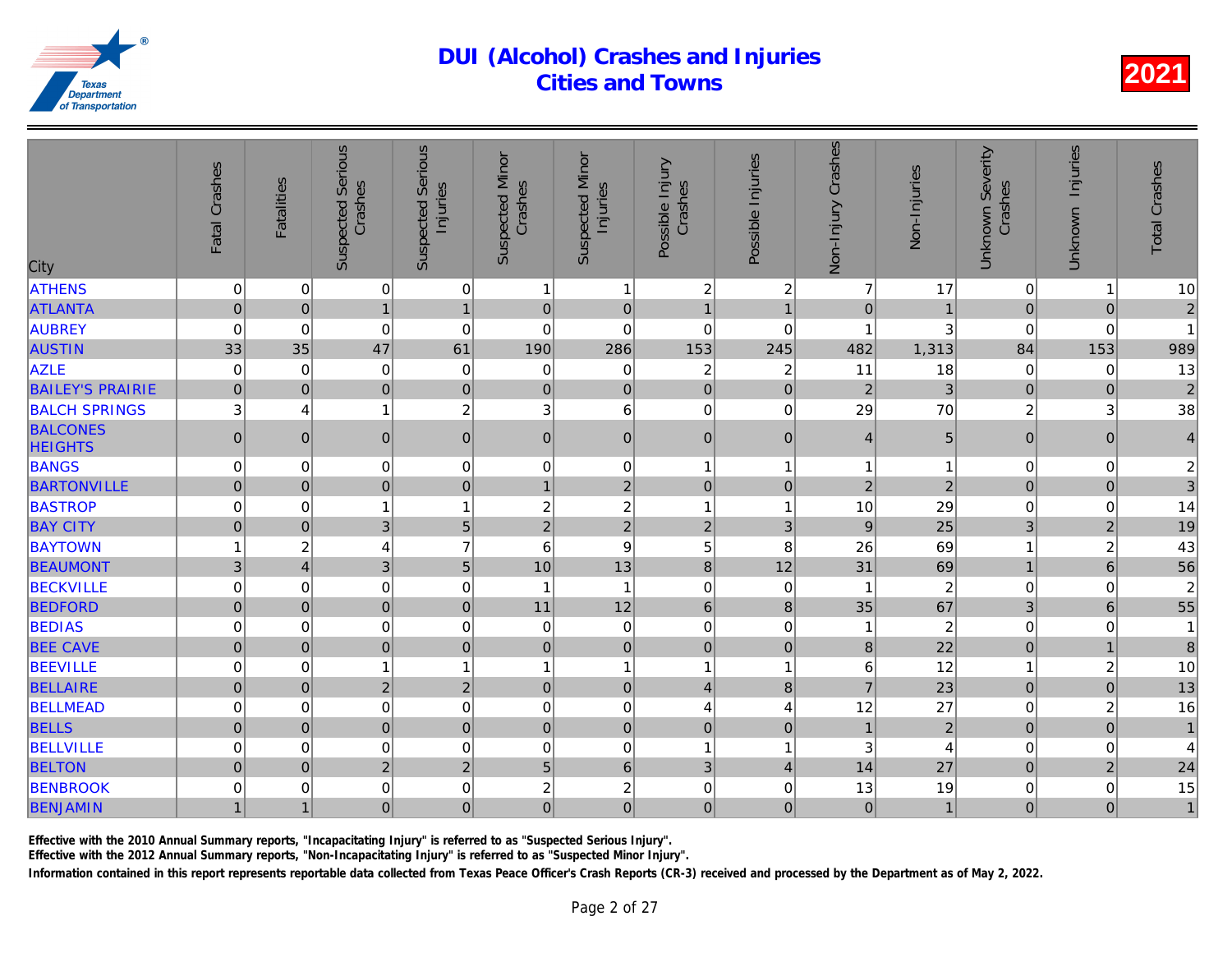| City                              | Fatal Crashes       | <b>Fatalities</b> | <b>Suspected Serious</b><br>Crashes | <b>Suspected Serious</b><br>Injuries | <b>Suspected Minor</b><br>Crashes | <b>Suspected Minor</b><br>Injuries | Possible Injury<br>Crashes | Possible Injuries | Non-Injury Crashes | Non-Injuries   |
|-----------------------------------|---------------------|-------------------|-------------------------------------|--------------------------------------|-----------------------------------|------------------------------------|----------------------------|-------------------|--------------------|----------------|
| <b>ATHENS</b>                     | $\mathbf 0$         | $\mathbf 0$       | 0                                   | $\mathbf 0$                          | 1                                 | $\mathbf{1}$                       | $\overline{c}$             | $\overline{c}$    | $\overline{7}$     | 17             |
| <b>ATLANTA</b>                    | $\mathbf 0$         | $\mathbf 0$       | $\mathbf{1}$                        | $\mathbf{1}$                         | $\pmb{0}$                         | $\overline{0}$                     | $\overline{1}$             | $\overline{1}$    | $\pmb{0}$          |                |
| <b>AUBREY</b>                     | 0                   | $\mathbf 0$       | 0                                   | $\mathbf 0$                          | $\mathbf 0$                       | 0                                  | $\mathbf 0$                | $\mathbf 0$       | 1                  | 3              |
| <b>AUSTIN</b>                     | 33                  | 35                | 47                                  | 61                                   | 190                               | 286                                | 153                        | 245               | 482                | 1,313          |
| <b>AZLE</b>                       | $\pmb{0}$           | $\mathbf 0$       | 0                                   | $\mathbf 0$                          | 0                                 | $\mathbf 0$                        | $\overline{c}$             | $\overline{c}$    | 11                 | 18             |
| <b>BAILEY'S PRAIRIE</b>           | $\mathbf 0$         | $\mathbf{0}$      | $\overline{0}$                      | $\mathbf 0$                          | $\pmb{0}$                         | $\overline{0}$                     | $\mathbf 0$                | $\mathbf 0$       | $\overline{2}$     | 3              |
| <b>BALCH SPRINGS</b>              | 3                   | 4                 | 1                                   | $\overline{c}$                       | 3                                 | 6                                  | $\mathbf 0$                | 0                 | 29                 | 70             |
| <b>BALCONES</b><br><b>HEIGHTS</b> | $\mathsf{O}\xspace$ | $\mathbf{0}$      | $\mathbf 0$                         | $\mathbf 0$                          | $\mathbf 0$                       | $\overline{0}$                     | $\mathbf 0$                | $\pmb{0}$         | $\overline{4}$     | 5              |
| <b>BANGS</b>                      | 0                   | $\mathbf 0$       | 0                                   | $\mathbf 0$                          | 0                                 | $\overline{0}$                     | $\overline{1}$             | 1                 | 1                  |                |
| <b>BARTONVILLE</b>                | $\mathbf 0$         | $\mathbf 0$       | $\overline{0}$                      | $\mathbf 0$                          | $\mathbf{1}$                      | $\overline{2}$                     | $\mathbf 0$                | $\pmb{0}$         | $\mathbf 2$        | $\overline{a}$ |
| <b>BASTROP</b>                    | 0                   | $\mathbf 0$       | $\mathbf{1}$                        | $\mathbf{1}$                         | $\boldsymbol{2}$                  | $\overline{c}$                     | $\overline{1}$             | 1                 | 10                 | 29             |
| <b>BAY CITY</b>                   | $\overline{0}$      | $\mathbf 0$       | 3                                   | 5                                    | $\overline{2}$                    | $\overline{2}$                     | $\overline{2}$             | 3                 | 9                  | 25             |
| <b>BAYTOWN</b>                    | 1                   | $\boldsymbol{2}$  | 4                                   | $\overline{7}$                       | 6                                 | 9                                  | 5                          | 8                 | 26                 | 69             |
| <b>BEAUMONT</b>                   | 3                   | $\overline{4}$    | 3                                   | $\overline{5}$                       | 10                                | 13                                 | 8                          | 12                | 31                 | 69             |
| <b>BECKVILLE</b>                  | 0                   | $\mathbf 0$       | 0                                   | $\mathbf 0$                          | $\overline{\phantom{a}}$          | $\overline{1}$                     | $\mathbf 0$                | $\mathbf 0$       | 1                  | $\overline{a}$ |
| <b>BEDFORD</b>                    | $\mathbf 0$         | $\overline{0}$    | $\overline{0}$                      | $\mathbf 0$                          | 11                                | 12                                 | $6\phantom{1}$             | $\bf 8$           | 35                 | 67             |
| <b>BEDIAS</b>                     | 0                   | $\mathbf 0$       | 0                                   | $\mathbf 0$                          | 0                                 | $\boldsymbol{0}$                   | $\mathbf 0$                | 0                 |                    | $\overline{a}$ |
| <b>BEE CAVE</b>                   | $\overline{0}$      | $\overline{0}$    | $\overline{0}$                      | $\mathbf 0$                          | $\pmb{0}$                         | $\overline{0}$                     | $\mathbf 0$                | $\mathbf 0$       | $\bf{8}$           | 22             |
| <b>BEEVILLE</b>                   | 0                   | $\Omega$          | $\mathbf{1}$                        | $\mathbf{1}$                         | 1                                 | $\mathbf{1}$                       | $\overline{1}$             | 1                 | 6                  | 12             |
| <b>BELLAIRE</b>                   | $\mathbf 0$         | $\mathbf{0}$      | $\overline{2}$                      | $\overline{2}$                       | $\mathbf 0$                       | $\overline{0}$                     | $\overline{4}$             | 8                 | $\overline{7}$     | 23             |
| <b>BELLMEAD</b>                   | 0                   | 0                 | 0                                   | $\mathbf 0$                          | $\mathbf 0$                       | $\mathsf 0$                        | 4                          | 4                 | 12                 | 27             |
| <b>BELLS</b>                      | $\overline{0}$      | $\overline{0}$    | $\overline{0}$                      | $\overline{0}$                       | $\pmb{0}$                         | $\overline{0}$                     | $\mathbf 0$                | $\mathbf 0$       | $\mathbf{1}$       | $\overline{a}$ |
| <b>BELLVILLE</b>                  | 0                   | $\Omega$          | 0                                   | $\mathbf 0$                          | $\mathbf 0$                       | $\mathbf 0$                        | $\overline{1}$             | 1                 | 3                  |                |
| <b>BELTON</b>                     | $\overline{0}$      | $\Omega$          | $\overline{2}$                      | $\overline{2}$                       | $\overline{5}$                    | $6\phantom{a}$                     | 3                          | $\overline{4}$    | 14                 | 27             |
| <b>BENBROOK</b>                   | 0                   | 0                 | 0                                   | $\mbox{O}$                           | $\overline{c}$                    | $\overline{c}$                     | $\mathbf 0$                | 0                 | 13                 | 19             |
| <b>BENJAMIN</b>                   | $\mathbf{1}$        | 1                 | $\overline{0}$                      | $\mathbf 0$                          | $\overline{0}$                    | $\overline{0}$                     | $\mathbf 0$                | $\mathbf 0$       | 0                  |                |

Effective with the 2010 Annual Summary reports, "Incapacitating Injury" is referred to as "Suspected Serious Injury".

Effective with the 2012 Annual Summary reports, "Non-Incapacitating Injury" is referred to as "Suspected Minor Injury".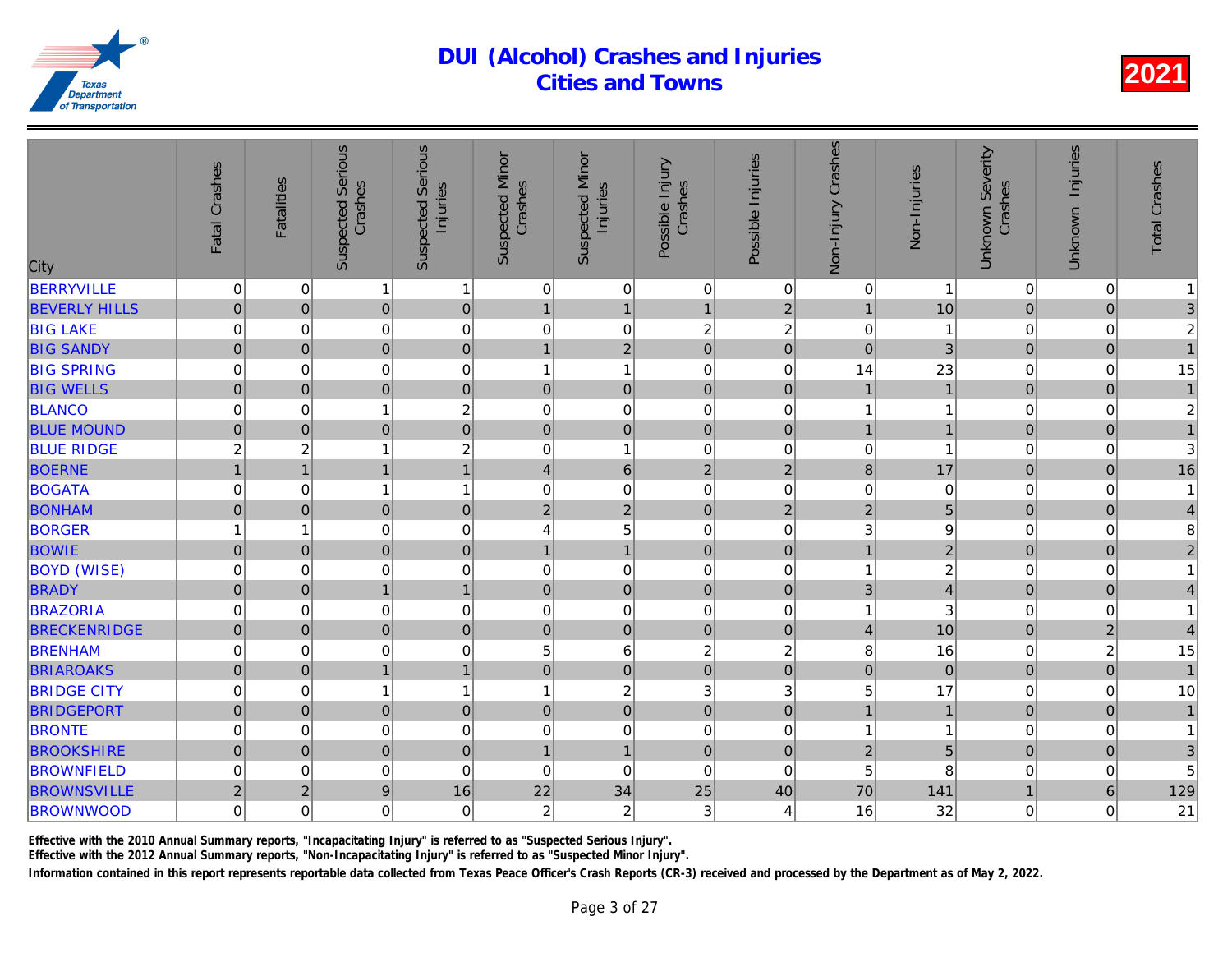| City                 | Fatal Crashes  | <b>Fatalities</b> | <b>Suspected Serious</b><br>Crashes | <b>Suspected Serious</b><br>Injuries | <b>Suspected Minor</b><br>Crashes | <b>Suspected Minor</b><br>Injuries | Possible Injury<br>Crashes | Possible Injuries   | Crashes<br>Non-Injury | Non-Injuries   |
|----------------------|----------------|-------------------|-------------------------------------|--------------------------------------|-----------------------------------|------------------------------------|----------------------------|---------------------|-----------------------|----------------|
| <b>BERRYVILLE</b>    | 0              | $\overline{0}$    | $\mathbf{1}$                        | $\mathbf{1}$                         | 0                                 | $\pmb{0}$                          | $\mathbf 0$                | $\mathbf 0$         | $\mathbf 0$           |                |
| <b>BEVERLY HILLS</b> | $\pmb{0}$      | $\overline{0}$    | $\overline{0}$                      | $\mathbf 0$                          | $\mathbf 1$                       | $\mathbf{1}$                       | $\overline{1}$             | $\overline{c}$      | $\mathbf{1}$          | 10             |
| <b>BIG LAKE</b>      | 0              | 0                 | 0                                   | $\mathbf 0$                          | 0                                 | $\mathsf{O}\xspace$                | $\overline{c}$             | $\overline{c}$      | $\mathbf 0$           | $\mathbf{1}$   |
| <b>BIG SANDY</b>     | $\overline{0}$ | 0                 | $\overline{0}$                      | $\mathbf 0$                          | $\mathbf{1}$                      | $\overline{2}$                     | $\mathbf 0$                | $\overline{0}$      | $\overline{0}$        | $\overline{3}$ |
| <b>BIG SPRING</b>    | 0              | $\overline{0}$    | 0                                   | $\mathbf 0$                          | 1                                 | $\mathbf{1}$                       | $\mathbf 0$                | 0                   | 14                    | 23             |
| <b>BIG WELLS</b>     | $\mathbf 0$    | $\overline{0}$    | $\overline{0}$                      | $\mathbf 0$                          | $\pmb{0}$                         | $\mathbf 0$                        | $\mathbf 0$                | $\mathbf 0$         |                       |                |
| <b>BLANCO</b>        | 0              | $\mathbf 0$       | 1                                   | $\overline{c}$                       | $\mathbf 0$                       | 0                                  | $\overline{0}$             | 0                   | 1                     |                |
| <b>BLUE MOUND</b>    | $\pmb{0}$      | 0                 | $\mathbf 0$                         | $\mathbf 0$                          | $\mathbf 0$                       | $\mathbf 0$                        | $\mathbf{0}$               | $\pmb{0}$           | $\mathbf{1}$          |                |
| <b>BLUE RIDGE</b>    | $\overline{c}$ | $\overline{c}$    | 1                                   | $\overline{c}$                       | 0                                 | $\mathbf{1}$                       | $\mathbf 0$                | 0                   | 0                     |                |
| <b>BOERNE</b>        | $\overline{1}$ | $\mathbf{1}$      | $\overline{1}$                      | $\overline{1}$                       | $\overline{4}$                    | $6\phantom{a}$                     | $\overline{2}$             | $\overline{2}$      | 8                     | 17             |
| <b>BOGATA</b>        | 0              | $\Omega$          | 1                                   | $\mathbf{1}$                         | $\mathbf 0$                       | $\pmb{0}$                          | $\mathbf 0$                | $\Omega$            | 0                     | $\Omega$       |
| <b>BONHAM</b>        | $\pmb{0}$      | $\overline{0}$    | $\overline{0}$                      | $\mathbf 0$                          | $\overline{2}$                    | $\overline{2}$                     | $\mathbf 0$                | $\overline{2}$      | $\overline{2}$        |                |
| <b>BORGER</b>        | 1              | 1                 | 0                                   | $\mathbf 0$                          | 4                                 | 5                                  | $\mathbf 0$                | 0                   | 3                     |                |
| <b>BOWIE</b>         | $\mathbf 0$    | 0                 | $\overline{0}$                      | $\mathbf 0$                          | $\mathbf{1}$                      | $\overline{1}$                     | $\mathbf 0$                | $\mathbf 0$         | $\overline{1}$        | $\overline{a}$ |
| <b>BOYD (WISE)</b>   | 0              | $\overline{0}$    | 0                                   | $\mathbf 0$                          | $\mathbf 0$                       | 0                                  | $\mathbf 0$                | 0                   | $\mathbf{1}$          | $\overline{2}$ |
| <b>BRADY</b>         | $\overline{0}$ | $\overline{0}$    | $\overline{1}$                      | $\mathbf{1}$                         | $\pmb{0}$                         | $\overline{0}$                     | $\overline{0}$             | $\mathbf 0$         | 3                     | $\overline{4}$ |
| <b>BRAZORIA</b>      | $\mathsf 0$    | 0                 | 0                                   | $\mathbf 0$                          | $\mathbf 0$                       | $\mathsf{O}\xspace$                | $\mathbf 0$                | 0                   | 1                     | 3              |
| <b>BRECKENRIDGE</b>  | $\pmb{0}$      | 0                 | $\mathbf 0$                         | $\pmb{0}$                            | $\mathbf 0$                       | $\mathsf{O}\xspace$                | $\mathbf 0$                | $\pmb{0}$           | $\vert 4 \vert$       | 10             |
| <b>BRENHAM</b>       | 0              | $\overline{0}$    | 0                                   | $\mathbf 0$                          | 5                                 | 6                                  | $\overline{c}$             | $\overline{c}$      | 8                     | 16             |
| <b>BRIAROAKS</b>     | $\pmb{0}$      | 0                 | $\overline{1}$                      | $\mathbf{1}$                         | $\mathbf 0$                       | $\overline{0}$                     | $\mathbf 0$                | $\mathbf 0$         | $\overline{0}$        | $\overline{0}$ |
| <b>BRIDGE CITY</b>   | 0              | $\Omega$          | 1                                   | $\mathbf{1}$                         | 1                                 | $\overline{c}$                     | 3                          | 3                   | 5                     | 17             |
| <b>BRIDGEPORT</b>    | $\mathbf 0$    | $\Omega$          | $\overline{0}$                      | $\mathbf 0$                          | $\mathbf 0$                       | $\overline{0}$                     | $\mathbf 0$                | $\mathbf 0$         | $\mathbf{1}$          | $\overline{1}$ |
| <b>BRONTE</b>        | 0              | 0                 | 0                                   | $\mathbf 0$                          | $\mathbf 0$                       | 0                                  | $\mathbf 0$                | 0                   | 1                     |                |
| <b>BROOKSHIRE</b>    | $\mathbf 0$    | 0                 | $\overline{0}$                      | $\mathbf 0$                          | $\mathbf{1}$                      | $\mathbf{1}$                       | $\mathbf 0$                | $\mathsf{O}\xspace$ | $\overline{2}$        | $\overline{5}$ |
| <b>BROWNFIELD</b>    | 0              | 0                 | 0                                   | $\mathbf 0$                          | $\boldsymbol{0}$                  | 0                                  | $\mathbf 0$                | $\mathbf 0$         | 5                     |                |
| <b>BROWNSVILLE</b>   | $\overline{2}$ | $\overline{c}$    | 9                                   | 16                                   | 22                                | 34                                 | 25                         | 40                  | 70                    | 141            |
| <b>BROWNWOOD</b>     | 0              | $\overline{0}$    | 0                                   | $\mathbf 0$                          | $\overline{c}$                    | $\overline{c}$                     | 3                          | 4                   | 16                    | 32             |
|                      |                |                   |                                     |                                      |                                   |                                    |                            |                     |                       |                |

Effective with the 2010 Annual Summary reports, "Incapacitating Injury" is referred to as "Suspected Serious Injury".

Effective with the 2012 Annual Summary reports, "Non-Incapacitating Injury" is referred to as "Suspected Minor Injury".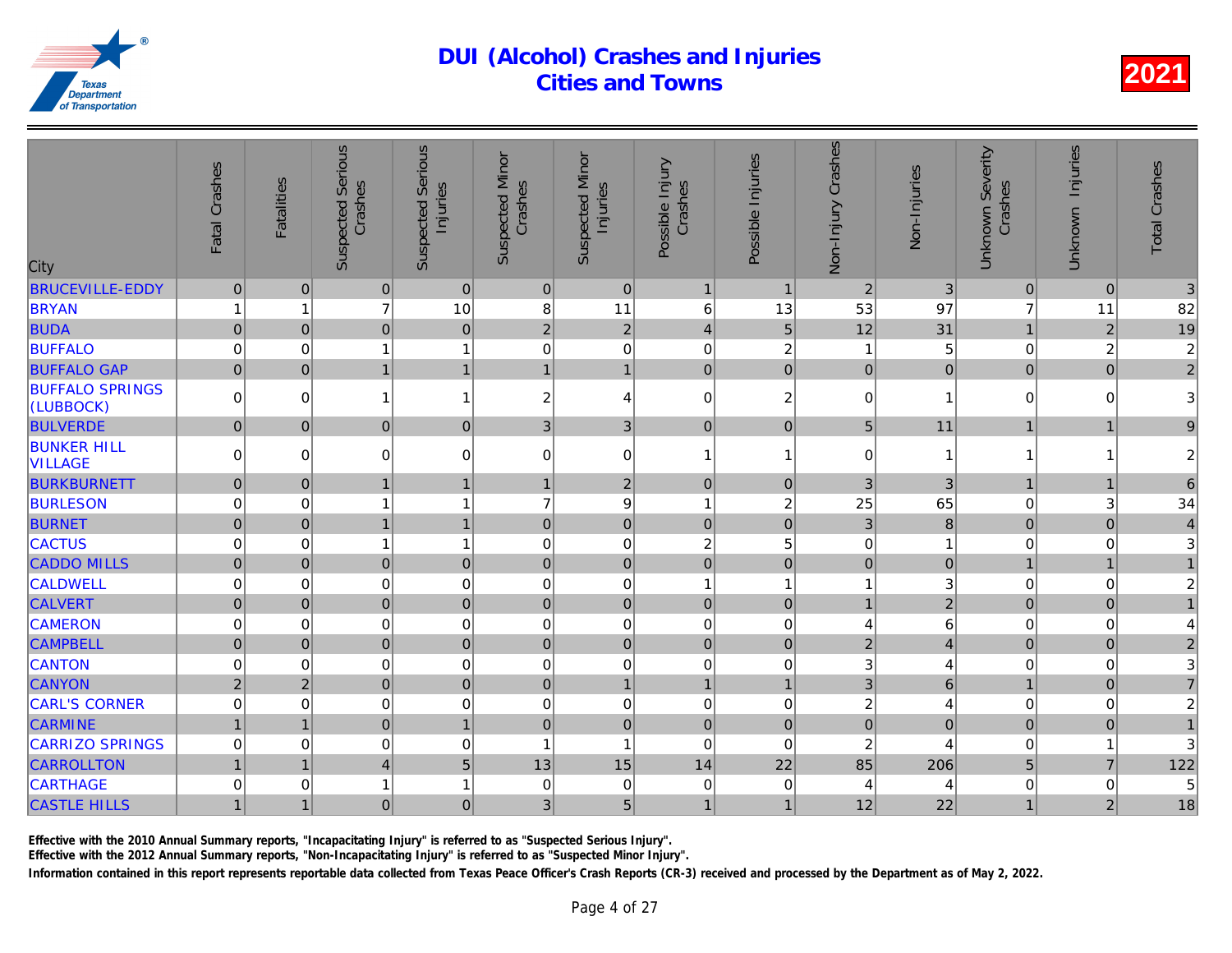| <b>Suspected Serious</b><br><b>Suspected Serious</b><br>Non-Injury Crashes<br><b>Suspected Minor</b><br><b>Suspected Minor</b><br>Possible Injuries<br>Fatal Crashes<br>Possible Injury<br>Non-Injuries<br>Crashes<br>Crashes<br>Crashes<br><b>Fatalities</b><br>Injuries<br>Injuries<br>City |
|-----------------------------------------------------------------------------------------------------------------------------------------------------------------------------------------------------------------------------------------------------------------------------------------------|
| <b>BRUCEVILLE-EDDY</b><br>$\pmb{0}$<br>$\mathbf 0$<br>$\bf 0$<br>$\pmb{0}$<br>3<br> 0 <br>$\mathbf 0$<br>$\overline{2}$<br>$\mathbf{1}$<br>$\overline{1}$                                                                                                                                     |
| $\overline{7}$<br>11<br>97<br><b>BRYAN</b><br>10<br>8<br>6<br>53<br>13<br>1                                                                                                                                                                                                                   |
| $\overline{2}$<br>31<br>12<br><b>BUDA</b><br>$\overline{0}$<br>$\overline{0}$<br>$\mathbf 0$<br>5<br>$\overline{0}$<br>$\overline{2}$<br>$\overline{4}$                                                                                                                                       |
| 0<br>$\overline{c}$<br><b>BUFFALO</b><br>0<br>$\overline{0}$<br>$\mathbf 0$<br>1<br>$\mathbf{1}$<br>0<br>1                                                                                                                                                                                    |
| $\overline{0}$<br><b>BUFFALO GAP</b><br>$\overline{0}$<br>$\mathbf{1}$<br>$\overline{0}$<br>$\overline{0}$<br>$\overline{0}$<br>$\mathbf{1}$<br>$\mathbf 0$<br>$\mathbf{1}$<br>$\mathbf{1}$                                                                                                   |
| <b>BUFFALO SPRINGS</b><br>$\mathbf 0$<br>$\overline{c}$<br>$\mathbf 0$<br>$\Omega$<br>0<br>$\mathbf{1}$<br>2<br>4<br>1<br>(LUBBOCK)                                                                                                                                                           |
| <b>BULVERDE</b><br>3<br>5 <sup>1</sup><br>11<br>$\pmb{0}$<br> 0 <br>0<br>$\mathbf 0$<br>3<br>$\mathbf 0$<br>$\overline{0}$                                                                                                                                                                    |
| <b>BUNKER HILL</b><br>$\mathbf 0$<br>0<br>$\Omega$<br>0<br>$\mathbf 0$<br>$\mathbf 0$<br>$\Omega$<br>-1<br>1<br>1<br><b>VILLAGE</b>                                                                                                                                                           |
| 3<br><b>BURKBURNETT</b><br>$\mathbf 0$<br> 0 <br>$\overline{c}$<br>$\mathbf 0$<br>3<br>$\mathbf{1}$<br>$\overline{1}$<br>$\overline{0}$<br>$\mathbf 1$                                                                                                                                        |
| $\boldsymbol{9}$<br><b>BURLESON</b><br>$\overline{c}$<br>25<br>65<br>0<br>$\mathbf{1}$<br>7<br>0<br>1<br>$\overline{1}$                                                                                                                                                                       |
| 8<br>$\overline{0}$<br><b>BURNET</b><br>3<br>$\pmb{0}$<br>$\overline{0}$<br>$\overline{1}$<br>$\pmb{0}$<br>$\mathbf 0$<br>$\pmb{0}$<br>$\mathbf{1}$                                                                                                                                           |
| $\mathbf 0$<br>$\mathsf 0$<br><b>CACTUS</b><br>$\mathbf{1}$<br>$\overline{c}$<br>5<br>0<br>0<br>1<br>$\mathbf 0$                                                                                                                                                                              |
| $\Omega$<br>$\overline{0}$<br><b>CADDO MILLS</b><br>$\overline{0}$<br>$\overline{0}$<br>$\mathbf 0$<br>$\overline{0}$<br>$\mathbf 0$<br> 0 <br>$\mathbf 0$<br>$\mathbf 0$                                                                                                                     |
| 0<br><b>CALDWELL</b><br>$\overline{0}$<br>0<br>$\mathbf 0$<br>$\mathbf 0$<br>1<br>0<br>$\overline{1}$<br>1                                                                                                                                                                                    |
| $\overline{0}$<br>$\overline{0}$<br>$\mathbf 0$<br><b>CALVERT</b><br>$\mathbf 0$<br>$\overline{2}$<br>$\mathbf 0$<br>$\overline{0}$<br>$\pmb{0}$<br>$\mathbf{0}$<br>$\mathbf{1}$                                                                                                              |
| $\mathbf 0$<br><b>CAMERON</b><br>$\mathbf 0$<br>$\Omega$<br>0<br>$\mathbf 0$<br>$\mathbf 0$<br>4<br>0<br>0                                                                                                                                                                                    |
| $\mathbf 0$<br>$\overline{2}$<br>$\mathbf 0$<br><b>CAMPBELL</b><br>$\overline{0}$<br>$\overline{0}$<br>$\mathbf 0$<br> 0 <br>$\mathbf 0$<br>$\mathbf 0$                                                                                                                                       |
| 0<br>3<br><b>CANTON</b><br>$\mathbf 0$<br>$\mathbf 0$<br>$\overline{0}$<br>0<br>0<br>0<br>0                                                                                                                                                                                                   |
| $\mathbf{1}$<br>3 <sup>1</sup><br><b>CANYON</b><br>$\overline{2}$<br>$\overline{2}$<br>$\overline{0}$<br>$\mathbf 0$<br>$\pmb{0}$<br>$\overline{1}$<br>$\overline{1}$                                                                                                                         |
| 0<br><b>CARL'S CORNER</b><br>0<br>$\mathbf 0$<br>2<br>0<br>$\Omega$<br>$\mathbf 0$<br>$\mathbf 0$<br>0                                                                                                                                                                                        |
| $\mathbf 0$<br>$\overline{0}$<br>$\overline{0}$<br><b>CARMINE</b><br>$\mathbf 0$<br>$\overline{1}$<br>$\mathbf 0$<br>$\overline{0}$<br>$\mathbf 0$<br>$\mathbf{1}$<br>$\mathbf{1}$                                                                                                            |
| <b>CARRIZO SPRINGS</b><br>$\overline{\mathbf{c}}$<br>0<br>0<br>0<br>$\mathbf 0$<br>$\mathbf{1}$<br>$\mathbf 0$<br>0<br>1                                                                                                                                                                      |
| 15<br>22<br>85<br><b>CARROLLTON</b><br>5<br>13<br>14<br>206<br>$\mathbf{1}$<br>$\mathbf{1}$<br>$\overline{4}$                                                                                                                                                                                 |
| <b>CARTHAGE</b><br>0<br>0<br>$\mathbf{1}$<br>$\mathbf 0$<br>1<br>0<br>$\mathbf 0$<br>0<br>4                                                                                                                                                                                                   |
| 5<br><b>CASTLE HILLS</b><br>22<br>$\mathbf{1}$<br>0<br>$\mathbf 0$<br>3<br>12<br>$\mathbf{1}$<br>$\mathbf{1}$<br>$\mathbf 1$                                                                                                                                                                  |

Effective with the 2010 Annual Summary reports, "Incapacitating Injury" is referred to as "Suspected Serious Injury".

Effective with the 2012 Annual Summary reports, "Non-Incapacitating Injury" is referred to as "Suspected Minor Injury".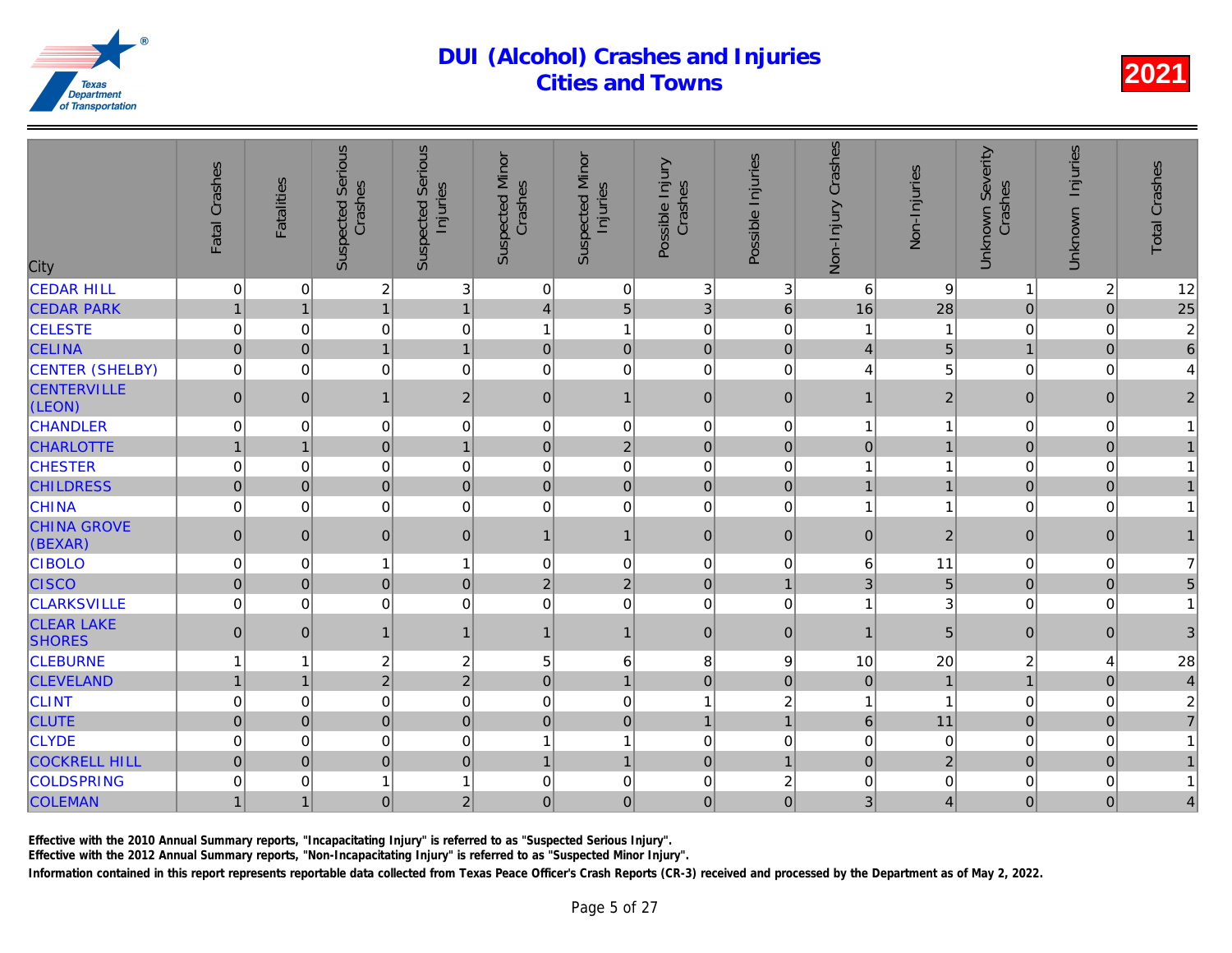| <b>Suspected Serious</b><br><b>Suspected Serious</b><br>Non-Injury Crashes<br><b>Suspected Minor</b><br><b>Suspected Minor</b><br>Possible Injuries<br>Fatal Crashes<br>Possible Injury<br>Crashes<br>Crashes<br>Crashes<br><b>Fatalities</b><br>Injuries<br>Injuries<br>City | Non-Injuries   |
|-------------------------------------------------------------------------------------------------------------------------------------------------------------------------------------------------------------------------------------------------------------------------------|----------------|
| <b>CEDAR HILL</b><br>$\overline{\mathbf{c}}$<br>3<br>$\ensuremath{\mathsf{3}}$<br>0<br>$\mathbf 0$<br>0<br>$\overline{0}$<br>3<br>6                                                                                                                                           | 9              |
| $\overline{1}$<br>5<br>3<br>$\overline{1}$<br>$\mathbf{1}$<br>$\,$ 6 $\,$<br><b>CEDAR PARK</b><br>16<br>$\overline{4}$<br>$\mathbf{1}$                                                                                                                                        | 28             |
| $\mathbf 0$<br><b>CELESTE</b><br>0<br>$\mathbf{1}$<br>$\mathbf 0$<br>0<br>$\mathbf 0$<br>0<br>1<br>$\mathbf{1}$                                                                                                                                                               |                |
| $\overline{0}$<br>$\overline{1}$<br>$\overline{0}$<br><b>CELINA</b><br>$\overline{0}$<br>$\mathbf{1}$<br>$\mathbf 0$<br>$\mathbf 0$<br>$\overline{4}$<br>$\mathbf 0$                                                                                                          |                |
| $\mathsf 0$<br>CENTER (SHELBY)<br>$\mathbf 0$<br>$\mathbf 0$<br>0<br>0<br>$\mathbf 0$<br>0<br>0<br>4                                                                                                                                                                          |                |
| <b>CENTERVILLE</b><br>$\mathsf{O}\xspace$<br>$\overline{2}$<br>$\pmb{0}$<br>$\mathbf{1}$<br>$\mathbf 0$<br>$\mathbf{0}$<br>$\mathbf{1}$<br>$\mathbf{0}$<br>$\mathbf{1}$<br>(LEON)                                                                                             | $\overline{a}$ |
| <b>CHANDLER</b><br>0<br>0<br>$\mathbf 0$<br>$\mathbf 0$<br>$\mathbf 0$<br>$\mathbf 0$<br>$\pmb{0}$<br>$\mathbf 0$<br>1                                                                                                                                                        |                |
| $\overline{2}$<br>$\overline{0}$<br>$\overline{0}$<br><b>CHARLOTTE</b><br>$\mathbf{1}$<br>$\mathbf 0$<br>$\mathbf 0$<br>$\pmb{0}$<br>$\overline{1}$<br>$\mathbf 1$                                                                                                            |                |
| $\mathsf 0$<br><b>CHESTER</b><br>0<br>$\boldsymbol{0}$<br>$\mathbf 0$<br>0<br>$\mathbf 0$<br>$\mathbf 0$<br>$\mathbf 0$<br>1                                                                                                                                                  |                |
| $\overline{0}$<br>$\overline{0}$<br>$\overline{0}$<br><b>CHILDRESS</b><br>$\mathbf 0$<br>$\mathbf 0$<br>$\pmb{0}$<br>$\mathbf 0$<br>$\pmb{0}$<br>$\mathbf{1}$                                                                                                                 |                |
| $\mathbf 0$<br>0<br><b>CHINA</b><br>0<br>$\mathbf 0$<br>$\mathbf 0$<br>$\mathbf 0$<br>$\mathbf 0$<br>0<br>1                                                                                                                                                                   |                |
| <b>CHINA GROVE</b><br>$\mathbf 0$<br>$\overline{0}$<br>$\mathbf 0$<br>$\mathbf{1}$<br>$\mathbf 0$<br>$\mathbf 0$<br>$\mathbf{0}$<br>$\mathbf{0}$<br>$\mathbf 1$<br>(BEXAR)                                                                                                    | $\overline{a}$ |
| <b>CIBOLO</b><br>0<br>$\overline{0}$<br>$\mathbf 0$<br>6<br>$\mathbf 0$<br>$\mathbf{1}$<br>$\mathbf{1}$<br>$\mathbf 0$<br>$\mathbf 0$                                                                                                                                         | 11             |
| $\overline{2}$<br>$\overline{0}$<br><b>CISCO</b><br>$\mathbf 0$<br>$\mathbf 0$<br>$\mathbf 0$<br>$\sqrt{2}$<br>$\mathbf 0$<br>3<br>1                                                                                                                                          | 5              |
| <b>CLARKSVILLE</b><br>$\mathbf 0$<br>$\mathbf 0$<br>0<br>0<br>$\mathbf 0$<br>$\mathbf 0$<br>$\mathbf 0$<br>0<br>1                                                                                                                                                             |                |
| <b>CLEAR LAKE</b><br>$\mathbf{1}$<br>0<br>$\mathbf{1}$<br>$\mathbf{1}$<br>$\mathbf 0$<br>$\pmb{0}$<br>$\mathbf{0}$<br>$\mathbf{1}$<br>$\mathbf 1$<br><b>SHORES</b>                                                                                                            | 5              |
| $\overline{c}$<br>$\boldsymbol{2}$<br><b>CLEBURNE</b><br>5<br>6<br>8<br>9<br>10<br>1<br>1                                                                                                                                                                                     | 20             |
| $\overline{2}$<br>$\overline{2}$<br>$\overline{1}$<br>$\mathbf 0$<br>$\overline{0}$<br><b>CLEVELAND</b><br>$\overline{1}$<br>$\mathbf 0$<br>$\mathbf 0$<br>$\mathbf 1$                                                                                                        |                |
| $\mathbf 0$<br>$\overline{0}$<br><b>CLINT</b><br>0<br>$\overline{\mathbf{c}}$<br>0<br>$\mathbf 0$<br>0<br>$\overline{1}$<br>1                                                                                                                                                 |                |
| $\overline{0}$<br>$\overline{0}$<br><b>CLUTE</b><br>$\mathbf 0$<br>$\mathbf 0$<br>6<br>$\mathbf 0$<br>$\pmb{0}$<br>$\mathbf{1}$<br>$\overline{1}$                                                                                                                             | 11             |
| <b>CLYDE</b><br>0<br>$\mathbf 0$<br>$\mathbf 0$<br>$\mathbf 0$<br>0<br>$\mathbf{1}$<br>0<br>0<br>1                                                                                                                                                                            | $\Omega$       |
| <b>COCKRELL HILL</b><br>$\overline{0}$<br>$\mathbf 0$<br>$\overline{1}$<br> 0 <br>$\overline{0}$<br>$\overline{0}$<br>$\mathbf 0$<br>$\overline{1}$<br>$\overline{1}$                                                                                                         | $\overline{2}$ |
| <b>COLDSPRING</b><br>$\mathbf 0$<br>0<br>$\mathbf 0$<br>$\overline{c}$<br>$\mathsf 0$<br>1<br>$\mathbf{1}$<br>$\mathbf 0$<br>$\Omega$                                                                                                                                         |                |
| <b>COLEMAN</b><br>$\overline{0}$<br>3 <sup>2</sup><br>$\mathbf 0$<br>$\overline{2}$<br>$\mathbf 0$<br>$\mathbf{1}$<br>$\mathbf 0$<br>$\mathbf{0}$<br>$\mathbf 1$                                                                                                              |                |

Effective with the 2010 Annual Summary reports, "Incapacitating Injury" is referred to as "Suspected Serious Injury".

Effective with the 2012 Annual Summary reports, "Non-Incapacitating Injury" is referred to as "Suspected Minor Injury".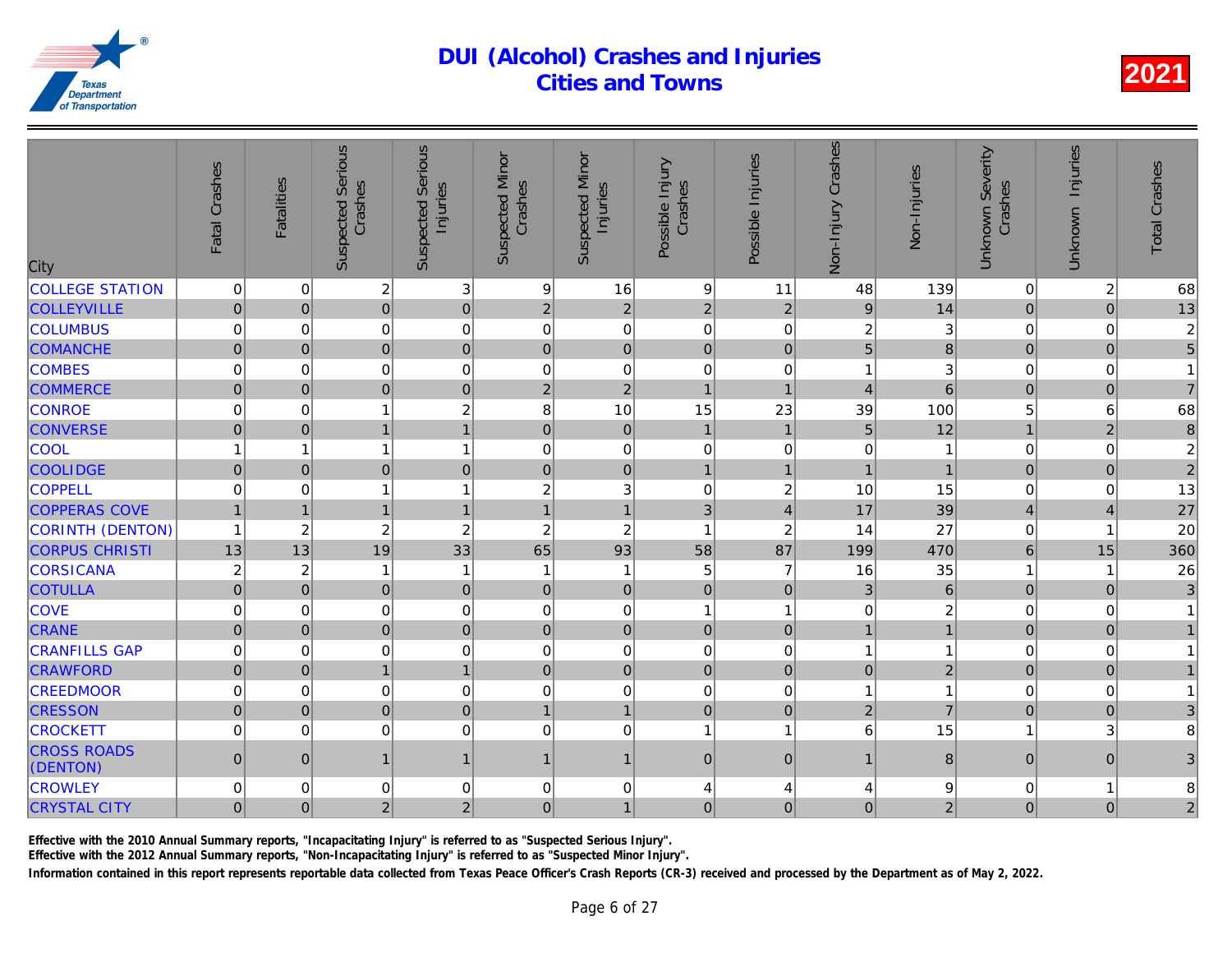| City                           | Fatal Crashes           | <b>Fatalities</b> | <b>Suspected Serious</b><br>Crashes | <b>Serious</b><br>Injuries<br>Suspected | <b>Suspected Minor</b><br>Crashes | <b>Suspected Minor</b><br>Injuries | Possible Injury<br>Crashes | Possible Injuries       | Non-Injury Crashes      | Non-Injuries    |
|--------------------------------|-------------------------|-------------------|-------------------------------------|-----------------------------------------|-----------------------------------|------------------------------------|----------------------------|-------------------------|-------------------------|-----------------|
| <b>COLLEGE STATION</b>         | 0                       | $\mathbf 0$       | $\overline{c}$                      | 3                                       | 9                                 | 16                                 | $\boldsymbol{9}$           | 11                      | 48                      | 139             |
| <b>COLLEYVILLE</b>             | $\mathbf 0$             | $\mathbf 0$       | $\overline{0}$                      | $\mathbf 0$                             | $\sqrt{2}$                        | $\mathbf 2$                        | $\mathbf 2$                | $\sqrt{2}$              | $\boldsymbol{9}$        | 14              |
| <b>COLUMBUS</b>                | 0                       | 0                 | 0                                   | $\mathbf 0$                             | $\mathbf 0$                       | $\mathbf 0$                        | $\mathbf 0$                | 0                       | $\overline{\mathbf{c}}$ | 3               |
| <b>COMANCHE</b>                | $\overline{0}$          | $\overline{0}$    | $\overline{0}$                      | $\mathbf 0$                             | $\mathbf 0$                       | $\overline{0}$                     | $\mathbf 0$                | $\mathbf 0$             | 5                       |                 |
| <b>COMBES</b>                  | 0                       | $\Omega$          | 0                                   | $\mathbf 0$                             | $\mathbf 0$                       | $\mathbf 0$                        | $\mathbf 0$                | $\mathbf 0$             | 1                       | 3               |
| <b>COMMERCE</b>                | $\mathbf{0}$            | $\Omega$          | $\overline{0}$                      | $\mathbf 0$                             | $\overline{2}$                    | $\overline{2}$                     | $\overline{1}$             | $\overline{1}$          | $\overline{4}$          | $6\overline{6}$ |
| <b>CONROE</b>                  | 0                       | $\mathbf 0$       | 1                                   | $\overline{c}$                          | 8                                 | 10                                 | 15                         | 23                      | 39                      | 100             |
| <b>CONVERSE</b>                | $\overline{0}$          | $\overline{0}$    | $\mathbf{1}$                        | $\mathbf{1}$                            | $\mathbf{0}$                      | $\overline{0}$                     | $\mathbf{1}$               | $\mathbf{1}$            | $5\phantom{.}$          | 12              |
| COOL                           | 1                       | 1                 | 1                                   | $\mathbf{1}$                            | $\mathbf 0$                       | $\mathbf 0$                        | $\mathbf 0$                | 0                       | 0                       |                 |
| <b>COOLIDGE</b>                | $\mathbf 0$             | $\Omega$          | $\overline{0}$                      | $\mathbf 0$                             | $\pmb{0}$                         | $\overline{0}$                     | $\overline{1}$             | $\overline{1}$          |                         |                 |
| <b>COPPELL</b>                 | 0                       | $\mathbf 0$       | 1                                   | $\overline{1}$                          | $\overline{c}$                    | 3                                  | $\mathbf 0$                | $\overline{\mathbf{c}}$ | 10                      | 15              |
| <b>COPPERAS COVE</b>           | $\mathbf{1}$            | $\mathbf{1}$      | $\mathbf{1}$                        | $\mathbf{1}$                            | $\mathbf{1}$                      | $\mathbf{1}$                       | 3                          | $\overline{4}$          | 17                      | 39              |
| CORINTH (DENTON)               | $\mathbf{1}$            | $\boldsymbol{2}$  | $\overline{c}$                      | $\overline{c}$                          | $\overline{c}$                    | $\overline{c}$                     | $\overline{1}$             | $\overline{c}$          | 14                      | 27              |
| <b>CORPUS CHRISTI</b>          | 13                      | 13                | 19                                  | 33                                      | 65                                | 93                                 | 58                         | 87                      | 199                     | 470             |
| <b>CORSICANA</b>               | $\overline{\mathbf{c}}$ | 2                 | 1                                   | $\mathbf{1}$                            | -1                                | $\mathbf{1}$                       | 5                          | 7                       | 16                      | 35              |
| <b>COTULLA</b>                 | $\mathbf 0$             | $\mathbf 0$       | $\overline{0}$                      | $\mathbf 0$                             | $\mathbf{0}$                      | $\overline{0}$                     | $\mathbf 0$                | $\pmb{0}$               | 3                       | $\overline{6}$  |
| <b>COVE</b>                    | 0                       | 0                 | 0                                   | $\mathbf 0$                             | 0                                 | $\mathbf 0$                        | $\overline{1}$             | 1                       | $\mathbf 0$             | $\overline{c}$  |
| <b>CRANE</b>                   | $\overline{0}$          | $\overline{0}$    | $\overline{0}$                      | $\mathbf 0$                             | $\pmb{0}$                         | $\overline{0}$                     | $\mathbf 0$                | $\pmb{0}$               | $\mathbf{1}$            |                 |
| <b>CRANFILLS GAP</b>           | 0                       | $\Omega$          | 0                                   | $\mathbf 0$                             | $\mathbf 0$                       | $\mathbf 0$                        | $\mathbf 0$                | $\mathbf 0$             |                         |                 |
| <b>CRAWFORD</b>                | $\mathsf{O}\xspace$     | $\mathbf 0$       | $\mathbf{1}$                        | $\mathbf{1}$                            | $\pmb{0}$                         | $\overline{0}$                     | $\mathbf 0$                | $\pmb{0}$               | $\pmb{0}$               | $\overline{a}$  |
| <b>CREEDMOOR</b>               | 0                       | $\mathbf 0$       | 0                                   | $\mathbf 0$                             | $\mathbf 0$                       | 0                                  | $\mathbf 0$                | 0                       | 1                       |                 |
| <b>CRESSON</b>                 | $\overline{0}$          | $\overline{0}$    | $\overline{0}$                      | $\mathbf 0$                             | $\mathbf{1}$                      | $\overline{1}$                     | $\mathbf 0$                | $\mathbf 0$             | $\overline{2}$          | $\overline{7}$  |
| <b>CROCKETT</b>                | 0                       | $\Omega$          | 0                                   | $\mathbf 0$                             | $\mathbf 0$                       | $\mathbf 0$                        | 1                          | 1                       | 6                       | 15              |
| <b>CROSS ROADS</b><br>(DENTON) | $\overline{0}$          | $\mathbf{0}$      | $\mathbf{1}$                        | $\mathbf{1}$                            | $\mathbf 1$                       | $\mathbf{1}$                       | $\mathbf{0}$               | $\mathbf{0}$            | $\mathbf{1}$            | 8               |
| <b>CROWLEY</b>                 | 0                       | 0                 | 0                                   | $\mathbf 0$                             | 0                                 | 0                                  | 4                          | 4                       | 4                       |                 |
| <b>CRYSTAL CITY</b>            | $\overline{0}$          | $\mathbf{0}$      | $\overline{2}$                      | $\overline{2}$                          | $\mathbf 0$                       | $\mathbf{1}$                       | $\mathbf 0$                | $\mathbf{0}$            | $\mathbf 0$             | $\overline{a}$  |
|                                |                         |                   |                                     |                                         |                                   |                                    |                            |                         |                         |                 |

Effective with the 2010 Annual Summary reports, "Incapacitating Injury" is referred to as "Suspected Serious Injury".

Effective with the 2012 Annual Summary reports, "Non-Incapacitating Injury" is referred to as "Suspected Minor Injury".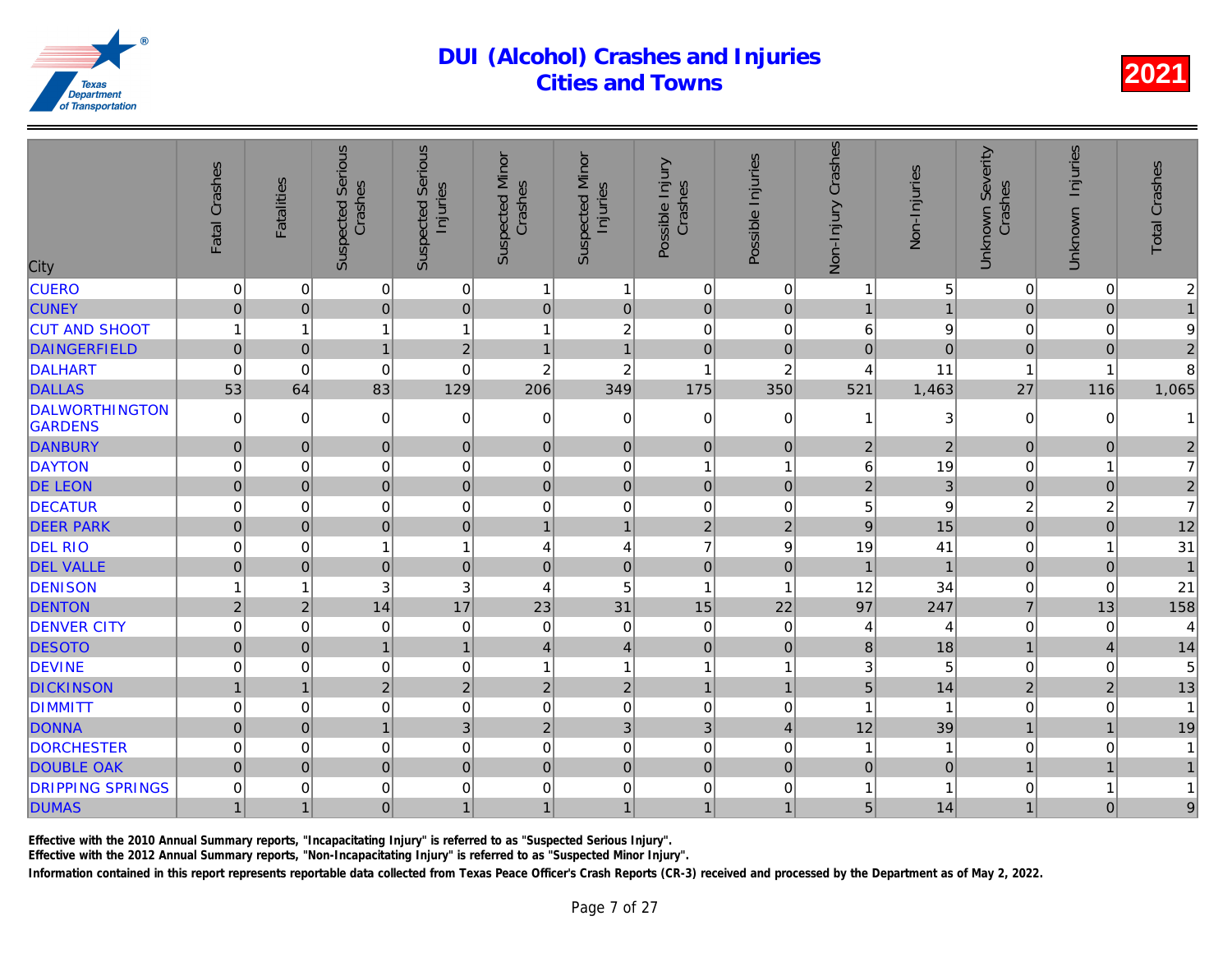| City                                    | Fatal Crashes  | <b>Fatalities</b> | <b>Suspected Serious</b><br>Crashes | <b>Suspected Serious</b><br>Injuries | <b>Suspected Minor</b><br>Crashes | <b>Suspected Minor</b><br>Injuries | Possible Injury<br>Crashes | Possible Injuries | Non-Injury Crashes | Non-Injuries   |
|-----------------------------------------|----------------|-------------------|-------------------------------------|--------------------------------------|-----------------------------------|------------------------------------|----------------------------|-------------------|--------------------|----------------|
| <b>CUERO</b>                            | 0              | 0                 | 0                                   | 0                                    | 1                                 | $\mathbf{1}$                       | $\mathbf 0$                | 0                 | 1                  |                |
| <b>CUNEY</b>                            | $\mathbf 0$    | $\mathbf 0$       | $\overline{0}$                      | $\mathbf 0$                          | $\mathbf 0$                       | $\overline{0}$                     | $\mathbf 0$                | $\pmb{0}$         | $\mathbf{1}$       |                |
| <b>CUT AND SHOOT</b>                    | 1              | 1                 | $\mathbf{1}$                        | $\mathbf{1}$                         | 1                                 | $\overline{c}$                     | $\mathbf 0$                | 0                 | $\,6$              |                |
| <b>DAINGERFIELD</b>                     | $\overline{0}$ | $\mathbf 0$       | $\mathbf{1}$                        | $\overline{2}$                       | 1                                 | $\overline{1}$                     | $\mathbf 0$                | $\pmb{0}$         | $\overline{0}$     | $\Omega$       |
| DALHART                                 | 0              | $\Omega$          | 0                                   | $\Omega$                             | $\overline{c}$                    | $\overline{c}$                     | $\overline{1}$             | $\overline{2}$    | 4                  | 11             |
| <b>DALLAS</b>                           | 53             | 64                | 83                                  | 129                                  | 206                               | 349                                | 175                        | 350               | 521                | 1,463          |
| <b>DALWORTHINGTON</b><br><b>GARDENS</b> | $\mathbf 0$    | $\Omega$          | 0                                   | $\mathbf 0$                          | 0                                 | 0                                  | $\Omega$                   | $\Omega$          | 1                  | 3              |
| <b>DANBURY</b>                          | $\mathbf 0$    | $\overline{0}$    | $\overline{0}$                      | $\boldsymbol{0}$                     | $\pmb{0}$                         | $\overline{0}$                     | $\mathbf 0$                | $\mathbf 0$       | $\overline{2}$     | $\overline{a}$ |
| <b>DAYTON</b>                           | 0              | $\mathbf 0$       | 0                                   | $\mathbf 0$                          | $\mathbf 0$                       | $\mathbf 0$                        | $\overline{1}$             | 1                 | 6                  | 19             |
| <b>DE LEON</b>                          | $\mathbf 0$    | $\Omega$          | $\overline{0}$                      | $\boldsymbol{0}$                     | $\mathbf{0}$                      | $\overline{0}$                     | $\mathbf 0$                | $\mathbf{0}$      | $\overline{2}$     | $\overline{3}$ |
| <b>DECATUR</b>                          | 0              | $\mathbf 0$       | 0                                   | $\mathbf 0$                          | $\mathbf 0$                       | $\mathbf 0$                        | $\mathbf 0$                | 0                 | 5                  |                |
| <b>DEER PARK</b>                        | $\mathbf 0$    | $\mathbf 0$       | $\mathbf 0$                         | $\boldsymbol{0}$                     | $\mathbf{1}$                      | $\mathbf{1}$                       | $\overline{2}$             | $\sqrt{2}$        | $\boldsymbol{9}$   | 15             |
| <b>DEL RIO</b>                          | 0              | 0                 | $\mathbf{1}$                        | $\mathbf{1}$                         | 4                                 | 4                                  | $\overline{7}$             | 9                 | 19                 | 41             |
| <b>DEL VALLE</b>                        | $\overline{0}$ | $\Omega$          | $\overline{0}$                      | $\boldsymbol{0}$                     | $\mathbf{0}$                      | $\mathbf 0$                        | $\mathbf 0$                | $\mathbf 0$       | $\overline{1}$     |                |
| <b>DENISON</b>                          | 1              | 1                 | 3                                   | 3                                    | $\overline{4}$                    | 5                                  | $\overline{1}$             | 1                 | 12                 | 34             |
| <b>DENTON</b>                           | $\overline{2}$ | $\overline{2}$    | 14                                  | 17                                   | 23                                | 31                                 | 15                         | 22                | 97                 | 247            |
| <b>DENVER CITY</b>                      | 0              | $\mathbf 0$       | 0                                   | $\mathbf 0$                          | $\mathbf 0$                       | $\mathbf 0$                        | $\mathbf 0$                | 0                 | 4                  |                |
| <b>DESOTO</b>                           | $\overline{0}$ | $\Omega$          | $\overline{1}$                      | $\overline{1}$                       | $\overline{4}$                    | $\vert 4 \vert$                    | $\mathbf 0$                | $\mathbf 0$       | 8                  | 18             |
| <b>DEVINE</b>                           | 0              | $\Omega$          | 0                                   | $\mathbf 0$                          | 1                                 | $\mathbf{1}$                       | $\overline{1}$             | 1                 | 3                  | 5              |
| <b>DICKINSON</b>                        | $\mathbf{1}$   | 1                 | $\overline{2}$                      | $\sqrt{2}$                           | $\sqrt{2}$                        | $\sqrt{2}$                         | $\mathbf{1}$               | $\mathbf{1}$      | 5                  | 14             |
| <b>DIMMITT</b>                          | 0              | 0                 | 0                                   | $\mathbf 0$                          | $\mathbf 0$                       | 0                                  | $\mathbf 0$                | 0                 | 1                  |                |
| <b>DONNA</b>                            | $\overline{0}$ | $\overline{0}$    | $\mathbf{1}$                        | 3                                    | $\sqrt{2}$                        | $\overline{3}$                     | 3                          | $\overline{4}$    | 12                 | 39             |
| <b>DORCHESTER</b>                       | 0              | $\Omega$          | 0                                   | $\mathbf 0$                          | $\mathbf 0$                       | $\mathbf 0$                        | $\Omega$                   | $\mathbf 0$       | 1                  |                |
| <b>DOUBLE OAK</b>                       | $\overline{0}$ | $\mathbf{0}$      | $\mathbf 0$                         | $\pmb{0}$                            | $\pmb{0}$                         | $\overline{0}$                     | $\mathbf 0$                | $\pmb{0}$         | $\mathbf 0$        | $\Omega$       |
| <b>DRIPPING SPRINGS</b>                 | 0              | 0                 | 0                                   | $\mathbf 0$                          | 0                                 | 0                                  | $\mathbf 0$                | 0                 |                    |                |
| <b>DUMAS</b>                            | $\mathbf{1}$   | 1                 | $\mathbf 0$                         | $\mathbf{1}$                         | $\mathbf{1}$                      | 1                                  | $\mathbf{1}$               | $\mathbf{1}$      | 5                  | 14             |

Effective with the 2010 Annual Summary reports, "Incapacitating Injury" is referred to as "Suspected Serious Injury".

Effective with the 2012 Annual Summary reports, "Non-Incapacitating Injury" is referred to as "Suspected Minor Injury".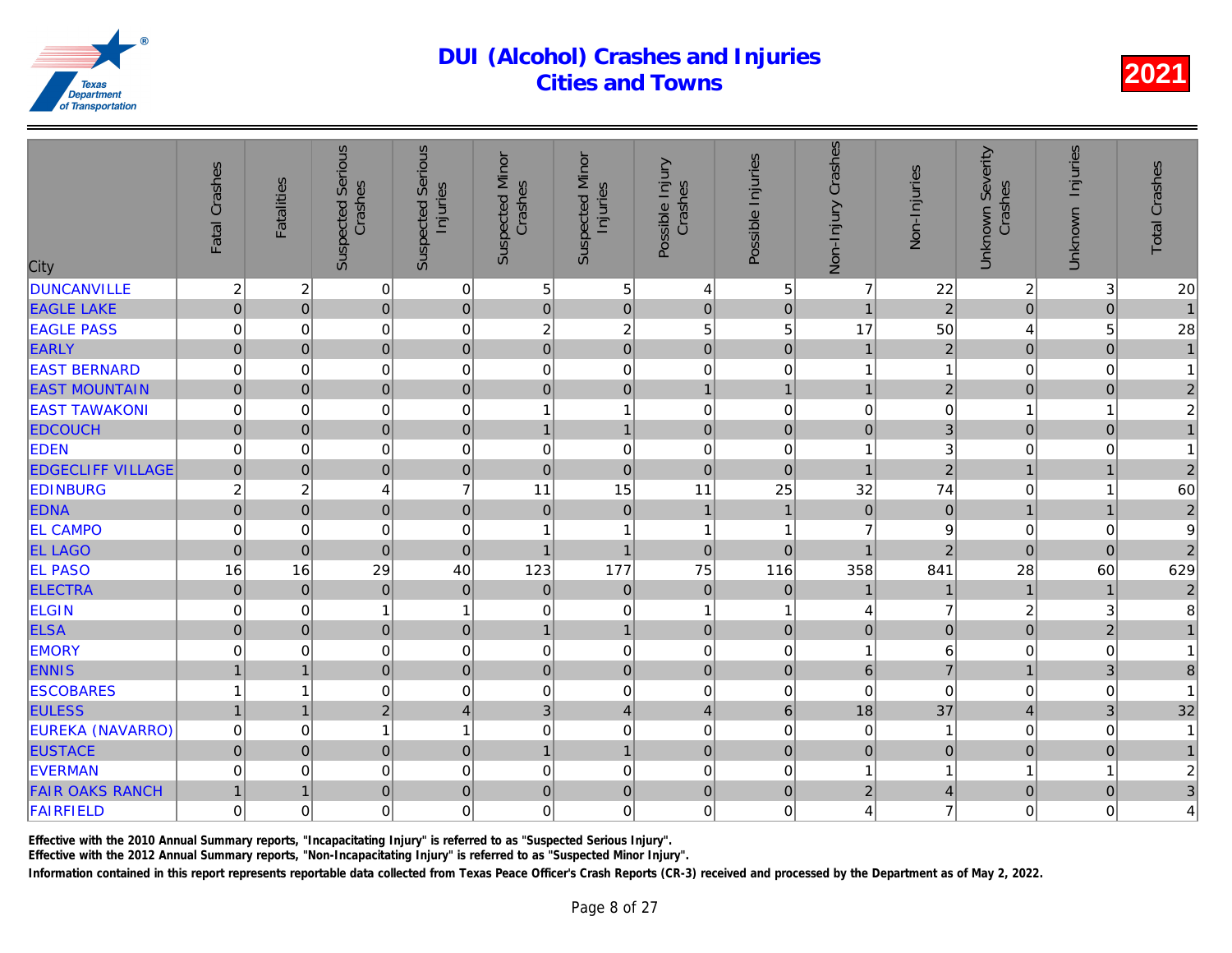| City                     | Fatal Crashes  | <b>Fatalities</b>       | <b>Suspected Serious</b><br>Crashes | <b>Suspected Serious</b><br>Injuries | <b>Suspected Minor</b><br>Crashes | <b>Suspected Minor</b><br>Injuries | Possible Injury<br>Crashes | Possible Injuries   | Non-Injury Crashes | Non-Injuries   |
|--------------------------|----------------|-------------------------|-------------------------------------|--------------------------------------|-----------------------------------|------------------------------------|----------------------------|---------------------|--------------------|----------------|
| <b>DUNCANVILLE</b>       | $\overline{c}$ | $\overline{\mathbf{c}}$ | 0                                   | $\mathbf 0$                          | 5                                 | 5                                  | $\overline{4}$             | 5                   | $\overline{7}$     | $\frac{22}{2}$ |
| <b>EAGLE LAKE</b>        | $\mathbf 0$    | $\overline{0}$          | $\overline{0}$                      | $\mathbf 0$                          | $\mathbf 0$                       | $\overline{0}$                     | $\mathbf 0$                | $\pmb{0}$           | $\mathbf{1}$       |                |
| <b>EAGLE PASS</b>        | 0              | 0                       | 0                                   | $\mathbf 0$                          | $\boldsymbol{2}$                  | $\overline{\mathbf{c}}$            | 5                          | 5                   | 17                 | 50             |
| <b>EARLY</b>             | $\overline{0}$ | 0                       | $\overline{0}$                      | $\mathbf 0$                          | $\mathbf 0$                       | $\overline{0}$                     | $\overline{0}$             | $\overline{0}$      | $\mathbf{1}$       | $\overline{a}$ |
| <b>EAST BERNARD</b>      | 0              | $\overline{0}$          | 0                                   | $\mathbf 0$                          | $\mathbf 0$                       | 0                                  | $\mathbf 0$                | $\mathbf 0$         | 1                  |                |
| <b>EAST MOUNTAIN</b>     | $\mathbf 0$    | $\overline{0}$          | $\overline{0}$                      | $\mathbf 0$                          | $\pmb{0}$                         | $\overline{0}$                     | $\overline{1}$             | $\overline{1}$      | $\overline{1}$     | $\overline{a}$ |
| <b>EAST TAWAKONI</b>     | 0              | $\mathbf 0$             | 0                                   | $\mathbf 0$                          | 1                                 | $\mathbf{1}$                       | $\overline{0}$             | 0                   | $\pmb{0}$          |                |
| <b>EDCOUCH</b>           | $\pmb{0}$      | 0                       | $\overline{0}$                      | $\mathbf 0$                          | $\mathbf{1}$                      | $\mathbf{1}$                       | $\mathbf{0}$               | $\mathbf 0$         | $\overline{0}$     | 3              |
| <b>EDEN</b>              | 0              | $\overline{0}$          | 0                                   | $\mathbf 0$                          | 0                                 | 0                                  | $\mathbf 0$                | 0                   | 1                  |                |
| <b>EDGECLIFF VILLAGE</b> | $\mathbf 0$    | 0                       | $\overline{0}$                      | $\mathbf 0$                          | $\mathbf 0$                       | $\mathbf 0$                        | $\overline{0}$             | $\mathbf 0$         | $\mathbf{1}$       | $\overline{2}$ |
| <b>EDINBURG</b>          | $\overline{c}$ | $\overline{c}$          | 4                                   | $\overline{7}$                       | 11                                | 15                                 | 11                         | 25                  | 32                 | 74             |
| <b>EDNA</b>              | $\pmb{0}$      | $\overline{0}$          | $\overline{0}$                      | $\mathbf 0$                          | $\overline{0}$                    | $\pmb{0}$                          | $\overline{1}$             | $\overline{1}$      | $\mathbf 0$        | $\overline{0}$ |
| <b>EL CAMPO</b>          | 0              | 0                       | 0                                   | $\mathbf 0$                          |                                   | 1                                  | $\overline{1}$             | 1                   | $\overline{7}$     |                |
| <b>EL LAGO</b>           | $\mathbf 0$    | 0                       | $\overline{0}$                      | $\mathbf 0$                          | $\mathbf{1}$                      | $\overline{1}$                     | $\mathbf 0$                | $\pmb{0}$           | $\overline{1}$     | $\overline{a}$ |
| <b>EL PASO</b>           | 16             | 16                      | 29                                  | 40                                   | 123                               | 177                                | 75                         | 116                 | 358                | 841            |
| <b>ELECTRA</b>           | $\mathbf 0$    | 0                       | $\overline{0}$                      | $\mathbf 0$                          | $\overline{0}$                    | $\mathbf 0$                        | $\overline{0}$             | $\mathbf 0$         |                    |                |
| <b>ELGIN</b>             | $\mathsf 0$    | 0                       | 1                                   | $\mathbf{1}$                         | $\mathbf 0$                       | 0                                  | $\overline{1}$             | 1                   | 4                  |                |
| <b>ELSA</b>              | $\pmb{0}$      | 0                       | 0                                   | $\boldsymbol{0}$                     | $\mathbf{1}$                      | $\mathbf{1}$                       | $\mathbf{0}$               | $\mathbf 0$         | $\overline{0}$     | $\Omega$       |
| <b>EMORY</b>             | 0              | 0                       | 0                                   | $\mathbf 0$                          | $\mathbf 0$                       | 0                                  | $\mathbf 0$                | 0                   | 1                  |                |
| <b>ENNIS</b>             | $\overline{1}$ | $\mathbf{1}$            | $\overline{0}$                      | $\mathbf 0$                          | $\pmb{0}$                         | $\overline{0}$                     | $\mathbf 0$                | $\mathbf{0}$        | $6\phantom{a}$     |                |
| <b>ESCOBARES</b>         | 1              | 1                       | 0                                   | $\mathbf 0$                          | $\mathbf 0$                       | 0                                  | $\overline{0}$             | 0                   | 0                  |                |
| <b>EULESS</b>            | $\mathbf{1}$   | $\mathbf{1}$            | $\overline{2}$                      | $\overline{4}$                       | 3                                 | $\overline{\mathbf{4}}$            | $\overline{4}$             | $6\phantom{1}$      | 18                 | 37             |
| <b>EUREKA (NAVARRO)</b>  | 0              | 0                       | $\mathbf{1}$                        | $\mathbf{1}$                         | $\mathbf 0$                       | 0                                  | $\mathbf 0$                | 0                   | 0                  |                |
| <b>EUSTACE</b>           | $\mathbf 0$    | $\overline{0}$          | $\overline{0}$                      | $\mathbf 0$                          | $\mathbf{1}$                      | $\mathbf{1}$                       | $\mathbf 0$                | $\mathsf{O}\xspace$ | $\overline{0}$     | $\Omega$       |
| <b>EVERMAN</b>           | 0              | 0                       | 0                                   | $\mathbf 0$                          | $\mathbf 0$                       | 0                                  | $\mathbf 0$                | 0                   | 1                  |                |
| <b>FAIR OAKS RANCH</b>   | $\mathbf{1}$   | $\mathbf{1}$            | $\overline{0}$                      | $\mathbf 0$                          | $\mathbf 0$                       | $\mathbf 0$                        | $\mathbf 0$                | $\pmb{0}$           | $\overline{2}$     |                |
| FAIRFIELD                | $\mathsf 0$    | $\overline{0}$          | 0                                   | $\mathbf 0$                          | $\mathbf 0$                       | 0                                  | $\mathbf 0$                | $\Omega$            | 4                  |                |
|                          |                |                         |                                     |                                      |                                   |                                    |                            |                     |                    |                |

Effective with the 2010 Annual Summary reports, "Incapacitating Injury" is referred to as "Suspected Serious Injury".

Effective with the 2012 Annual Summary reports, "Non-Incapacitating Injury" is referred to as "Suspected Minor Injury".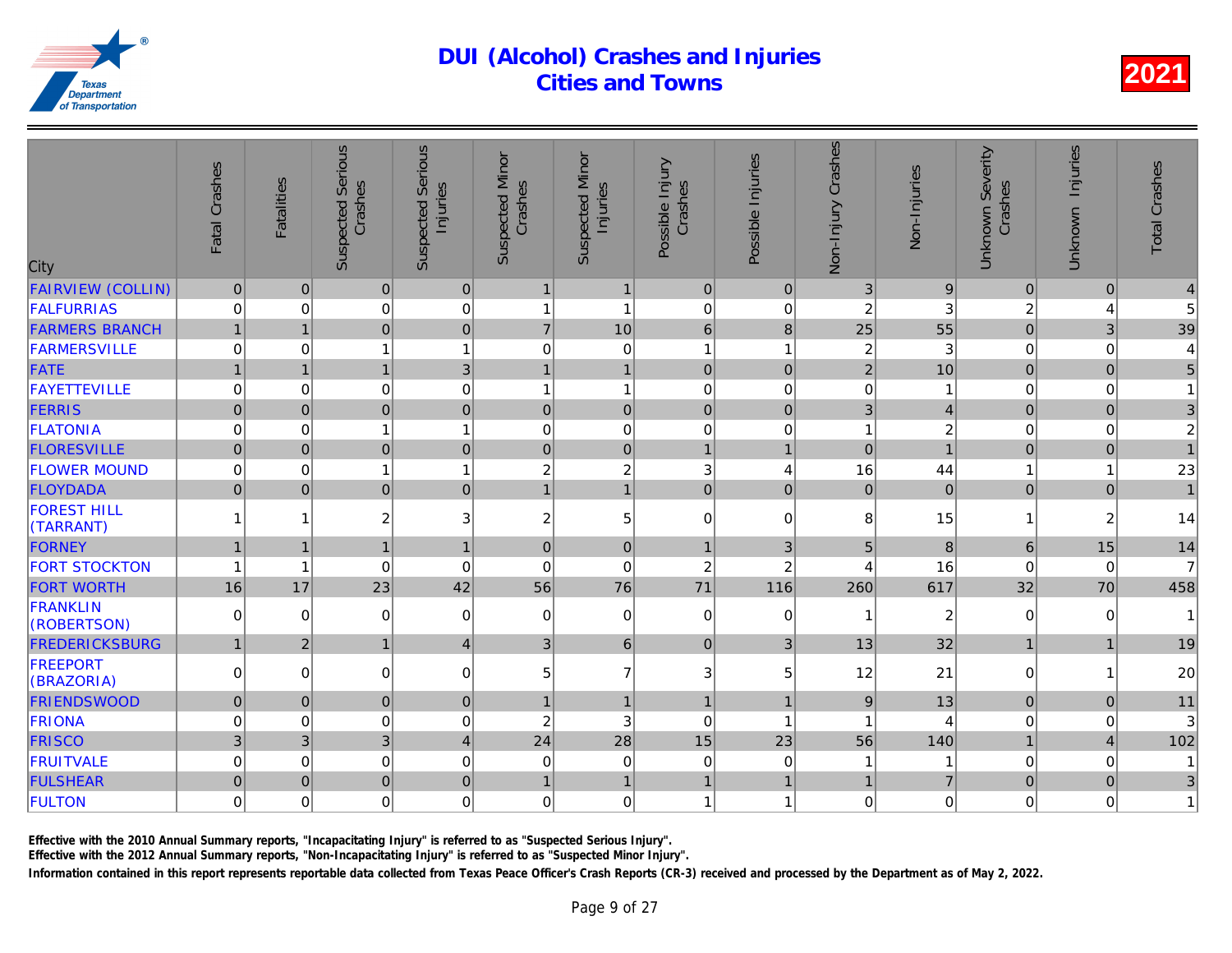| City                            | Fatal Crashes  | <b>Fatalities</b> | <b>Suspected Serious</b><br>Crashes | Serious<br>Injuries<br>Suspected | <b>Suspected Minor</b><br>Crashes | <b>Suspected Minor</b><br>Injuries | Possible Injury<br>Crashes | Possible Injuries | Non-Injury Crashes | Non-Injuries   |
|---------------------------------|----------------|-------------------|-------------------------------------|----------------------------------|-----------------------------------|------------------------------------|----------------------------|-------------------|--------------------|----------------|
| <b>FAIRVIEW (COLLIN)</b>        | $\mathbf 0$    | $\mathbf{0}$      | $\pmb{0}$                           | $\pmb{0}$                        | $\overline{1}$                    | $\mathbf{1}$                       | $\mathbf 0$                | $\mathbf 0$       | 3                  |                |
| <b>FALFURRIAS</b>               | 0              | $\Omega$          | 0                                   | $\mathbf 0$                      | 1                                 | $\mathbf{1}$                       | $\mathbf 0$                | 0                 | $\overline{c}$     |                |
| <b>FARMERS BRANCH</b>           | $\mathbf{1}$   | $\mathbf{1}$      | $\overline{0}$                      | $\mathbf 0$                      | $\overline{7}$                    | 10                                 | $6\phantom{1}$             | 8                 | 25                 | 55             |
| FARMERSVILLE                    | 0              | $\mathbf 0$       | $\mathbf{1}$                        | $\mathbf{1}$                     | $\mathbf 0$                       | $\boldsymbol{0}$                   | 1                          | 1                 | $\overline{c}$     | 3              |
| <b>FATE</b>                     | $\mathbf{1}$   |                   | $\mathbf{1}$                        | 3                                |                                   | $\mathbf{1}$                       | $\mathbf 0$                | $\mathbf 0$       | $\overline{2}$     | 10             |
| <b>FAYETTEVILLE</b>             | 0              | $\mathbf 0$       | 0                                   | $\mathbf 0$                      | 1                                 | $\mathbf{1}$                       | $\mathbf 0$                | 0                 | $\mathbf 0$        |                |
| <b>FERRIS</b>                   | $\overline{0}$ | $\Omega$          | $\overline{0}$                      | $\overline{0}$                   | $\mathbf 0$                       | $\overline{0}$                     | $\overline{0}$             | $\overline{0}$    | $\overline{3}$     |                |
| <b>FLATONIA</b>                 | 0              | $\mathbf 0$       | 1                                   | $\mathbf{1}$                     | $\mathbf 0$                       | $\mathbf 0$                        | $\mathbf 0$                | 0                 | 1                  | 2              |
| <b>FLORESVILLE</b>              | $\overline{0}$ | $\Omega$          | $\overline{0}$                      | $\mathbf 0$                      | $\pmb{0}$                         | $\overline{0}$                     | $\overline{1}$             | 1                 | $\overline{0}$     |                |
| <b>FLOWER MOUND</b>             | 0              | $\Omega$          | 1                                   | 1                                | $\overline{c}$                    | $\overline{c}$                     | 3                          | $\overline{4}$    | 16                 | 44             |
| <b>FLOYDADA</b>                 | $\overline{0}$ | $\Omega$          | $\overline{0}$                      | $\mathbf 0$                      | $\overline{1}$                    | $\overline{1}$                     | $\overline{0}$             | $\Omega$          | 0                  | $\overline{0}$ |
| <b>FOREST HILL</b><br>(TARRANT) |                | 1                 | 2                                   | $\ensuremath{\mathsf{3}}$        | $\overline{c}$                    | $\mathbf 5$                        | $\mathbf 0$                | 0                 | 8                  | 15             |
| FORNEY                          | $\mathbf{1}$   |                   | $\mathbf{1}$                        | $\mathbf{1}$                     | $\pmb{0}$                         | $\pmb{0}$                          | $\overline{1}$             | 3                 | 5                  | 8              |
| <b>FORT STOCKTON</b>            | $\overline{1}$ | 1                 | $\Omega$                            | $\Omega$                         | $\mathbf 0$                       | $\mathbf 0$                        | $\overline{c}$             | $\overline{c}$    | 4                  | 16             |
| <b>FORT WORTH</b>               | 16             | 17                | 23                                  | 42                               | 56                                | 76                                 | 71                         | 116               | 260                | 617            |
| <b>FRANKLIN</b><br>(ROBERTSON)  | $\Omega$       | $\Omega$          | 0                                   | 0                                | 0                                 | $\overline{0}$                     | $\Omega$                   | 0                 |                    | $\overline{a}$ |
| <b>FREDERICKSBURG</b>           | $\mathbf{1}$   | 2 <sup>1</sup>    | $\mathbf{1}$                        | $\overline{4}$                   | $\mathbf{3}$                      | 6 <sup>1</sup>                     | $\mathbf{0}$               | 3                 | 13                 | 32             |
| <b>FREEPORT</b><br>(BRAZORIA)   | $\Omega$       | $\Omega$          | 0                                   | $\mathbf 0$                      | 5                                 | $\overline{7}$                     | 3                          | 5                 | 12                 | 21             |
| <b>FRIENDSWOOD</b>              | $\overline{0}$ | $\Omega$          | $\overline{0}$                      | $\mathbf 0$                      |                                   | $\mathbf{1}$                       | $\overline{1}$             | 1                 | 9                  | 13             |
| FRIONA                          | 0              | $\mathbf 0$       | 0                                   | $\mathbf 0$                      | $\overline{c}$                    | 3                                  | $\mathbf 0$                | 1                 |                    |                |
| <b>FRISCO</b>                   | 3              | $\overline{3}$    | 3                                   | $\overline{4}$                   | 24                                | 28                                 | 15                         | 23                | 56                 | 140            |
| <b>FRUITVALE</b>                | 0              | $\mathbf 0$       | 0                                   | $\mathbf 0$                      | $\mathbf 0$                       | $\mathbf 0$                        | $\mathbf 0$                | 0                 |                    |                |
| <b>FULSHEAR</b>                 | $\overline{0}$ | $\Omega$          | $\overline{0}$                      | $\mathbf 0$                      | 1                                 | $\mathbf{1}$                       | $\overline{1}$             | 1                 | $\mathbf 1$        |                |
| <b>FULTON</b>                   | 0              | $\mathbf 0$       | 0                                   | $\mathbf 0$                      | $\mathbf 0$                       | $\mathbf 0$                        | $\overline{1}$             | 1                 | $\mathbf 0$        |                |
|                                 |                |                   |                                     |                                  |                                   |                                    |                            |                   |                    |                |

Effective with the 2010 Annual Summary reports, "Incapacitating Injury" is referred to as "Suspected Serious Injury".

Effective with the 2012 Annual Summary reports, "Non-Incapacitating Injury" is referred to as "Suspected Minor Injury".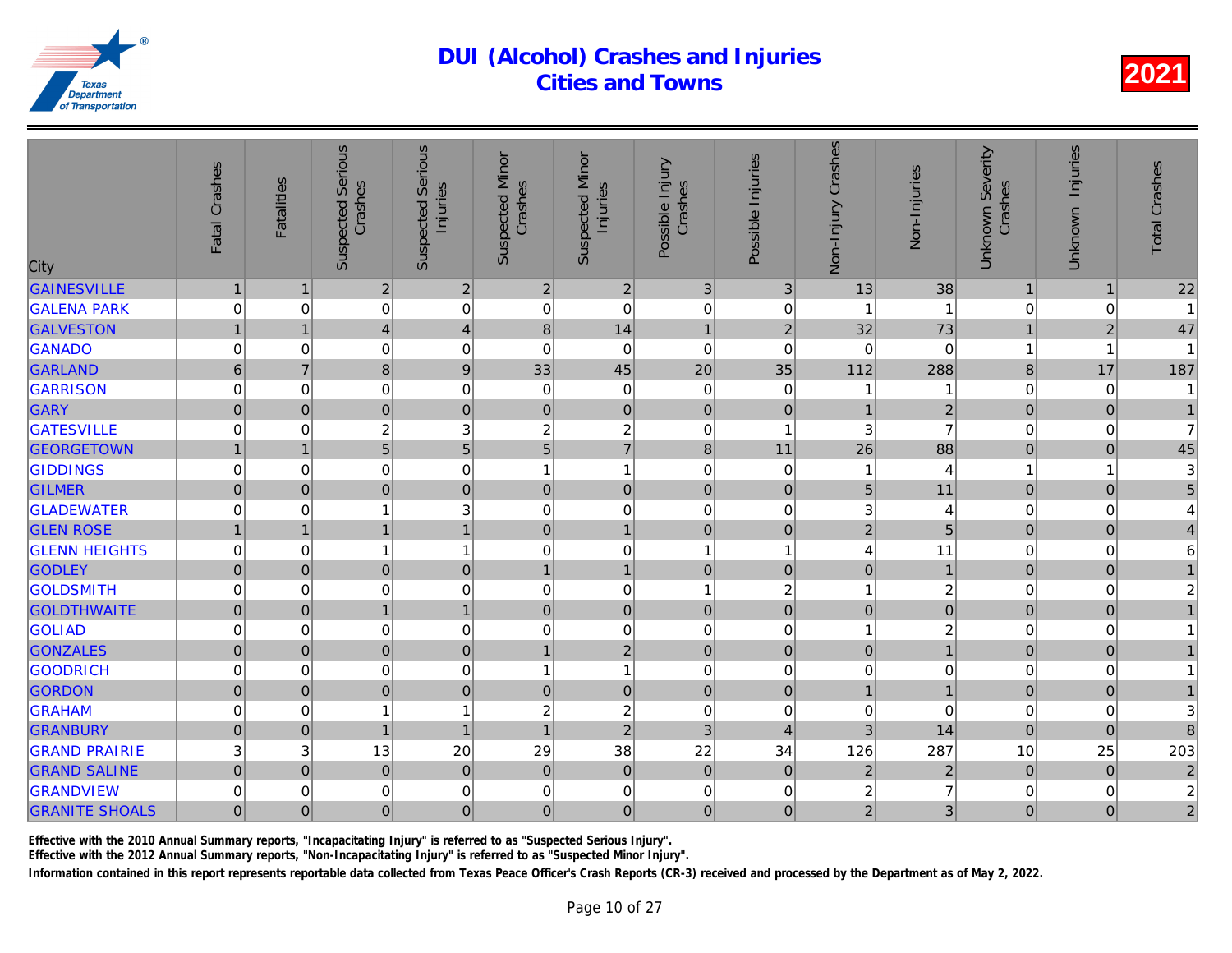| City                  | Fatal Crashes       | <b>Fatalities</b> | <b>Suspected Serious</b><br>Crashes | <b>Serious</b><br>Injuries<br>Suspected | <b>Suspected Minor</b><br>Crashes | <b>Suspected Minor</b><br>Injuries | Possible Injury<br>Crashes | Possible Injuries       | Non-Injury Crashes      | Non-Injuries   |
|-----------------------|---------------------|-------------------|-------------------------------------|-----------------------------------------|-----------------------------------|------------------------------------|----------------------------|-------------------------|-------------------------|----------------|
| <b>GAINESVILLE</b>    | $\mathbf{1}$        |                   | $\overline{2}$                      | $\overline{2}$                          | $\sqrt{2}$                        | $\sqrt{2}$                         | 3                          | 3                       | 13                      | 38             |
| <b>GALENA PARK</b>    | 0                   | $\Omega$          | 0                                   | $\mathbf 0$                             | $\mathbf 0$                       | $\mathbf 0$                        | $\mathbf 0$                | 0                       |                         |                |
| <b>GALVESTON</b>      | $\mathbf{1}$        | $\mathbf 1$       | $\overline{4}$                      | $\overline{4}$                          | 8                                 | 14                                 | $\mathbf{1}$               | $\overline{2}$          | 32                      | 73             |
| <b>GANADO</b>         | 0                   | 0                 | 0                                   | $\mathbf 0$                             | 0                                 | $\mathbf 0$                        | $\mathbf 0$                | 0                       | 0                       | $\Omega$       |
| <b>GARLAND</b>        | 6                   | $\overline{7}$    | 8                                   | 9                                       | 33                                | 45                                 | 20                         | 35                      | 112                     | 288            |
| <b>GARRISON</b>       | 0                   | $\mathbf 0$       | 0                                   | $\mathbf 0$                             | $\mathbf 0$                       | $\pmb{0}$                          | $\mathbf 0$                | $\mathbf 0$             |                         |                |
| <b>GARY</b>           | $\mathbf 0$         | $\mathbf{0}$      | $\overline{0}$                      | $\pmb{0}$                               | $\pmb{0}$                         | $\overline{0}$                     | $\mathbf 0$                | $\pmb{0}$               |                         | $\frac{2}{7}$  |
| <b>GATESVILLE</b>     | 0                   | $\mathbf 0$       | $\overline{c}$                      | 3                                       | $\overline{c}$                    | $\overline{c}$                     | $\mathbf 0$                | $\overline{\mathbf{1}}$ | 3                       |                |
| <b>GEORGETOWN</b>     | $\mathbf{1}$        | $\mathbf{1}$      | $\overline{5}$                      | 5                                       | $\overline{5}$                    | $\overline{7}$                     | 8                          | 11                      | 26                      | 88             |
| <b>GIDDINGS</b>       | 0                   | $\mathbf 0$       | 0                                   | $\mathbf 0$                             | 1                                 | $\mathbf{1}$                       | $\mathbf 0$                | $\mathbf 0$             |                         | 4              |
| <b>GILMER</b>         | $\mathbf 0$         | $\Omega$          | $\overline{0}$                      | $\mathbf 0$                             | $\pmb{0}$                         | $\overline{0}$                     | $\overline{0}$             | $\mathbf 0$             | 5                       | 11             |
| <b>GLADEWATER</b>     | 0                   | $\mathbf 0$       | 1                                   | 3                                       | $\mathbf 0$                       | $\mathbf 0$                        | $\mathbf 0$                | $\mathbf 0$             | 3                       |                |
| <b>GLEN ROSE</b>      | $\mathbf{1}$        | $\mathbf{1}$      | $\mathbf{1}$                        | $\mathbf{1}$                            | $\mathbf{0}$                      | $\mathbf{1}$                       | $\mathbf{0}$               | $\mathbf{0}$            | $\overline{2}$          | 5              |
| <b>GLENN HEIGHTS</b>  | 0                   | 0                 | 1                                   | $\mathbf{1}$                            | 0                                 | $\mathbf 0$                        | $\overline{1}$             | 1                       | 4                       | 11             |
| <b>GODLEY</b>         | $\mathbf 0$         | $\mathbf{0}$      | $\overline{0}$                      | $\mathbf 0$                             | 1                                 | $\mathbf{1}$                       | $\mathbf 0$                | $\mathbf 0$             | $\overline{0}$          |                |
| <b>GOLDSMITH</b>      | 0                   | 0                 | 0                                   | $\mathbf 0$                             | 0                                 | $\mathsf 0$                        | $\overline{1}$             | $\overline{c}$          | 1                       | $\overline{c}$ |
| <b>GOLDTHWAITE</b>    | $\mathsf{O}\xspace$ | $\mathbf 0$       | $\mathbf{1}$                        | $\mathbf{1}$                            | $\pmb{0}$                         | $\overline{0}$                     | $\mathbf 0$                | $\pmb{0}$               | $\pmb{0}$               | $\overline{0}$ |
| <b>GOLIAD</b>         | 0                   | $\mathbf 0$       | 0                                   | $\mathbf 0$                             | $\mathbf 0$                       | $\boldsymbol{0}$                   | $\mathbf 0$                | 0                       | $\mathbf{1}$            | $\overline{c}$ |
| <b>GONZALES</b>       | $\overline{0}$      | $\overline{0}$    | $\overline{0}$                      | $\mathbf 0$                             | 1                                 | $\overline{c}$                     | $\mathbf 0$                | $\mathbf{0}$            | 0                       |                |
| <b>GOODRICH</b>       | 0                   | $\Omega$          | 0                                   | $\mathbf 0$                             | 1                                 | $\mathbf{1}$                       | $\mathbf 0$                | $\mathbf 0$             | $\mathbf 0$             |                |
| <b>GORDON</b>         | $\mathbf 0$         | $\Omega$          | $\overline{0}$                      | $\mathbf 0$                             | $\pmb{0}$                         | $\overline{0}$                     | $\mathbf 0$                | $\pmb{0}$               | $\mathbf{1}$            |                |
| GRAHAM                | 0                   | $\mathbf 0$       | 1                                   | $\overline{1}$                          | $\overline{c}$                    | $\overline{c}$                     | $\mathbf 0$                | 0                       | $\mathbf 0$             |                |
| <b>GRANBURY</b>       | $\overline{0}$      | $\overline{0}$    | $\mathbf{1}$                        | $\overline{1}$                          | $\overline{1}$                    | $\overline{2}$                     | 3                          | $\overline{4}$          | 3                       | 14             |
| <b>GRAND PRAIRIE</b>  | 3                   | 3                 | 13                                  | 20                                      | 29                                | 38                                 | 22                         | 34                      | 126                     | 287            |
| <b>GRAND SALINE</b>   | $\mathbf 0$         | $\mathbf 0$       | $\mathbf 0$                         | $\mathbf 0$                             | $\pmb{0}$                         | $\overline{0}$                     | $\mathbf 0$                | $\mathbf 0$             | $\overline{2}$          | $\overline{a}$ |
| <b>GRANDVIEW</b>      | 0                   | $\mathbf 0$       | 0                                   | $\mathbf 0$                             | $\mathbf 0$                       | $\boldsymbol{0}$                   | $\mathbf 0$                | 0                       | $\overline{\mathbf{c}}$ |                |
| <b>GRANITE SHOALS</b> | $\overline{0}$      | $\mathbf{0}$      | $\mathbf 0$                         | $\mathbf 0$                             | $\mathbf{0}$                      | $\overline{0}$                     | $\mathbf 0$                | $\mathbf{0}$            | $\overline{2}$          |                |
|                       |                     |                   |                                     |                                         |                                   |                                    |                            |                         |                         |                |

Effective with the 2010 Annual Summary reports, "Incapacitating Injury" is referred to as "Suspected Serious Injury".

Effective with the 2012 Annual Summary reports, "Non-Incapacitating Injury" is referred to as "Suspected Minor Injury".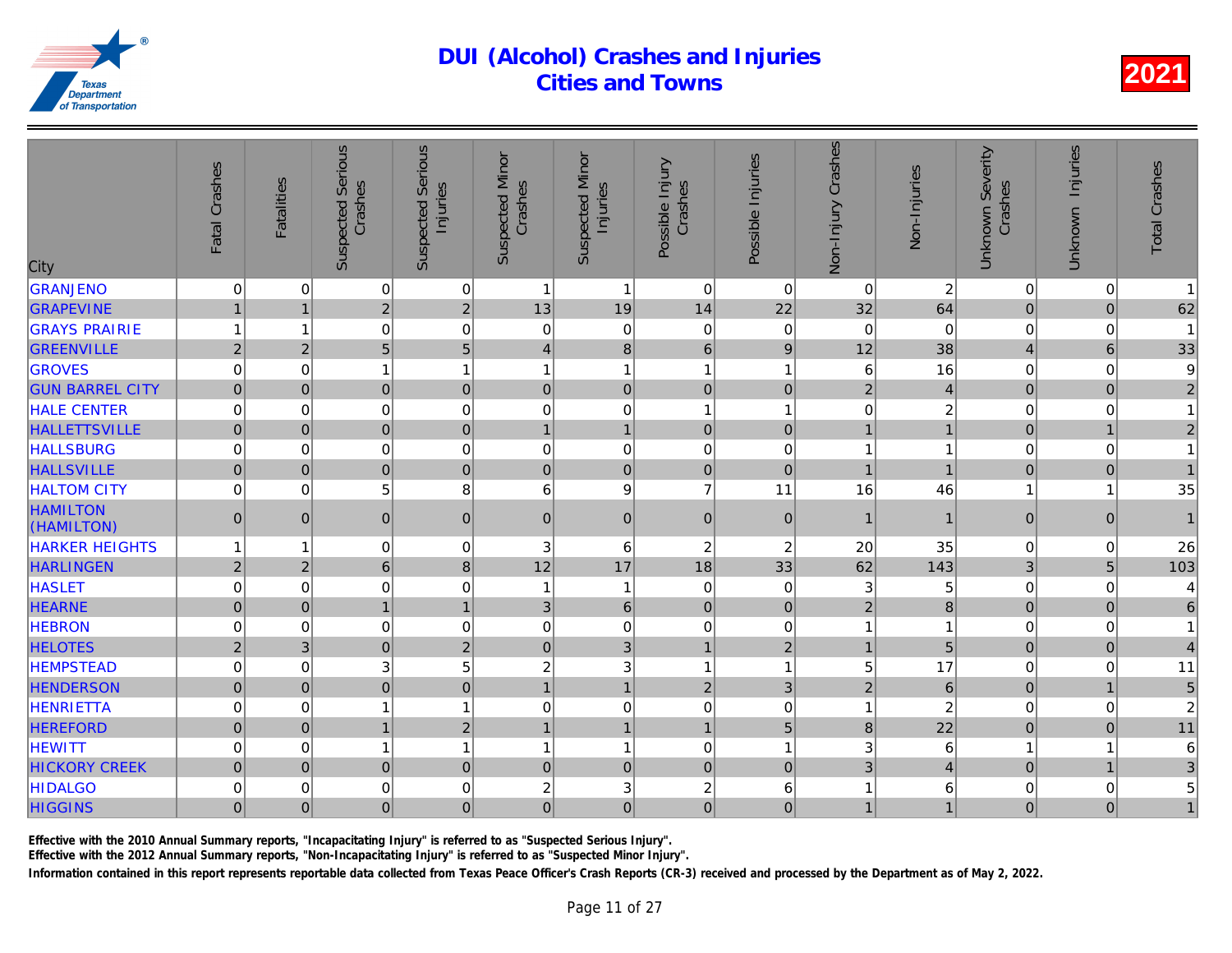| City                          | Fatal Crashes  | <b>Fatalities</b> | <b>Suspected Serious</b><br>Crashes | Serious<br>Injuries<br>Suspected | <b>Suspected Minor</b><br>Crashes | <b>Suspected Minor</b><br>Injuries | Possible Injury<br>Crashes | Possible Injuries | Crashes<br>Non-Injury | Non-Injuries   |
|-------------------------------|----------------|-------------------|-------------------------------------|----------------------------------|-----------------------------------|------------------------------------|----------------------------|-------------------|-----------------------|----------------|
| <b>GRANJENO</b>               | 0              | 0                 | 0                                   | $\pmb{0}$                        | $\mathbf{1}$                      | $\mathbf{1}$                       | $\mathbf 0$                | $\Omega$          | $\Omega$              | $\overline{a}$ |
| <b>GRAPEVINE</b>              | $\mathbf{1}$   | $\mathbf{1}$      | $\overline{2}$                      | $\overline{2}$                   | 13                                | 19                                 | 14                         | 22                | 32                    | 64             |
| <b>GRAYS PRAIRIE</b>          | $\mathbf{1}$   | $\mathbf{1}$      | 0                                   | $\mathbf 0$                      | $\mathbf 0$                       | 0                                  | $\overline{0}$             | 0                 | $\mathbf 0$           | $\Omega$       |
| <b>GREENVILLE</b>             | $\overline{2}$ | $\overline{2}$    | 5                                   | 5                                | $\overline{4}$                    | 8                                  | 6                          | 9                 | 12                    | 38             |
| <b>GROVES</b>                 | 0              | $\mathbf 0$       | $\mathbf{1}$                        | $\mathbf{1}$                     | 1                                 | $\mathbf{1}$                       | $\overline{1}$             | 1                 | 6                     | 16             |
| <b>GUN BARREL CITY</b>        | $\mathbf{0}$   | $\overline{0}$    | $\overline{0}$                      | $\mathbf 0$                      | $\mathbf{0}$                      | $\mathbf 0$                        | $\overline{0}$             | $\mathbf{0}$      | $\overline{2}$        | $\overline{4}$ |
| <b>HALE CENTER</b>            | $\mathsf 0$    | 0                 | 0                                   | $\mathbf 0$                      | $\mathbf 0$                       | 0                                  | 1                          | 1                 | 0                     | $\overline{a}$ |
| <b>HALLETTSVILLE</b>          | $\mathbf 0$    | 0                 | $\overline{0}$                      | $\mathbf 0$                      | $\mathbf{1}$                      | $\mathbf{1}$                       | $\mathbf 0$                | $\mathbf 0$       | $\mathbf{1}$          |                |
| <b>HALLSBURG</b>              | 0              | $\Omega$          | 0                                   | $\mathbf 0$                      | $\mathbf 0$                       | 0                                  | $\mathbf 0$                | 0                 | 1                     |                |
| <b>HALLSVILLE</b>             | $\mathbf 0$    | $\Omega$          | $\overline{0}$                      | $\overline{0}$                   | $\mathbf 0$                       | $\mathbf 0$                        | $\overline{0}$             | $\Omega$          | $\overline{1}$        |                |
| <b>HALTOM CITY</b>            | 0              | $\Omega$          | 5                                   | 8                                | 6                                 | 9                                  | $\overline{7}$             | 11                | 16                    | 46             |
| <b>HAMILTON</b><br>(HAMILTON) | $\mathbf{0}$   | $\Omega$          | $\overline{0}$                      | $\mathbf 0$                      | $\overline{0}$                    | $\mathbf 0$                        | $\Omega$                   | $\Omega$          | $\mathbf{1}$          | $\mathbf{1}$   |
| <b>HARKER HEIGHTS</b>         | 1              | 1                 | 0                                   | $\mathbf 0$                      | 3                                 | 6                                  | $\overline{c}$             | $\overline{c}$    | 20                    | 35             |
| <b>HARLINGEN</b>              | $\overline{c}$ | $\overline{2}$    | $6\overline{6}$                     | 8                                | 12                                | 17                                 | 18                         | 33                | 62                    | 143            |
| <b>HASLET</b>                 | 0              | $\overline{0}$    | 0                                   | $\mathbf 0$                      | 1                                 | $\mathbf{1}$                       | $\overline{0}$             | $\Omega$          | 3                     |                |
| <b>HEARNE</b>                 | $\mathbf 0$    | $\Omega$          | $\overline{1}$                      | $\mathbf{1}$                     | 3                                 | $6\phantom{a}$                     | $\mathbf{0}$               | $\mathbf 0$       | $\overline{2}$        | 8              |
| <b>HEBRON</b>                 | 0              | 0                 | 0                                   | $\mathbf 0$                      | $\mathbf 0$                       | 0                                  | $\mathbf 0$                | 0                 | 1                     |                |
| <b>HELOTES</b>                | $\overline{2}$ | 3 <sup>1</sup>    | $\overline{0}$                      | $\overline{2}$                   | $\mathbf 0$                       | 3                                  | $\overline{1}$             | $\overline{2}$    | $\mathbf{1}$          | 5              |
| <b>HEMPSTEAD</b>              | 0              | $\mathbf 0$       | 3                                   | 5                                | 2                                 | 3                                  | $\overline{1}$             | 1                 | 5                     | 17             |
| <b>HENDERSON</b>              | $\pmb{0}$      | $\overline{0}$    | $\overline{0}$                      | $\mathbf 0$                      | $\mathbf{1}$                      | $\overline{1}$                     | $\overline{2}$             | 3                 | $\overline{2}$        | $\overline{6}$ |
| <b>HENRIETTA</b>              | 0              | 0                 | 1                                   | $\mathbf{1}$                     | 0                                 | $\mathsf{O}\xspace$                | $\mathbf 0$                | $\mathbf 0$       | 1                     | $\overline{a}$ |
| <b>HEREFORD</b>               | $\overline{0}$ | 0                 | $\mathbf{1}$                        | $\overline{2}$                   | $\mathbf{1}$                      | $\overline{1}$                     | $\mathbf{1}$               | 5                 | $\bf{8}$              | 22             |
| <b>HEWITT</b>                 | 0              | $\Omega$          | $\mathbf{1}$                        | $\mathbf{1}$                     | 1                                 | $\mathbf{1}$                       | $\mathbf 0$                | 1                 | 3                     | 6              |
| <b>HICKORY CREEK</b>          | $\overline{0}$ | $\Omega$          | $\overline{0}$                      | $\mathbf 0$                      | $\mathbf{0}$                      | $\mathbf 0$                        | $\overline{0}$             | $\Omega$          | 3 <sup>1</sup>        |                |
| <b>HIDALGO</b>                | 0              | 0                 | 0                                   | $\mathbf 0$                      | 2                                 | 3                                  | $\overline{c}$             | 6                 | 1                     |                |
| <b>HIGGINS</b>                | $\overline{0}$ | $\overline{0}$    | $\overline{0}$                      | $\mathbf 0$                      | $\overline{0}$                    | $\overline{0}$                     | $\mathbf 0$                | $\Omega$          | 1                     |                |

Effective with the 2010 Annual Summary reports, "Incapacitating Injury" is referred to as "Suspected Serious Injury".

Effective with the 2012 Annual Summary reports, "Non-Incapacitating Injury" is referred to as "Suspected Minor Injury".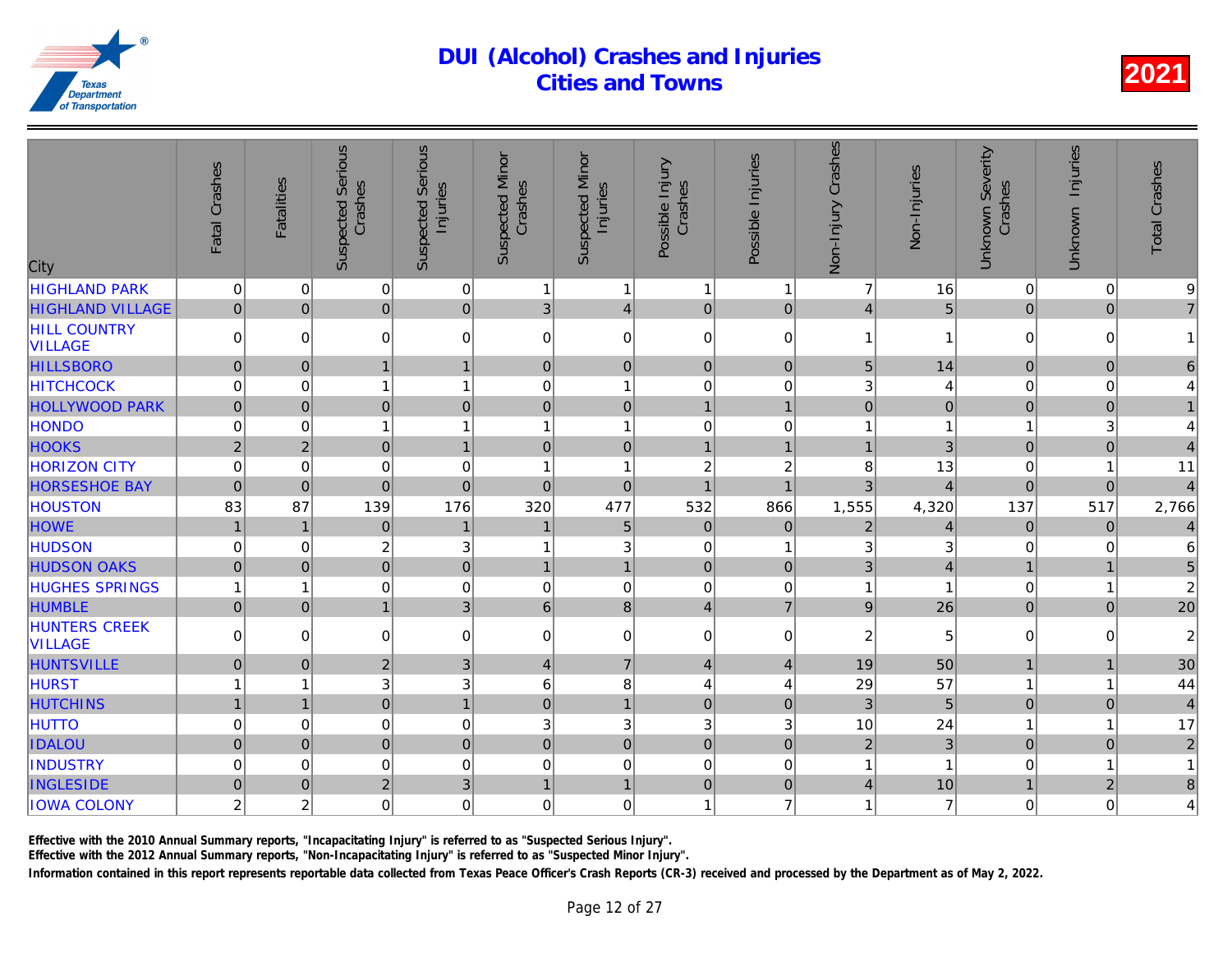| City                                   | Fatal Crashes  | <b>Fatalities</b> | <b>Suspected Serious</b><br>Crashes | <b>Serious</b><br>Injuries<br>Suspected | <b>Suspected Minor</b><br>Crashes | <b>Suspected Minor</b><br>Injuries | Possible Injury<br>Crashes | Possible Injuries | Non-Injury Crashes | Non-Injuries   |
|----------------------------------------|----------------|-------------------|-------------------------------------|-----------------------------------------|-----------------------------------|------------------------------------|----------------------------|-------------------|--------------------|----------------|
| <b>HIGHLAND PARK</b>                   | 0              | $\mathbf 0$       | 0                                   | $\mathbf 0$                             | 1                                 | $\mathbf{1}$                       | $\overline{1}$             | 1                 | $\overline{7}$     | 16             |
| <b>HIGHLAND VILLAGE</b>                | $\overline{0}$ | $\overline{0}$    | $\overline{0}$                      | $\mathbf 0$                             | $\overline{3}$                    | $\vert 4 \vert$                    | $\mathbf 0$                | $\mathbf 0$       | 4                  | $\overline{5}$ |
| <b>HILL COUNTRY</b><br><b>VILLAGE</b>  | 0              | $\Omega$          | 0                                   | $\mathbf 0$                             | $\mathbf 0$                       | $\overline{0}$                     | $\mathbf 0$                | 0                 | $\mathbf 1$        |                |
| <b>HILLSBORO</b>                       | $\overline{0}$ | $\mathbf{0}$      | $\mathbf{1}$                        | $\overline{1}$                          | $\pmb{0}$                         | $\overline{0}$                     | $\mathbf 0$                | $\mathbf 0$       | 5                  | 14             |
| <b>HITCHCOCK</b>                       | 0              | $\mathbf 0$       | $\overline{1}$                      | 1                                       | $\mathbf 0$                       | $\mathbf{1}$                       | $\mathbf 0$                | 0                 | 3                  |                |
| <b>HOLLYWOOD PARK</b>                  | $\mathbf{0}$   | $\Omega$          | $\overline{0}$                      | $\mathbf 0$                             | $\pmb{0}$                         | $\overline{0}$                     | $\overline{1}$             | 1                 | $\overline{0}$     |                |
| <b>HONDO</b>                           | 0              | $\mathbf 0$       | 1                                   | $\overline{1}$                          | 1                                 | 1                                  | $\mathbf 0$                | 0                 |                    |                |
| <b>HOOKS</b>                           | $\overline{2}$ | $\overline{2}$    | $\overline{0}$                      | $\overline{1}$                          | $\mathbf{0}$                      | $\overline{0}$                     | $\overline{1}$             | 1                 | $\overline{1}$     | $\overline{3}$ |
| <b>HORIZON CITY</b>                    | 0              | $\Omega$          | 0                                   | $\mathbf 0$                             |                                   | $\overline{1}$                     | $\overline{c}$             | $\overline{c}$    | $\,8\,$            | 13             |
| <b>HORSESHOE BAY</b>                   | $\overline{0}$ | $\Omega$          | $\overline{0}$                      | $\overline{0}$                          | $\Omega$                          | $\overline{0}$                     | $\overline{1}$             | 1                 | 3                  |                |
| <b>HOUSTON</b>                         | 83             | 87                | 139                                 | 176                                     | 320                               | 477                                | 532                        | 866               | 1,555              | 4,320          |
| <b>HOWE</b>                            | $\mathbf{1}$   | 1                 | $\mathbf 0$                         | $\mathbf{1}$                            | $\overline{1}$                    | 5                                  | $\mathbf 0$                | $\mathbf 0$       | $\overline{2}$     |                |
| <b>HUDSON</b>                          | 0              | $\Omega$          | $\overline{c}$                      | 3                                       |                                   | 3                                  | $\Omega$                   | 1                 | 3                  |                |
| <b>HUDSON OAKS</b>                     | $\overline{0}$ | $\Omega$          | $\overline{0}$                      | $\mathbf 0$                             |                                   | $\mathbf{1}$                       | $\Omega$                   | $\Omega$          | 3                  |                |
| <b>HUGHES SPRINGS</b>                  | 1              |                   | 0                                   | $\mathbf 0$                             | $\mathbf 0$                       | $\mathbf 0$                        | $\mathbf 0$                | 0                 | 1                  |                |
| <b>HUMBLE</b>                          | $\mathbf 0$    | $\Omega$          | $\mathbf{1}$                        | 3                                       | $6\phantom{1}$                    | 8 <sup>1</sup>                     | $\overline{4}$             | $\overline{7}$    | 9                  | 26             |
| <b>HUNTERS CREEK</b><br><b>VILLAGE</b> | 0              | $\mathbf 0$       | 0                                   | $\mathbf 0$                             | $\mathbf 0$                       | $\overline{0}$                     | $\pmb{0}$                  | 0                 | 2                  | 5              |
| <b>HUNTSVILLE</b>                      | $\overline{0}$ | $\Omega$          | $\overline{2}$                      | 3                                       | $\overline{4}$                    | $\overline{7}$                     | $\overline{4}$             | $\overline{4}$    | 19                 | 50             |
| <b>HURST</b>                           |                |                   | 3                                   | 3                                       | 6                                 | 8                                  | $\overline{4}$             | 4                 | 29                 | 57             |
| <b>HUTCHINS</b>                        | $\mathbf{1}$   | 1                 | $\overline{0}$                      | $\mathbf{1}$                            | $\mathbf{0}$                      | $\overline{1}$                     | $\mathbf 0$                | $\mathbf 0$       | 3                  | 5              |
| <b>HUTTO</b>                           | 0              | $\mathbf 0$       | 0                                   | $\mathbf 0$                             | 3                                 | 3                                  | 3                          | 3                 | 10                 | 24             |
| <b>IDALOU</b>                          | $\overline{0}$ | $\mathbf 0$       | $\overline{0}$                      | $\mathbf 0$                             | $\mathbf 0$                       | $\overline{0}$                     | $\mathbf 0$                | $\mathbf 0$       | $\overline{2}$     | 3              |
| <b>INDUSTRY</b>                        | 0              | $\Omega$          | 0                                   | $\mathbf 0$                             | $\Omega$                          | $\mathbf 0$                        | $\Omega$                   | $\Omega$          | 1                  |                |
| <b>INGLESIDE</b>                       | $\overline{0}$ | $\Omega$          | $\overline{2}$                      | 3                                       | 1                                 | $\mathbf{1}$                       | $\mathbf 0$                | $\pmb{0}$         | $\overline{4}$     | 10             |
| <b>IOWA COLONY</b>                     | $\overline{c}$ | $\boldsymbol{2}$  | 0                                   | $\mathbf 0$                             | $\mathbf 0$                       | 0                                  | $\overline{1}$             | $\overline{7}$    | 1                  |                |
|                                        |                |                   |                                     |                                         |                                   |                                    |                            |                   |                    |                |

Effective with the 2010 Annual Summary reports, "Incapacitating Injury" is referred to as "Suspected Serious Injury".

Effective with the 2012 Annual Summary reports, "Non-Incapacitating Injury" is referred to as "Suspected Minor Injury".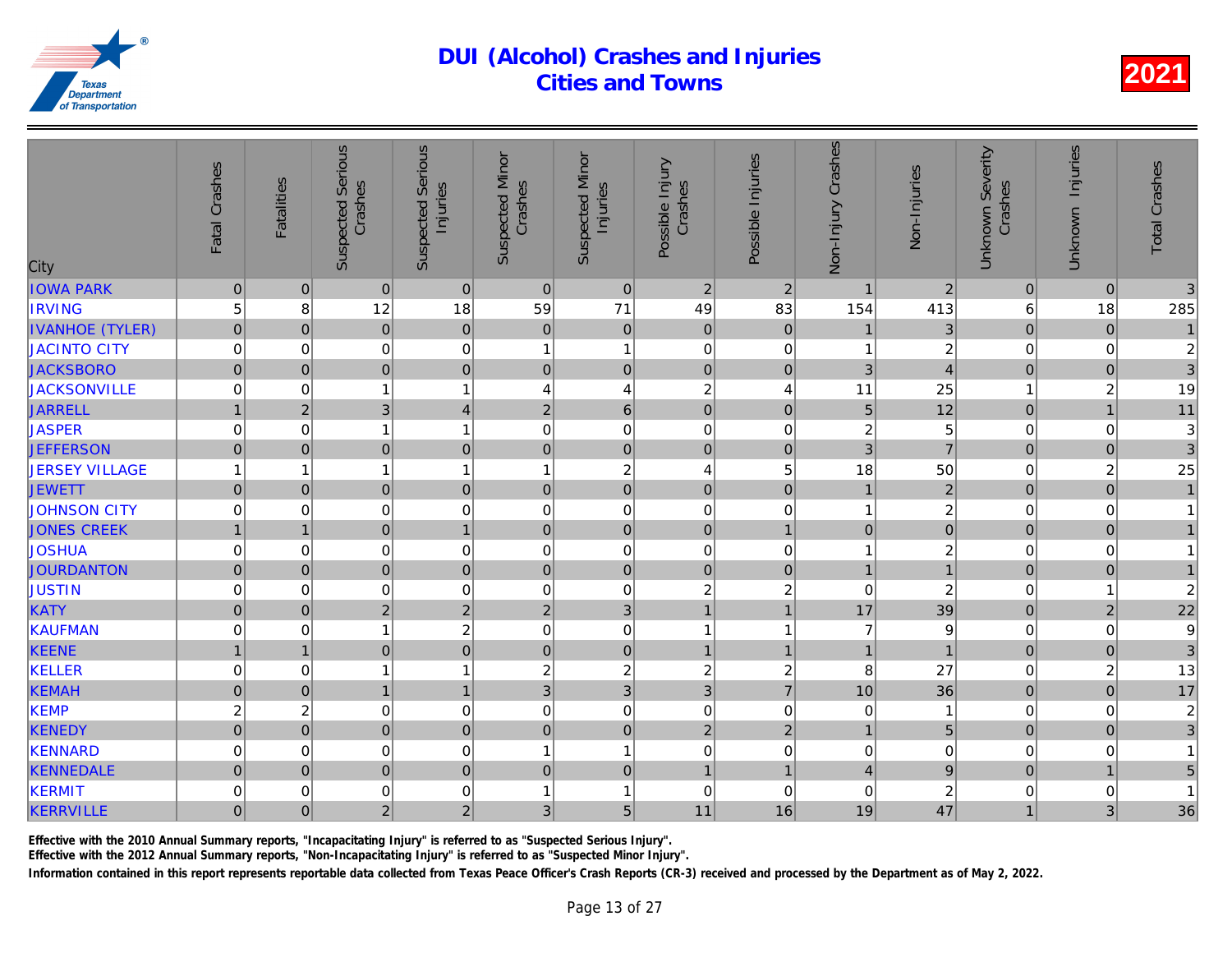| City                   | Fatal Crashes  | <b>Fatalities</b> | <b>Suspected Serious</b><br>Crashes | <b>Serious</b><br>Injuries<br>Suspected | <b>Suspected Minor</b><br>Crashes | <b>Suspected Minor</b><br>Injuries | Possible Injury<br>Crashes | Possible Injuries | Non-Injury Crashes | Non-Injuries   |
|------------------------|----------------|-------------------|-------------------------------------|-----------------------------------------|-----------------------------------|------------------------------------|----------------------------|-------------------|--------------------|----------------|
| <b>IOWA PARK</b>       | $\pmb{0}$      | $\mathbf{0}$      | $\overline{0}$                      | $\mathbf{0}$                            | $\mathbf{0}$                      | $\overline{0}$                     | $\overline{2}$             | $\overline{2}$    | $\overline{1}$     | $\overline{a}$ |
| <b>IRVING</b>          | 5              | 8                 | 12                                  | 18                                      | 59                                | 71                                 | 49                         | 83                | 154                | 413            |
| <b>IVANHOE (TYLER)</b> | $\mathbf 0$    | $\mathbf{0}$      | $\overline{0}$                      | $\pmb{0}$                               | $\pmb{0}$                         | $\overline{0}$                     | $\mathbf 0$                | $\pmb{0}$         | $\mathbf{1}$       | 3              |
| JACINTO CITY           | 0              | 0                 | 0                                   | $\mathbf 0$                             | 1                                 | $\mathbf{1}$                       | $\mathbf 0$                | 0                 | 1                  | $\overline{a}$ |
| <b>JACKSBORO</b>       | $\overline{0}$ | $\overline{0}$    | $\overline{0}$                      | $\mathbf 0$                             | $\pmb{0}$                         | $\overline{0}$                     | $\mathbf 0$                | $\mathbf 0$       | 3                  | $\overline{4}$ |
| <b>JACKSONVILLE</b>    | 0              | $\Omega$          | $\mathbf{1}$                        | $\mathbf{1}$                            | 4                                 | $\overline{4}$                     | $\overline{c}$             | 4                 | 11                 | 25             |
| <b>JARRELL</b>         | $\mathbf{1}$   | 2 <sup>1</sup>    | 3                                   | $\overline{4}$                          | $\sqrt{2}$                        | $6\phantom{1}$                     | $\mathbf 0$                | $\mathbf{0}$      | 5                  | 12             |
| <b>JASPER</b>          | 0              | $\mathbf 0$       | $\mathbf{1}$                        | $\mathbf{1}$                            | $\mathbf 0$                       | $\mathbf 0$                        | $\mathbf 0$                | 0                 | 2                  | 5              |
| <b>JEFFERSON</b>       | $\overline{0}$ | $\mathbf{0}$      | $\overline{0}$                      | $\mathbf 0$                             | $\mathbf{0}$                      | $\overline{0}$                     | $\mathbf 0$                | $\mathbf 0$       | $\overline{3}$     | $\overline{7}$ |
| <b>JERSEY VILLAGE</b>  | 1              | 1                 | $\mathbf{1}$                        | $\mathbf{1}$                            | 1                                 | $\boldsymbol{2}$                   | $\overline{4}$             | 5                 | 18                 | 50             |
| <b>JEWETT</b>          | $\overline{0}$ | $\Omega$          | $\overline{0}$                      | $\mathbf 0$                             | $\mathbf{0}$                      | $\overline{0}$                     | $\overline{0}$             | $\mathbf 0$       | 1                  | $\overline{a}$ |
| JOHNSON CITY           | 0              | $\Omega$          | 0                                   | $\mathbf 0$                             | $\mathbf 0$                       | $\mathbf 0$                        | $\mathbf 0$                | $\mathbf 0$       | 1                  | $\overline{c}$ |
| <b>JONES CREEK</b>     | $\mathbf{1}$   | $\mathbf{1}$      | $\overline{0}$                      | $\overline{1}$                          | $\mathbf 0$                       | $\overline{0}$                     | $\mathbf 0$                | $\mathbf{1}$      | $\mathbf 0$        | $\overline{0}$ |
| <b>JOSHUA</b>          | 0              | $\mathbf 0$       | 0                                   | $\mathbf 0$                             | $\mathbf 0$                       | $\mathbf 0$                        | $\mathbf 0$                | 0                 | 1                  | $\overline{2}$ |
| <b>JOURDANTON</b>      | $\mathbf 0$    | $\Omega$          | $\overline{0}$                      | $\mathbf 0$                             | $\mathbf{0}$                      | $\overline{0}$                     | $\mathbf 0$                | $\mathbf 0$       | $\overline{1}$     |                |
| <b>JUSTIN</b>          | 0              | $\Omega$          | 0                                   | $\mathbf 0$                             | $\mathbf 0$                       | $\mathbf 0$                        | $\overline{c}$             | $\overline{c}$    | $\Omega$           | $\overline{a}$ |
| <b>KATY</b>            | $\overline{0}$ | $\mathbf 0$       | $\overline{2}$                      | $\overline{2}$                          | $\overline{2}$                    | $\overline{3}$                     | $\mathbf{1}$               | $\overline{1}$    | 17                 | 39             |
| KAUFMAN                | 0              | 0                 | $\mathbf{1}$                        | $\overline{c}$                          | $\mathbf 0$                       | $\mathbf 0$                        | $\overline{1}$             | 1                 | $\overline{7}$     |                |
| <b>KEENE</b>           | $\overline{1}$ | $\mathbf{1}$      | $\overline{0}$                      | $\mathbf 0$                             | $\pmb{0}$                         | $\overline{0}$                     | $\mathbf{1}$               | $\overline{1}$    | $\overline{1}$     |                |
| KELLER                 | 0              | $\mathbf 0$       | $\mathbf{1}$                        | $\mathbf{1}$                            | $\boldsymbol{2}$                  | $\overline{c}$                     | $\overline{c}$             | $\overline{c}$    | 8                  | 27             |
| <b>KEMAH</b>           | $\mathbf 0$    | $\mathbf{0}$      | $\mathbf{1}$                        | $\mathbf{1}$                            | $\sqrt{3}$                        | $\overline{3}$                     | 3                          | $\overline{7}$    | 10                 | 36             |
| KEMP                   | 2              | $\boldsymbol{2}$  | 0                                   | $\mathbf 0$                             | $\mathbf 0$                       | $\mathsf{O}\xspace$                | $\mathbf 0$                | $\mathbf 0$       | $\mathbf 0$        |                |
| <b>KENEDY</b>          | $\overline{0}$ | $\overline{0}$    | $\overline{0}$                      | $\mathbf 0$                             | $\mathbf 0$                       | $\overline{0}$                     | $\overline{c}$             | $\overline{c}$    | $\mathbf{1}$       | 5              |
| KENNARD                | 0              | $\mathbf 0$       | 0                                   | $\mathbf 0$                             | $\overline{1}$                    | $\mathbf{1}$                       | $\mathbf 0$                | $\mathbf 0$       | $\mathbf 0$        |                |
| <b>KENNEDALE</b>       | $\mathbf 0$    | $\Omega$          | $\overline{0}$                      | $\mathbf 0$                             | $\pmb{0}$                         | $\overline{0}$                     | $\overline{1}$             | $\overline{1}$    | $\overline{4}$     |                |
| KERMIT                 | 0              | $\mathbf 0$       | 0                                   | $\mathbf 0$                             | 1                                 | 1                                  | $\mathbf 0$                | 0                 | $\mathbf 0$        |                |
| <b>KERRVILLE</b>       | $\overline{0}$ | $\overline{0}$    | $\overline{2}$                      | $\overline{2}$                          | 3                                 | 5                                  | 11                         | 16                | 19                 | 47             |
|                        |                |                   |                                     |                                         |                                   |                                    |                            |                   |                    |                |

Effective with the 2010 Annual Summary reports, "Incapacitating Injury" is referred to as "Suspected Serious Injury".

Effective with the 2012 Annual Summary reports, "Non-Incapacitating Injury" is referred to as "Suspected Minor Injury".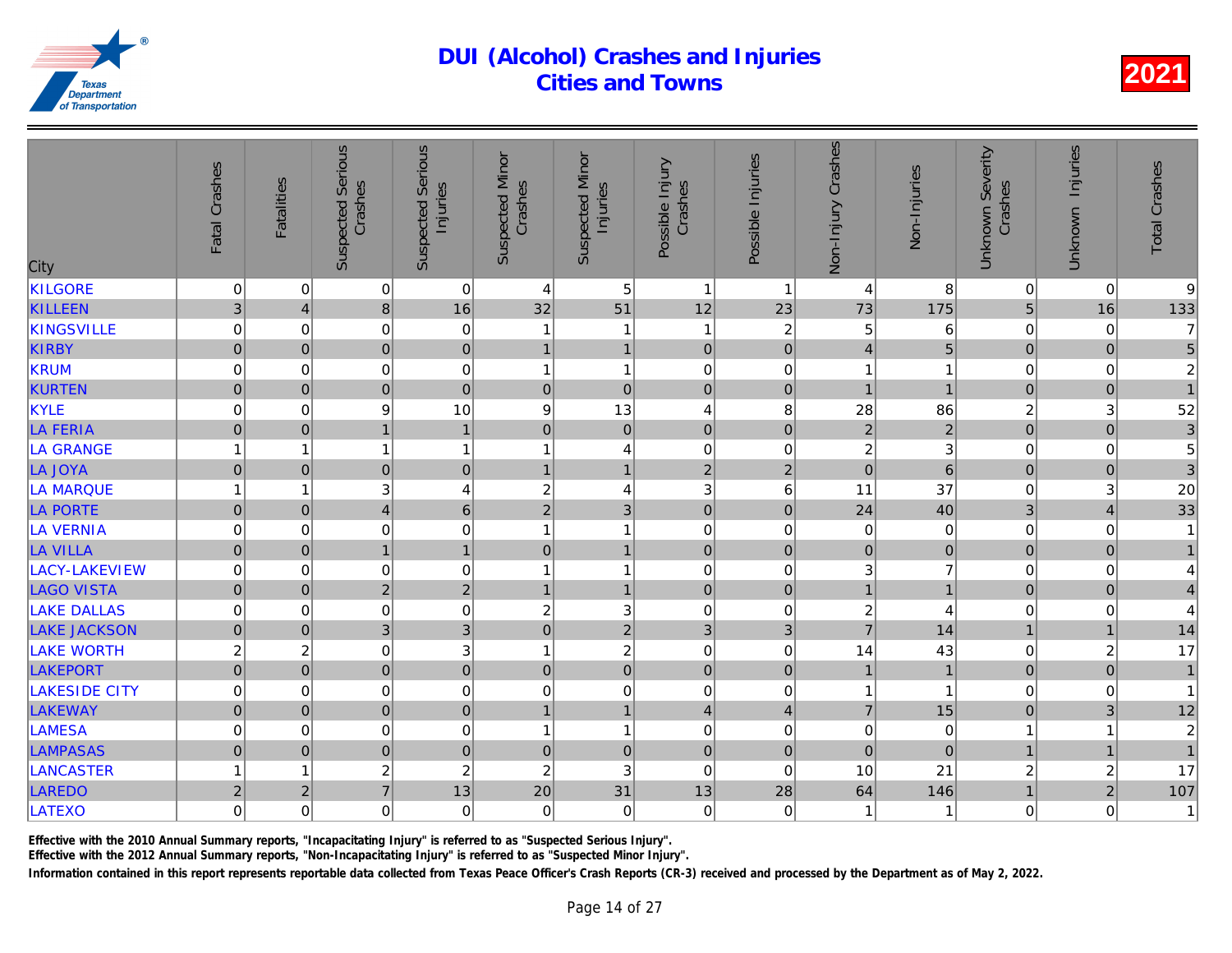| <b>Suspected Serious</b><br><b>Suspected Serious</b><br>Fatal Crashes<br>Crashes<br><b>Fatalities</b><br>City | <b>Suspected Minor</b><br>Crashes<br>Injuries | <b>Suspected Minor</b><br>Injuries          | Possible Injury<br>Crashes | Possible Injuries | Non-Injury Crashes | Non-Injuries   |
|---------------------------------------------------------------------------------------------------------------|-----------------------------------------------|---------------------------------------------|----------------------------|-------------------|--------------------|----------------|
| KILGORE<br>0<br>$\overline{0}$<br>$\mathbf 0$                                                                 | $\mathbf 0$                                   | 5<br>$\overline{4}$                         | $\overline{1}$             | -1                | $\overline{4}$     | 8              |
| 8<br><b>KILLEEN</b><br>3<br>$\overline{4}$                                                                    | 16                                            | 51<br>32                                    | 12                         | 23                | 73                 | 175            |
| <b>KINGSVILLE</b><br>$\Omega$<br>0<br>0                                                                       | $\mathbf 0$                                   | $\mathbf{1}$<br>1                           | $\overline{1}$             | $\overline{c}$    | 5                  | 6              |
| $\overline{0}$<br>$\overline{0}$<br><b>KIRBY</b><br> 0                                                        | $\overline{0}$                                | $\overline{1}$<br>$\mathbf{1}$              | $\overline{0}$             | $\overline{0}$    | $\vert$            | 5              |
| KRUM<br>0<br>$\overline{0}$<br>0                                                                              | $\mathbf 0$                                   | $\mathbf{1}$<br>1                           | $\boldsymbol{0}$           | 0                 | $\mathbf{1}$       |                |
| $\overline{0}$<br>$\overline{0}$<br><b>KURTEN</b><br>$\mathbf 0$                                              | $\overline{0}$                                | $\mathbf 0$<br>$\mathbf 0$                  | $\overline{0}$             | $\mathbf 0$       | $\overline{1}$     |                |
| KYLE<br>$\mathsf 0$<br>$\Omega$<br>9                                                                          | 10                                            | 13<br>$\boldsymbol{9}$                      | $\overline{4}$             | 8                 | 28                 | 86             |
| $\mathbf 0$<br>$\mathbf{1}$<br><b>LA FERIA</b><br> 0                                                          | $\mathbf{1}$                                  | $\pmb{0}$<br>$\overline{0}$                 | $\mathbf 0$                | $\pmb{0}$         | $\overline{2}$     | $\overline{a}$ |
| LA GRANGE<br>1<br>$\mathbf{1}$<br>$\mathbf{1}$                                                                | $\mathbf{1}$                                  | $\overline{\mathbf{4}}$<br>1                | $\mathbf 0$                | 0                 | $\overline{c}$     | 3              |
| $\overline{0}$<br>LA JOYA<br>$\mathbf 0$<br> 0                                                                | $\pmb{0}$                                     | $\mathbf{1}$<br>$\overline{1}$              | $\overline{2}$             | $\overline{2}$    | $\overline{0}$     | $\overline{6}$ |
| <b>LA MARQUE</b><br>3<br>1<br>$\mathbf{1}$                                                                    | $\overline{4}$                                | $\boldsymbol{2}$<br>$\overline{\mathbf{4}}$ | 3                          | 6                 | 11                 | 37             |
| <b>LA PORTE</b><br>$\mathbf 0$<br> 0 <br>$\overline{4}$                                                       | $6\phantom{1}6$                               | $\overline{3}$<br>$\mathbf 2$               | $\mathbf 0$                | $\mathbf 0$       | 24                 | 40             |
| <b>LA VERNIA</b><br>0<br>0<br>0                                                                               | $\mathbf 0$                                   | $\mathbf{1}$<br>1                           | $\mathbf 0$                | 0                 | 0                  | $\Omega$       |
| $\mathbf 0$<br> 0 <br>$\mathbf{1}$<br><b>LA VILLA</b>                                                         | $\overline{1}$                                | $\mathbf{1}$<br>$\overline{0}$              | $\mathbf 0$                | $\mathbf 0$       | $\overline{0}$     | $\Omega$       |
| LACY-LAKEVIEW<br>$\overline{0}$<br>0<br>0                                                                     | $\mathbf 0$                                   | $\mathbf{1}$                                | $\mathbf 0$                | 0                 | 3                  |                |
| $\overline{2}$<br><b>LAGO VISTA</b><br>$\mathbf 0$<br>$\Omega$                                                | $\overline{2}$                                | $\overline{1}$                              | $\overline{0}$             | $\mathbf{0}$      | $\mathbf{1}$       |                |
| <b>LAKE DALLAS</b><br>0<br>$\Omega$<br>0                                                                      | $\mathbf 0$                                   | 3<br>$\overline{c}$                         | $\mathbf 0$                | 0                 | $\overline{c}$     | $\lambda$      |
| 3<br><b>LAKE JACKSON</b><br>$\mathbf 0$<br> 0                                                                 | $\mathbf{3}$                                  | $\overline{2}$<br>$\mathbf 0$               | 3                          | 3                 | $\overline{7}$     | 14             |
| <b>LAKE WORTH</b><br>$\overline{c}$<br>$\overline{c}$<br>0                                                    | 3                                             | $\overline{c}$<br>1                         | $\mathbf 0$                | 0                 | 14                 | 43             |
| $\overline{0}$<br> 0 <br>$\overline{0}$<br>LAKEPORT                                                           | $\mathbf 0$                                   | $\overline{0}$<br>$\overline{0}$            | $\overline{0}$             | $\mathbf 0$       | $\mathbf{1}$       |                |
| 0<br><b>LAKESIDE CITY</b><br>0<br>$\Omega$                                                                    | $\mathbf 0$                                   | 0<br>$\mathbf 0$                            | $\mathbf 0$                | $\Omega$          | 1                  |                |
| $\overline{0}$<br>$\overline{0}$<br> 0 <br><b>LAKEWAY</b>                                                     | $\overline{0}$                                | $\overline{1}$<br>$\mathbf{1}$              | $\overline{4}$             | $\overline{4}$    | $\overline{7}$     | 15             |
| <b>LAMESA</b><br>0<br>0<br>$\overline{0}$                                                                     | $\mathbf 0$                                   | $\mathbf{1}$<br>1                           | $\boldsymbol{0}$           | 0                 | $\pmb{0}$          | $\overline{0}$ |
| $\overline{0}$<br><b>LAMPASAS</b><br>$\overline{0}$<br> 0                                                     | $\mathbf 0$                                   | $\mathbf 0$<br>$\mathbf 0$                  | $\overline{0}$             | $\mathbf 0$       | $\overline{0}$     | $\Omega$       |
| $\overline{c}$<br><b>LANCASTER</b><br>1<br>$\mathbf{1}$                                                       | $\overline{2}$                                | 3<br>$\boldsymbol{2}$                       | $\mathbf 0$                | $\Omega$          | 10                 | 21             |
| $\overline{7}$<br>LAREDO<br>$\overline{c}$<br>$\overline{2}$                                                  | 13                                            | 31<br>20                                    | 13                         | 28                | 64                 | 146            |
| LATEXO<br>0<br>$\overline{0}$<br>0                                                                            | $\mathbf 0$                                   | 0<br>$\mathbf 0$                            | $\boldsymbol{0}$           | 0                 | 1                  |                |

Effective with the 2010 Annual Summary reports, "Incapacitating Injury" is referred to as "Suspected Serious Injury".

Effective with the 2012 Annual Summary reports, "Non-Incapacitating Injury" is referred to as "Suspected Minor Injury".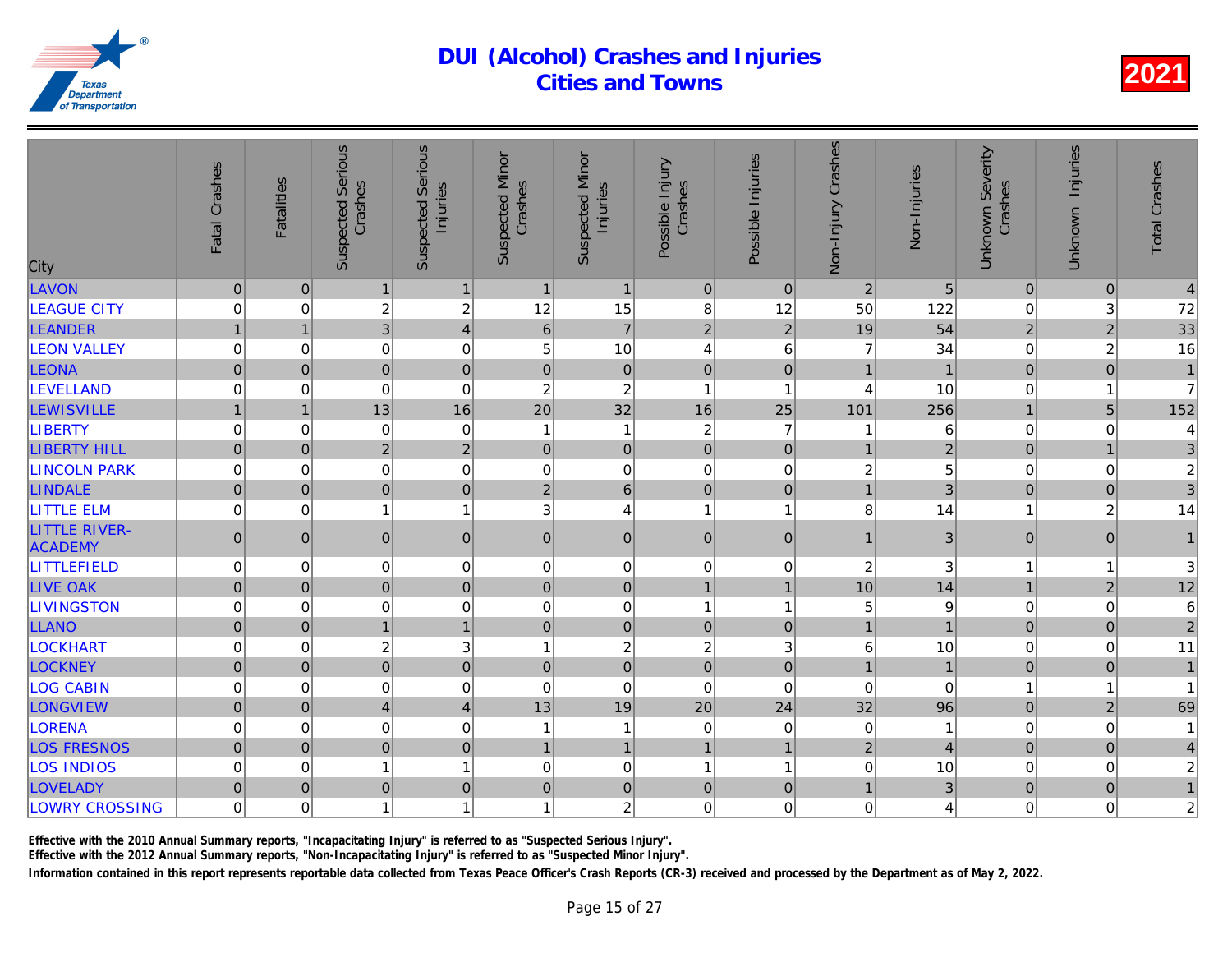| City                                   | Fatal Crashes       | <b>Fatalities</b> | <b>Suspected Serious</b><br>Crashes | <b>Serious</b><br>Injuries<br>Suspected | <b>Suspected Minor</b><br>Crashes | <b>Suspected Minor</b><br>Injuries | Possible Injury<br>Crashes | Possible Injuries | Non-Injury Crashes | Non-Injuries   |
|----------------------------------------|---------------------|-------------------|-------------------------------------|-----------------------------------------|-----------------------------------|------------------------------------|----------------------------|-------------------|--------------------|----------------|
| LAVON                                  | $\mathsf{O}\xspace$ | $\mathbf{0}$      | $\mathbf{1}$                        | $\mathbf{1}$                            | $\overline{1}$                    | $\mathbf{1}$                       | $\mathbf 0$                | $\mathbf{0}$      | $\overline{2}$     | 5              |
| <b>LEAGUE CITY</b>                     | 0                   | $\mathbf 0$       | $\overline{c}$                      | $\overline{c}$                          | 12                                | 15                                 | 8                          | 12                | 50                 | 122            |
| LEANDER                                | $\mathbf{1}$        | $\mathbf{1}$      | $\overline{3}$                      | $\overline{4}$                          | $6\phantom{1}$                    | $\overline{7}$                     | $\overline{2}$             | $\overline{2}$    | 19                 | 54             |
| <b>LEON VALLEY</b>                     | 0                   | $\mathbf 0$       | 0                                   | $\mathbf 0$                             | 5                                 | 10                                 | 4                          | 6                 | $\overline{7}$     | 34             |
| <b>LEONA</b>                           | $\mathbf 0$         | $\Omega$          | $\overline{0}$                      | $\mathbf 0$                             | $\pmb{0}$                         | $\overline{0}$                     | $\overline{0}$             | $\mathbf{0}$      | $\overline{1}$     |                |
| <b>LEVELLAND</b>                       | 0                   | $\Omega$          | 0                                   | $\mathbf 0$                             | $\overline{c}$                    | $\boldsymbol{2}$                   | $\overline{1}$             | 1                 | $\overline{4}$     | 10             |
| <b>LEWISVILLE</b>                      | $\mathbf{1}$        | $\mathbf{1}$      | 13                                  | 16                                      | 20                                | 32                                 | 16                         | 25                | 101                | 256            |
| <b>LIBERTY</b>                         | 0                   | 0                 | 0                                   | $\mathbf 0$                             | $\mathbf 1$                       | $\mathbf{1}$                       | $\overline{c}$             | $\overline{7}$    |                    | 6              |
| <b>LIBERTY HILL</b>                    | $\overline{0}$      | $\overline{0}$    | $\overline{2}$                      | $\overline{2}$                          | $\mathbf 0$                       | $\overline{0}$                     | $\mathbf 0$                | $\mathbf 0$       | $\overline{1}$     | $\overline{2}$ |
| <b>LINCOLN PARK</b>                    | 0                   | $\Omega$          | 0                                   | $\mathbf 0$                             | $\mathbf 0$                       | $\mathbf 0$                        | $\Omega$                   | $\Omega$          | $\overline{c}$     | 5              |
| <b>LINDALE</b>                         | $\mathbf 0$         | $\mathbf 0$       | $\overline{0}$                      | $\pmb{0}$                               | $\overline{2}$                    | 6 <sup>1</sup>                     | $\mathbf 0$                | $\mathbf 0$       | $\overline{1}$     | 3              |
| <b>LITTLE ELM</b>                      | 0                   | $\mathbf 0$       | $\mathbf{1}$                        | $\mathbf{1}$                            | $\mathbf{3}$                      | 4                                  | $\overline{1}$             | 1                 | 8                  | 14             |
| <b>LITTLE RIVER-</b><br><b>ACADEMY</b> | $\overline{0}$      | $\Omega$          | $\overline{0}$                      | $\mathbf 0$                             | $\overline{0}$                    | $\overline{0}$                     | $\mathbf{0}$               | $\mathbf{0}$      | $\mathbf{1}$       | 3              |
| <b>LITTLEFIELD</b>                     | 0                   | 0                 | 0                                   | $\mathbf 0$                             | $\mathbf 0$                       | $\overline{0}$                     | $\mathbf 0$                | 0                 | $\boldsymbol{2}$   | 3              |
| <b>LIVE OAK</b>                        | $\mathbf 0$         | $\Omega$          | $\overline{0}$                      | $\mathbf 0$                             | $\pmb{0}$                         | $\overline{0}$                     | $\overline{1}$             | $\overline{1}$    | 10                 | 14             |
| <b>LIVINGSTON</b>                      | 0                   | $\Omega$          | 0                                   | $\mathbf 0$                             | $\mathbf 0$                       | $\mathbf 0$                        | $\overline{1}$             | 1                 | 5                  |                |
| <b>LLANO</b>                           | $\overline{0}$      | $\overline{0}$    | $\mathbf{1}$                        | $\mathbf{1}$                            | $\mathbf 0$                       | $\overline{0}$                     | $\mathbf 0$                | $\mathbf 0$       | $\mathbf{1}$       |                |
| <b>LOCKHART</b>                        | 0                   | $\mathbf 0$       | $\overline{c}$                      | 3                                       | 1                                 | $\overline{c}$                     | $\overline{c}$             | 3                 | 6                  | 10             |
| <b>LOCKNEY</b>                         | $\mathbf 0$         | $\overline{0}$    | $\overline{0}$                      | $\overline{0}$                          | $\pmb{0}$                         | $\overline{0}$                     | $\mathbf 0$                | $\mathbf{0}$      | $\mathbf{1}$       |                |
| <b>LOG CABIN</b>                       | 0                   | $\mathbf 0$       | 0                                   | $\mathbf 0$                             | $\mathbf 0$                       | $\mathsf 0$                        | $\mathbf 0$                | $\mathbf 0$       | $\mathbf 0$        | $\Omega$       |
| LONGVIEW                               | $\mathbf 0$         | $\pmb{0}$         | $\overline{\mathbf{4}}$             | $\overline{4}$                          | 13                                | 19                                 | 20                         | 24                | 32                 | 96             |
| <b>LORENA</b>                          | 0                   | $\mathbf 0$       | 0                                   | $\mathbf 0$                             | 1                                 | $\mathbf{1}$                       | $\mathbf 0$                | 0                 | 0                  |                |
| <b>LOS FRESNOS</b>                     | $\overline{0}$      | $\Omega$          | $\overline{0}$                      | $\mathbf 0$                             | $\overline{1}$                    | $\overline{1}$                     | $\overline{1}$             | $\overline{1}$    | $\overline{2}$     |                |
| <b>LOS INDIOS</b>                      | 0                   | $\Omega$          | $\mathbf{1}$                        | $\mathbf{1}$                            | $\Omega$                          | $\mathbf 0$                        | $\overline{1}$             | 1                 | $0^{\prime}$       | 10             |
| LOVELADY                               | $\overline{0}$      | $\mathbf{0}$      | $\mathbf 0$                         | $\pmb{0}$                               | $\mathbf 0$                       | $\overline{0}$                     | $\mathbf 0$                | $\pmb{0}$         | $\mathbf{1}$       | $\overline{3}$ |
| <b>LOWRY CROSSING</b>                  | 0                   | 0                 | 1                                   | $\mathbf{1}$                            | 1                                 | $\overline{c}$                     | $\mathbf 0$                | 0                 | $\mathsf 0$        |                |
|                                        |                     |                   |                                     |                                         |                                   |                                    |                            |                   |                    |                |

Effective with the 2010 Annual Summary reports, "Incapacitating Injury" is referred to as "Suspected Serious Injury".

Effective with the 2012 Annual Summary reports, "Non-Incapacitating Injury" is referred to as "Suspected Minor Injury".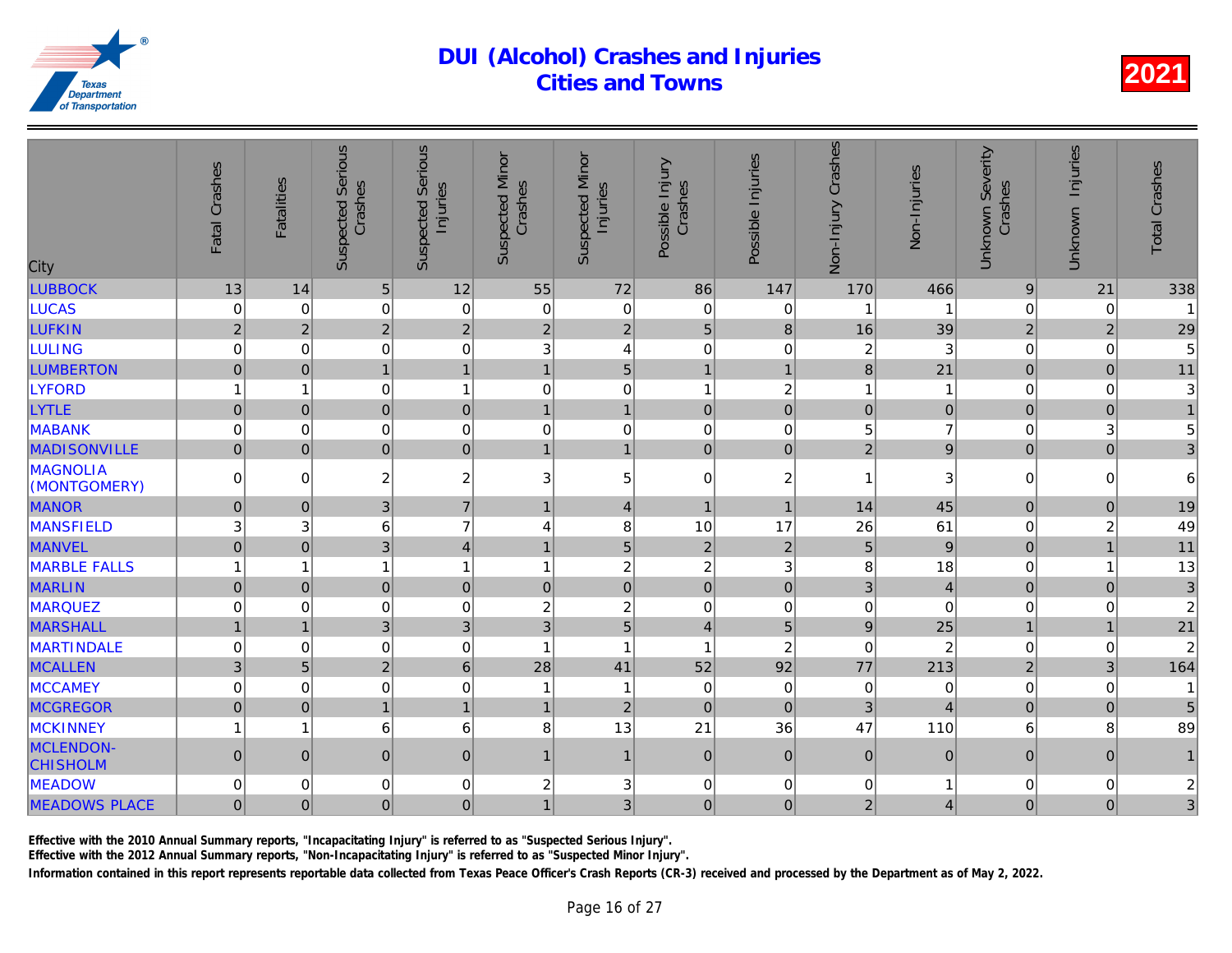| City                         | Fatal Crashes       | <b>Fatalities</b> | <b>Suspected Serious</b><br>Crashes | <b>Suspected Serious</b><br>Injuries | <b>Suspected Minor</b><br>Crashes | <b>Suspected Minor</b><br>Injuries | Possible Injury<br>Crashes | Possible Injuries | Non-Injury Crashes | Non-Injuries   |
|------------------------------|---------------------|-------------------|-------------------------------------|--------------------------------------|-----------------------------------|------------------------------------|----------------------------|-------------------|--------------------|----------------|
| <b>LUBBOCK</b>               | 13                  | 14                | 5                                   | 12                                   | 55                                | 72                                 | 86                         | 147               | 170                | 466            |
| <b>LUCAS</b>                 | 0                   | $\mathbf 0$       | 0                                   | $\mathbf 0$                          | $\mathbf 0$                       | $\mathbf 0$                        | $\mathbf 0$                | $\mathbf 0$       |                    |                |
| <b>LUFKIN</b>                | $\overline{2}$      | $\overline{2}$    | $\overline{2}$                      | $\overline{2}$                       | $\overline{2}$                    | $\overline{2}$                     | 5                          | 8                 | 16                 | 39             |
| <b>LULING</b>                | 0                   | $\mathbf 0$       | 0                                   | $\mathbf 0$                          | 3                                 | $\overline{\mathbf{4}}$            | $\mathbf 0$                | 0                 | 2                  | 3              |
| <b>LUMBERTON</b>             | $\mathbf 0$         | $\Omega$          | $\mathbf{1}$                        | $\mathbf{1}$                         | $\overline{1}$                    | 5                                  | $\overline{1}$             | 1                 | 8                  | 21             |
| <b>LYFORD</b>                | 1                   | 1                 | 0                                   | $\mathbf{1}$                         | $\mathbf 0$                       | $\mathbf 0$                        | $\overline{1}$             | $\overline{c}$    | 1                  |                |
| <b>LYTLE</b>                 | $\mathsf{O}\xspace$ | $\mathbf{0}$      | $\overline{0}$                      | $\mathbf 0$                          | $\mathbf{1}$                      | $\mathbf{1}$                       | $\mathbf 0$                | $\mathbf 0$       | $\pmb{0}$          | $\Omega$       |
| <b>MABANK</b>                | 0                   | $\mathbf 0$       | 0                                   | $\mathbf 0$                          | $\mathbf 0$                       | $\mathbf 0$                        | $\mathbf 0$                | 0                 | 5                  |                |
| <b>MADISONVILLE</b>          | $\overline{0}$      | $\mathbf 0$       | $\overline{0}$                      | $\mathbf 0$                          | $\overline{1}$                    | $\mathbf{1}$                       | $\mathbf 0$                | $\mathbf 0$       | $\overline{2}$     |                |
| MAGNOLIA<br>(MONTGOMERY)     | 0                   | $\mathbf 0$       | $\overline{c}$                      | $\boldsymbol{2}$                     | 3                                 | 5                                  | $\mathbf 0$                | $\overline{c}$    | 1                  | 3              |
| <b>MANOR</b>                 | $\pmb{0}$           | $\mathbf{0}$      | 3                                   | $\overline{7}$                       | $\overline{1}$                    | $\vert 4 \vert$                    | $\mathbf{1}$               | $\overline{1}$    | 14                 | 45             |
| <b>MANSFIELD</b>             | 3                   | 3                 | 6                                   | $\overline{7}$                       | 4                                 | 8                                  | 10                         | 17                | 26                 | 61             |
| <b>MANVEL</b>                | $\overline{0}$      | $\overline{0}$    | 3                                   | $\overline{4}$                       | $\overline{1}$                    | $\overline{5}$                     | $\overline{2}$             | $\overline{2}$    | 5                  | $\overline{9}$ |
| <b>MARBLE FALLS</b>          | 1                   | 1                 | $\mathbf{1}$                        | $\mathbf{1}$                         | 1                                 | $\boldsymbol{2}$                   | $\overline{c}$             | 3                 | 8                  | 18             |
| <b>MARLIN</b>                | $\mathsf{O}\xspace$ | $\mathbf 0$       | $\mathbf 0$                         | $\pmb{0}$                            | $\pmb{0}$                         | $\overline{0}$                     | $\mathbf 0$                | $\pmb{0}$         | 3                  | $\overline{4}$ |
| <b>MARQUEZ</b>               | 0                   | $\mathbf 0$       | 0                                   | $\mathbf 0$                          | $\overline{c}$                    | $\boldsymbol{2}$                   | $\mathbf 0$                | $\mathbf 0$       | $\mathbf 0$        | $\Omega$       |
| <b>MARSHALL</b>              | $\mathbf{1}$        | $\mathbf{1}$      | 3                                   | 3                                    | $\mathbf{3}$                      | $\overline{5}$                     | $\overline{4}$             | 5                 | $\overline{9}$     | 25             |
| <b>MARTINDALE</b>            | 0                   | $\mathbf 0$       | 0                                   | $\boldsymbol{0}$                     | -1                                | $\mathbf{1}$                       | $\overline{1}$             | $\overline{c}$    | $\mathbf 0$        | $\overline{2}$ |
| <b>MCALLEN</b>               | 3                   | 5                 | $\overline{2}$                      | $\boldsymbol{6}$                     | 28                                | 41                                 | 52                         | 92                | 77                 | 213            |
| <b>MCCAMEY</b>               | 0                   | $\mathbf 0$       | 0                                   | $\mathbf 0$                          | 1                                 | $\mathbf{1}$                       | $\mathbf 0$                | $\mathbf 0$       | $\mathbf 0$        |                |
| <b>MCGREGOR</b>              | $\overline{0}$      | $\overline{0}$    | $\mathbf{1}$                        | $\mathbf{1}$                         | $\overline{1}$                    | $\overline{2}$                     | $\overline{0}$             | $\mathbf{0}$      | 3                  |                |
| <b>MCKINNEY</b>              | 1                   | 1                 | 6                                   | 6                                    | 8                                 | 13                                 | 21                         | 36                | 47                 | 110            |
| MCLENDON-<br><b>CHISHOLM</b> | 0                   | $\Omega$          | $\overline{0}$                      | $\mathbf 0$                          | 1                                 | $\mathbf{1}$                       | $\overline{0}$             | $\mathbf{0}$      | $\overline{0}$     | $\Omega$       |
| <b>MEADOW</b>                | 0                   | 0                 | 0                                   | $\mathbf 0$                          | $\overline{2}$                    | 3                                  | $\mathbf 0$                | 0                 | 0                  |                |
| <b>MEADOWS PLACE</b>         | $\overline{0}$      | $\mathbf{0}$      | $\mathbf 0$                         | $\mathbf 0$                          | 1                                 | 3                                  | $\boldsymbol{0}$           | $\mathbf{0}$      | $\overline{2}$     |                |
|                              |                     |                   |                                     |                                      |                                   |                                    |                            |                   |                    |                |

Effective with the 2010 Annual Summary reports, "Incapacitating Injury" is referred to as "Suspected Serious Injury".

Effective with the 2012 Annual Summary reports, "Non-Incapacitating Injury" is referred to as "Suspected Minor Injury".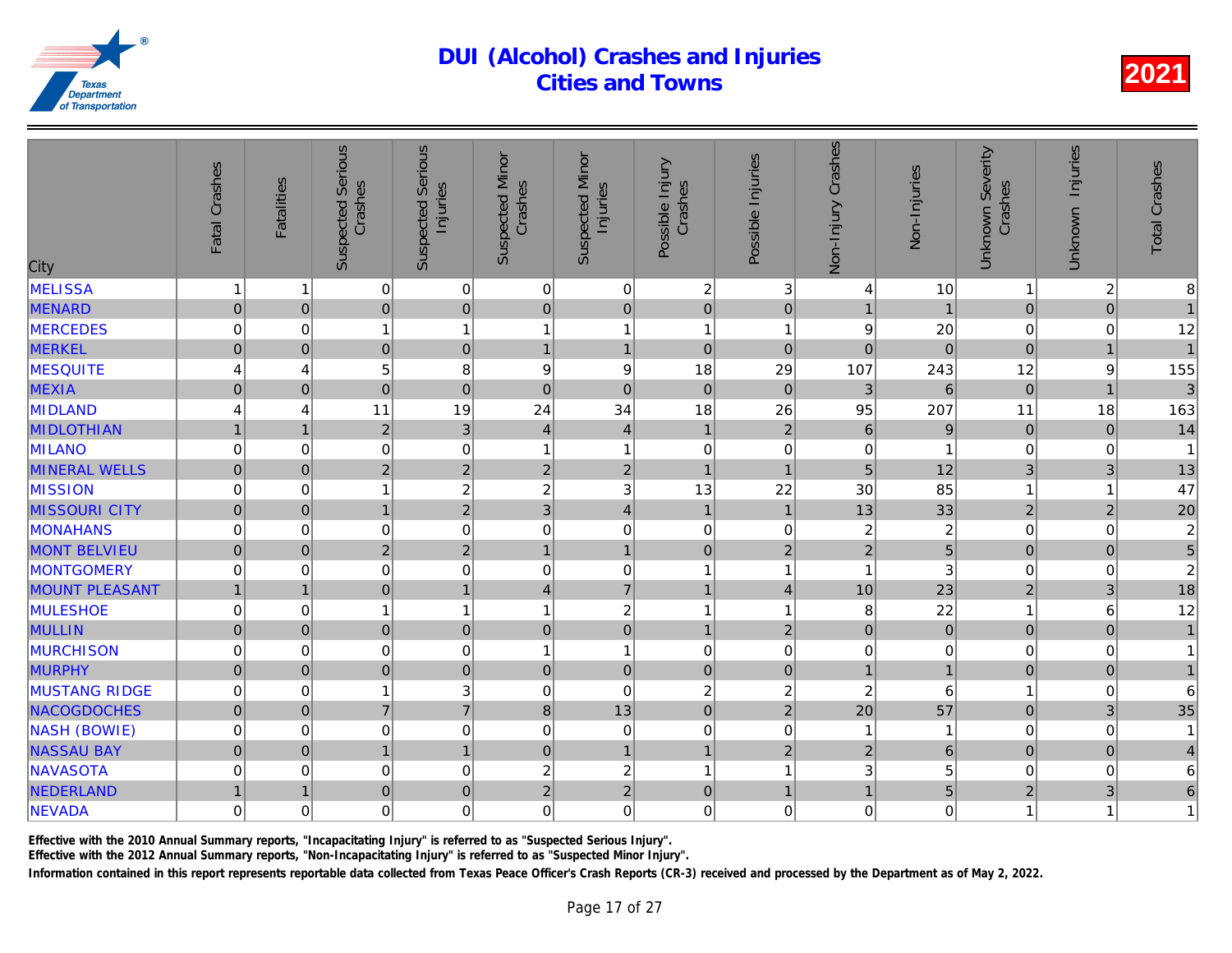| City                  | Fatal Crashes  | <b>Fatalities</b> | Serious<br>Crashes<br>Suspected | <b>Suspected Serious</b><br>Injuries | <b>Suspected Minor</b><br>Crashes | <b>Suspected Minor</b><br>Injuries | Possible Injury<br>Crashes | Possible Injuries        | Crashes<br>Non-Injury | Non-Injuries            |
|-----------------------|----------------|-------------------|---------------------------------|--------------------------------------|-----------------------------------|------------------------------------|----------------------------|--------------------------|-----------------------|-------------------------|
| MELISSA               | 1              |                   | 0                               | $\mathbf 0$                          | 0                                 | $\mathbf 0$                        | $\overline{2}$             | 3                        | 4                     | 10                      |
| <b>MENARD</b>         | $\pmb{0}$      | $\overline{0}$    | $\overline{0}$                  | $\pmb{0}$                            | $\overline{0}$                    | $\overline{0}$                     | $\mathbf 0$                | $\pmb{0}$                | $\mathbf{1}$          | $\overline{1}$          |
| <b>MERCEDES</b>       | $\mathbf 0$    | $\mathbf 0$       | $\mathbf{1}$                    | $\overline{1}$                       | $\mathbf{1}$                      | 1                                  | $\overline{1}$             | 1                        | 9                     | 20                      |
| <b>MERKEL</b>         | $\overline{0}$ | $\mathbf 0$       | $\overline{0}$                  | $\mathbf 0$                          | $\mathbf{1}$                      | $\mathbf{1}$                       | $\overline{0}$             | $\mathbf 0$              | $\overline{0}$        | $\mathbf{0}$            |
| <b>MESQUITE</b>       | 4              | $\overline{4}$    | 5                               | 8                                    | 9                                 | $\boldsymbol{9}$                   | 18                         | 29                       | 107                   | 243                     |
| <b>MEXIA</b>          | $\mathbf 0$    | $\Omega$          | $\overline{0}$                  | $\mathbf 0$                          | 0                                 | $\overline{0}$                     | $\Omega$                   | $\Omega$                 | 3                     | $\mathbf{6}$            |
| <b>MIDLAND</b>        | 4              | 4                 | 11                              | 19                                   | 24                                | 34                                 | 18                         | 26                       | 95                    | 207                     |
| <b>MIDLOTHIAN</b>     | $\mathbf{1}$   | $\mathbf{1}$      | $\overline{2}$                  | 3                                    | $\vert 4 \vert$                   | $\overline{4}$                     | $\mathbf{1}$               | $\overline{2}$           | $\,6$                 | 9                       |
| <b>MILANO</b>         | 0              | $\mathbf 0$       | 0                               | $\mathbf 0$                          | $\mathbf{1}$                      | $\mathbf{1}$                       | $\mathbf 0$                | 0                        | 0                     |                         |
| <b>MINERAL WELLS</b>  | $\overline{0}$ | $\overline{0}$    | $\overline{2}$                  | $\overline{2}$                       | $\overline{2}$                    | $\overline{2}$                     | $\overline{1}$             | 1                        | 5                     | 12                      |
| <b>MISSION</b>        | 0              | $\Omega$          | $\mathbf{1}$                    | $\overline{c}$                       | $\overline{c}$                    | 3                                  | 13                         | 22                       | 30                    | 85                      |
| <b>MISSOURI CITY</b>  | $\mathbf 0$    | $\mathbf 0$       | $\mathbf{1}$                    | $\overline{2}$                       | 3                                 | 4                                  | $\mathbf{1}$               | $\overline{1}$           | 13                    | 33                      |
| MONAHANS              | $\mathbf 0$    | 0                 | 0                               | $\mathbf 0$                          | 0                                 | 0                                  | $\mathbf 0$                | $\mathbf 0$              | 2 <sub>1</sub>        | $\overline{\mathbf{c}}$ |
| <b>MONT BELVIEU</b>   | $\mathbf 0$    | $\mathbf 0$       | $\overline{2}$                  | $\overline{2}$                       | $\mathbf{1}$                      | $\mathbf{1}$                       | $\mathbf 0$                | $\overline{2}$           | $\overline{2}$        | $\overline{5}$          |
| MONTGOMERY            | $\mathbf 0$    | $\mathbf 0$       | 0                               | $\mathbf 0$                          | $\overline{0}$                    | $\mathsf{O}\xspace$                | $\overline{1}$             | $\overline{\phantom{a}}$ | $\overline{1}$        | 3                       |
| <b>MOUNT PLEASANT</b> | $\mathbf{1}$   |                   | $\overline{0}$                  | $\mathbf{1}$                         | $\overline{4}$                    | $\overline{7}$                     | $\overline{1}$             | $\overline{4}$           | 10                    | 23                      |
| <b>MULESHOE</b>       | $\mathbf 0$    | $\mathbf 0$       | $\mathbf{1}$                    | $\overline{1}$                       | $\mathbf{1}$                      | $\overline{\mathbf{c}}$            | $\overline{1}$             | 1                        | 8                     | 22                      |
| <b>MULLIN</b>         | $\pmb{0}$      | $\mathbf 0$       | $\pmb{0}$                       | $\pmb{0}$                            | 0                                 | $\overline{0}$                     | $\mathbf{1}$               | $\overline{2}$           | $\overline{0}$        | $\overline{0}$          |
| <b>MURCHISON</b>      | 0              | $\mathbf 0$       | 0                               | $\mathbf 0$                          | $\mathbf{1}$                      | $\overline{1}$                     | $\mathbf 0$                | $\mathbf 0$              | 0                     |                         |
| <b>MURPHY</b>         | $\pmb{0}$      | $\mathbf 0$       | $\mathbf 0$                     | $\mathbf 0$                          | 0                                 | $\overline{0}$                     | $\mathbf 0$                | $\mathbf{0}$             | $\mathbf{1}$          |                         |
| <b>MUSTANG RIDGE</b>  | 0              | $\mathbf 0$       | $\mathbf{1}$                    | 3                                    | $\overline{0}$                    | $\mathbf 0$                        | $\overline{2}$             | $\overline{c}$           | $\overline{c}$        | 6                       |
| <b>NACOGDOCHES</b>    | $\overline{0}$ | $\Omega$          | $\overline{7}$                  | $\overline{7}$                       | 8                                 | 13                                 | $\mathbf 0$                | $\overline{2}$           | 20                    | 57                      |
| NASH (BOWIE)          | $\mathbf 0$    | $\mathbf 0$       | 0                               | $\mathbf 0$                          | 0                                 | $\pmb{0}$                          | $\mathbf 0$                | $\mathbf 0$              | 1                     | 1                       |
| <b>NASSAU BAY</b>     | $\pmb{0}$      | $\mathbf 0$       | $\mathbf{1}$                    | $\overline{1}$                       | $\overline{0}$                    | $\mathbf{1}$                       | $\overline{1}$             | $\overline{2}$           | $\overline{2}$        | $6\overline{6}$         |
| NAVASOTA              | $\mathbf 0$    | $\mathbf 0$       | 0                               | $\mathbf 0$                          | $\overline{\mathbf{c}}$           | $\overline{\mathbf{c}}$            | $\mathbf{1}$               | í                        | 3                     |                         |
| NEDERLAND             | $\mathbf{1}$   | $\mathbf 1$       | $\mathbf 0$                     | $\mathbf 0$                          | $\overline{c}$                    | $\overline{2}$                     | $\mathbf 0$                |                          | $\mathbf{1}$          | 5                       |
| <b>NEVADA</b>         | $\mathbf 0$    | $\mathbf 0$       | 0                               | $\mathbf 0$                          | $\overline{0}$                    | 0                                  | $\mathbf 0$                | $\Omega$                 | 0                     |                         |
|                       |                |                   |                                 |                                      |                                   |                                    |                            |                          |                       |                         |

Effective with the 2010 Annual Summary reports, "Incapacitating Injury" is referred to as "Suspected Serious Injury".

Effective with the 2012 Annual Summary reports, "Non-Incapacitating Injury" is referred to as "Suspected Minor Injury".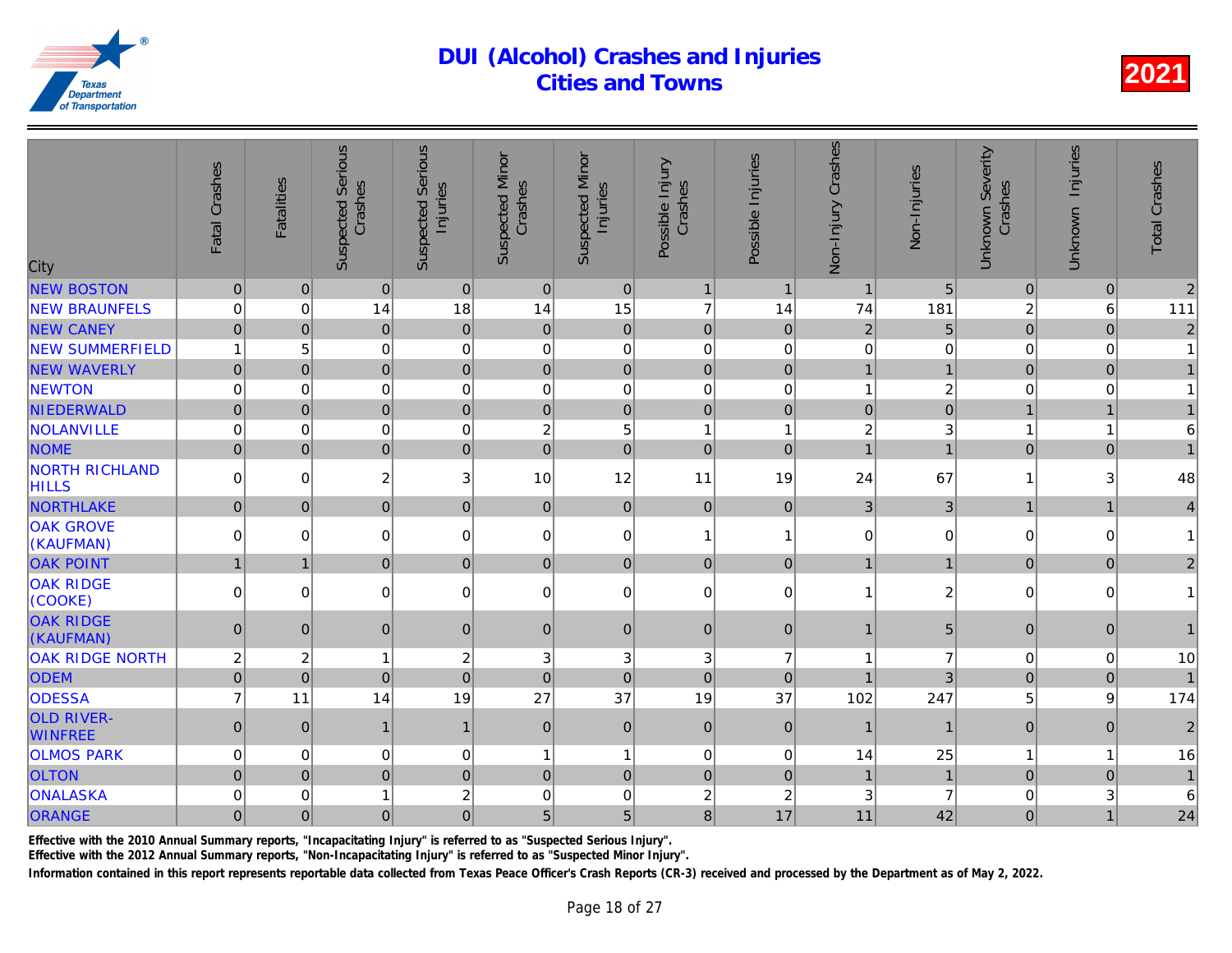| City                                  | Fatal Crashes  | <b>Fatalities</b> | <b>Suspected Serious</b><br>Crashes | <b>Suspected Serious</b><br>Injuries | <b>Suspected Minor</b><br>Crashes | <b>Suspected Minor</b><br>Injuries | Possible Injury<br>Crashes | Possible Injuries | Non-Injury Crashes | Non-Injuries   |
|---------------------------------------|----------------|-------------------|-------------------------------------|--------------------------------------|-----------------------------------|------------------------------------|----------------------------|-------------------|--------------------|----------------|
| <b>NEW BOSTON</b>                     | $\pmb{0}$      | 0                 | $\pmb{0}$                           | $\mathbf 0$                          | 0                                 | $\mathbf 0$                        | $\mathbf{1}$               | $\mathbf{1}$      | $\mathbf{1}$       | 5              |
| <b>NEW BRAUNFELS</b>                  | 0              | $\overline{0}$    | 14                                  | 18                                   | 14                                | 15                                 | $\overline{7}$             | 14                | 74                 | 181            |
| <b>NEW CANEY</b>                      | $\mathbf 0$    | $\overline{0}$    | $\overline{0}$                      | $\mathbf 0$                          | $\mathbf{0}$                      | $\pmb{0}$                          | $\overline{0}$             | $\mathbf{0}$      | $\overline{2}$     | 5              |
| <b>NEW SUMMERFIELD</b>                | $\mathbf{1}$   | 5                 | 0                                   | $\mathbf 0$                          | 0                                 | 0                                  | $\mathbf 0$                | 0                 | $\mathsf 0$        |                |
| <b>NEW WAVERLY</b>                    | $\overline{0}$ | 0                 | $\overline{0}$                      | $\overline{0}$                       | $\overline{0}$                    | $\overline{0}$                     | $\mathbf 0$                | $\overline{0}$    | 1                  |                |
| <b>NEWTON</b>                         | 0              | $\Omega$          | 0                                   | $\mathbf 0$                          | $\mathbf 0$                       | 0                                  | $\mathbf 0$                | 0                 | $\mathbf{1}$       | $\overline{2}$ |
| NIEDERWALD                            | $\mathbf 0$    | $\overline{0}$    | $\overline{0}$                      | $\mathbf 0$                          | $\pmb{0}$                         | $\mathsf{O}\xspace$                | $\mathbf 0$                | $\mathbf 0$       | $\overline{0}$     |                |
| <b>NOLANVILLE</b>                     | 0              | $\Omega$          | 0                                   | $\mathbf 0$                          | $\boldsymbol{2}$                  | 5                                  | $\overline{1}$             | 1                 | $\overline{c}$     |                |
| <b>NOME</b>                           | $\overline{0}$ | 0                 | $\overline{0}$                      | $\mathbf 0$                          | $\overline{0}$                    | $\overline{0}$                     | $\overline{0}$             | $\Omega$          | $\overline{1}$     |                |
| <b>NORTH RICHLAND</b><br><b>HILLS</b> | 0              | $\overline{0}$    | $\overline{c}$                      | $\sqrt{3}$                           | 10                                | 12                                 | 11                         | 19                | 24                 | 67             |
| <b>NORTHLAKE</b>                      | $\overline{0}$ | 0                 | $\overline{0}$                      | $\pmb{0}$                            | $\overline{0}$                    | $\mathbf 0$                        | $\mathbf 0$                | $\mathbf{0}$      | 3 <sup>1</sup>     | 3              |
| <b>OAK GROVE</b><br>(KAUFMAN)         | 0              | $\Omega$          | 0                                   | $\pmb{0}$                            | $\mathbf 0$                       | 0                                  | $\overline{1}$             | 1                 | $\overline{0}$     | $\Omega$       |
| <b>OAK POINT</b>                      | $\mathbf{1}$   | $\mathbf{1}$      | $\overline{0}$                      | $\pmb{0}$                            | $\overline{0}$                    | $\mathbf 0$                        | $\mathbf 0$                | $\mathbf{0}$      | $\mathbf{1}$       |                |
| <b>OAK RIDGE</b><br>(COOKE)           | $\Omega$       | $\Omega$          | 0                                   | $\mathbf 0$                          | 0                                 | $\pmb{0}$                          | $\mathbf 0$                | $\Omega$          | $\mathbf{1}$       | $\overline{a}$ |
| <b>OAK RIDGE</b><br>(KAUFMAN)         | $\mathbf{0}$   | $\Omega$          | $\overline{0}$                      | $\mathbf 0$                          | $\Omega$                          | $\pmb{0}$                          | $\mathbf{0}$               | $\mathbf{0}$      | $\mathbf{1}$       | 5              |
| <b>OAK RIDGE NORTH</b>                | $\overline{c}$ | 2                 | $\mathbf{1}$                        | $\overline{c}$                       | 3                                 | 3                                  | 3                          | $\overline{7}$    | 1                  |                |
| <b>ODEM</b>                           | $\pmb{0}$      | $\Omega$          | $\overline{0}$                      | $\mathbf 0$                          | $\mathbf{0}$                      | $\mathbf 0$                        | $\overline{0}$             | $\mathbf{0}$      | 1                  |                |
| <b>ODESSA</b>                         | $\overline{7}$ | 11                | 14                                  | 19                                   | 27                                | 37                                 | 19                         | 37                | 102                | 247            |
| <b>OLD RIVER-</b><br><b>WINFREE</b>   | $\pmb{0}$      | 0                 | $\mathbf{1}$                        | $\mathbf{1}$                         | $\Omega$                          | $\pmb{0}$                          | $\mathbf 0$                | $\mathbf{0}$      | $\mathbf{1}$       | $\mathbf{1}$   |
| <b>OLMOS PARK</b>                     | 0              | $\overline{0}$    | 0                                   | $\mathbf 0$                          | 1                                 | $\mathbf{1}$                       | $\boldsymbol{0}$           | $\mathbf 0$       | 14                 | 25             |
| <b>OLTON</b>                          | $\mathbf 0$    | 0                 | $\overline{0}$                      | $\mathbf 0$                          | $\mathbf 0$                       | $\overline{0}$                     | $\mathbf 0$                | $\mathbf 0$       | $\overline{1}$     |                |
| ONALASKA                              | $\Omega$       | $\Omega$          | 1                                   | $\overline{c}$                       | $\Omega$                          | 0                                  | $\overline{c}$             | $\overline{c}$    | 3                  | 7              |
| ORANGE                                | $\mathbf 0$    | 0                 | $\mathbf 0$                         | $\overline{0}$                       | 5 <sup>1</sup>                    | 5                                  | $\bf{8}$                   | 17                | 11                 | 42             |
|                                       |                |                   |                                     |                                      |                                   |                                    |                            |                   |                    |                |

Effective with the 2010 Annual Summary reports, "Incapacitating Injury" is referred to as "Suspected Serious Injury".

Effective with the 2012 Annual Summary reports, "Non-Incapacitating Injury" is referred to as "Suspected Minor Injury".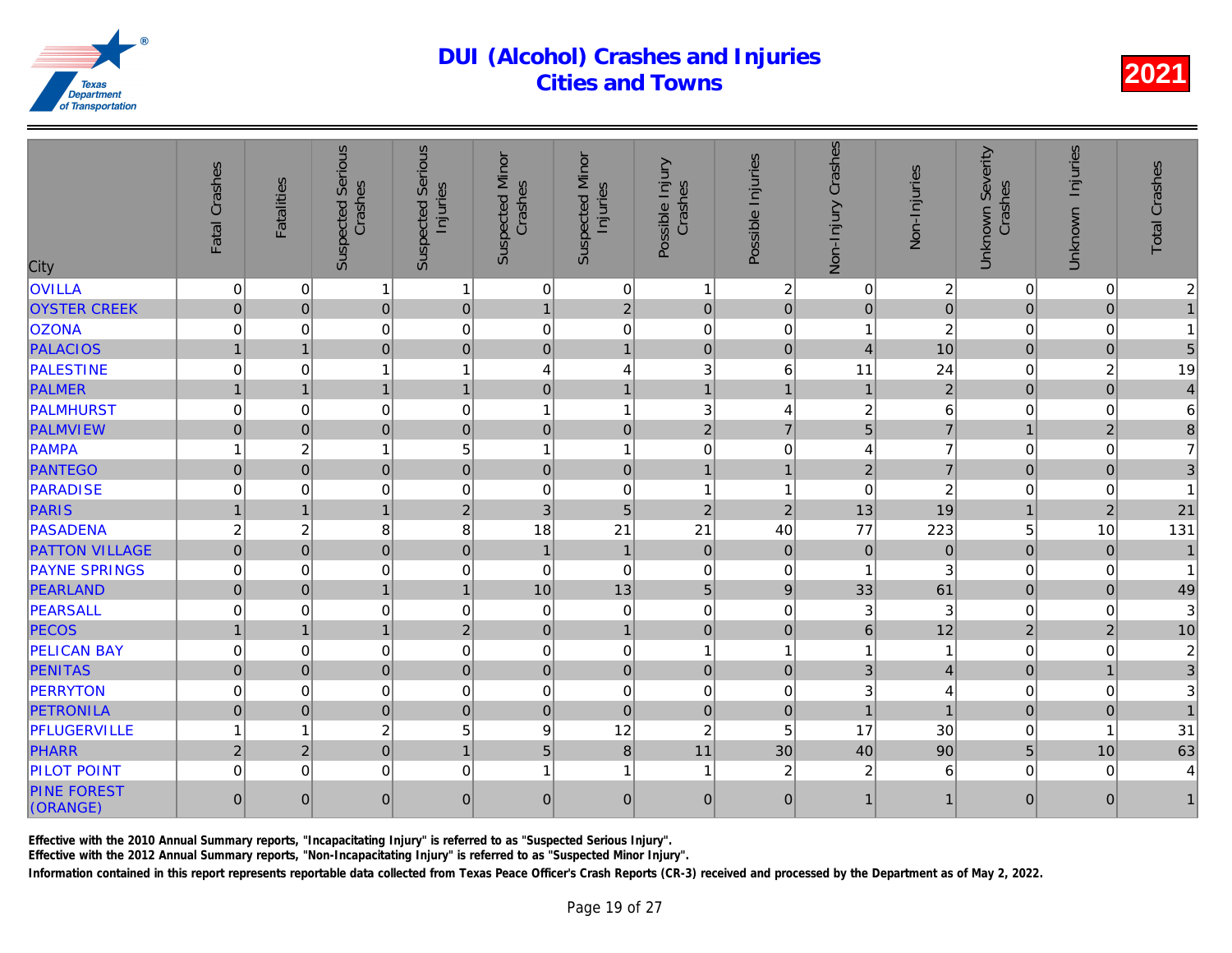| City                           | Fatal Crashes  | <b>Fatalities</b> | <b>Suspected Serious</b><br>Crashes | Serious<br>Injuries<br>Suspected | <b>Suspected Minor</b><br>Crashes | <b>Suspected Minor</b><br>Injuries | Possible Injury<br>Crashes | Possible Injuries | Non-Injury Crashes        | Non-Injuries   |
|--------------------------------|----------------|-------------------|-------------------------------------|----------------------------------|-----------------------------------|------------------------------------|----------------------------|-------------------|---------------------------|----------------|
| <b>OVILLA</b>                  | 0              | $\mathbf 0$       | $\mathbf{1}$                        | $\mathbf{1}$                     | $\mathbf 0$                       | $\overline{0}$                     | $\overline{1}$             | 2                 | $\mathbf 0$               | $\frac{2}{0}$  |
| <b>OYSTER CREEK</b>            | $\mathbf 0$    | $\overline{0}$    | $\overline{0}$                      | $\mathbf 0$                      | $\mathbf{1}$                      | $\overline{2}$                     | $\mathbf 0$                | $\mathbf 0$       | $\overline{0}$            |                |
| <b>OZONA</b>                   | 0              | $\Omega$          | 0                                   | $\mathbf 0$                      | $\mathbf 0$                       | 0                                  | $\mathbf 0$                | $\Omega$          | $\mathbf{1}$              | $\overline{a}$ |
| <b>PALACIOS</b>                | $\overline{1}$ | $\overline{1}$    | $\overline{0}$                      | $\mathbf 0$                      | $\mathbf 0$                       | $\overline{1}$                     | $\mathbf 0$                | $\Omega$          | $\overline{4}$            | 10             |
| PALESTINE                      | 0              | $\Omega$          | 1                                   | $\mathbf{1}$                     | 4                                 | 4                                  | 3                          | 6                 | 11                        | 24             |
| <b>PALMER</b>                  | $\mathbf{1}$   |                   | $\mathbf{1}$                        | $\mathbf{1}$                     | $\pmb{0}$                         | $\overline{1}$                     | $\overline{1}$             | $\overline{1}$    | $\overline{1}$            | $\overline{a}$ |
| PALMHURST                      | 0              | $\mathbf 0$       | 0                                   | $\mathbf 0$                      | 1                                 | $\mathbf{1}$                       | 3                          | 4                 | $\boldsymbol{2}$          | 6              |
| <b>PALMVIEW</b>                | $\overline{0}$ | $\Omega$          | $\overline{0}$                      | $\overline{0}$                   | $\mathbf{0}$                      | $\overline{0}$                     | $\overline{2}$             | $\overline{7}$    | $\overline{5}$            | $\overline{7}$ |
| PAMPA                          | 1              | $\boldsymbol{2}$  | $\mathbf{1}$                        | 5                                | 1                                 | $\mathbf{1}$                       | $\mathbf 0$                | $\mathbf 0$       | $\overline{4}$            |                |
| <b>PANTEGO</b>                 | $\overline{0}$ | $\mathbf 0$       | $\overline{0}$                      | $\overline{0}$                   | $\pmb{0}$                         | $\overline{0}$                     | $\overline{1}$             | $\mathbf{1}$      | $\overline{2}$            | $\overline{7}$ |
| PARADISE                       | 0              | $\Omega$          | 0                                   | $\mathbf 0$                      | $\mathbf 0$                       | $\mathbf 0$                        | $\overline{1}$             | 1                 | $\mathbf 0$               | $\overline{a}$ |
| PARIS                          | $\overline{1}$ | $\mathbf{1}$      | $\mathbf{1}$                        | $\overline{2}$                   | $\mathbf{3}$                      | 5                                  | $\overline{2}$             | $\overline{2}$    | 13                        | 19             |
| <b>PASADENA</b>                | $\overline{c}$ | $\overline{c}$    | 8                                   | 8                                | 18                                | 21                                 | 21                         | 40                | 77                        | 223            |
| <b>PATTON VILLAGE</b>          | $\overline{0}$ | $\Omega$          | $\overline{0}$                      | $\mathbf 0$                      | $\overline{1}$                    | $\mathbf{1}$                       | $\overline{0}$             | $\mathbf 0$       | $\mathbf 0$               | $\Omega$       |
| <b>PAYNE SPRINGS</b>           | 0              | $\mathbf 0$       | 0                                   | $\mathbf 0$                      | $\mathbf 0$                       | $\mathbf 0$                        | $\mathbf 0$                | $\mathbf 0$       |                           |                |
| PEARLAND                       | $\overline{0}$ | $\Omega$          | $\mathbf{1}$                        | $\mathbf{1}$                     | 10                                | 13                                 | 5                          | 9                 | 33                        | 61             |
| PEARSALL                       | 0              | $\mathbf 0$       | 0                                   | $\mathbf 0$                      | $\mathbf 0$                       | $\pmb{0}$                          | $\mathbf 0$                | 0                 | $\ensuremath{\mathsf{3}}$ | 3              |
| <b>PECOS</b>                   | $\mathbf{1}$   | $\mathbf{1}$      | $\mathbf{1}$                        | $\overline{2}$                   | $\mathbf 0$                       | $\mathbf{1}$                       | $\mathbf 0$                | $\mathbf 0$       | 6                         | 12             |
| <b>PELICAN BAY</b>             | 0              | $\mathbf 0$       | 0                                   | $\mathbf 0$                      | $\mathbf 0$                       | $\mathbf 0$                        | $\overline{1}$             | 1                 | 1                         |                |
| <b>PENITAS</b>                 | $\mathbf 0$    | $\mathbf{0}$      | $\overline{0}$                      | $\mathbf 0$                      | $\mathbf{0}$                      | $\overline{0}$                     | $\mathbf 0$                | $\mathbf 0$       | 3                         |                |
| <b>PERRYTON</b>                | 0              | $\mathbf 0$       | 0                                   | $\mathbf 0$                      | $\mathbf 0$                       | $\mathbf 0$                        | $\mathbf 0$                | 0                 | 3                         |                |
| <b>PETRONILA</b>               | $\mathbf 0$    | $\Omega$          | $\overline{0}$                      | $\mathbf 0$                      | $\mathbf 0$                       | $\mathbf 0$                        | $\mathbf 0$                | $\mathbf 0$       | $\overline{1}$            |                |
| PFLUGERVILLE                   | 1              | 1                 | $\overline{c}$                      | 5                                | 9                                 | 12                                 | $\overline{c}$             | 5                 | 17                        | 30             |
| <b>PHARR</b>                   | $\overline{2}$ | $\overline{2}$    | $\overline{0}$                      | $\overline{1}$                   | $\overline{5}$                    | $\mathbf{8}$                       | 11                         | 30                | 40                        | 90             |
| <b>PILOT POINT</b>             | 0              | 0                 | 0                                   | $\mathbf 0$                      | 1                                 | $\mathbf{1}$                       | -1                         | 2                 | $\boldsymbol{2}$          | 6              |
| <b>PINE FOREST</b><br>(ORANGE) | $\overline{0}$ | $\Omega$          | $\overline{0}$                      | $\mathbf 0$                      | $\Omega$                          | $\overline{0}$                     | $\mathbf{0}$               | $\Omega$          | $\overline{1}$            |                |

Effective with the 2010 Annual Summary reports, "Incapacitating Injury" is referred to as "Suspected Serious Injury".

Effective with the 2012 Annual Summary reports, "Non-Incapacitating Injury" is referred to as "Suspected Minor Injury".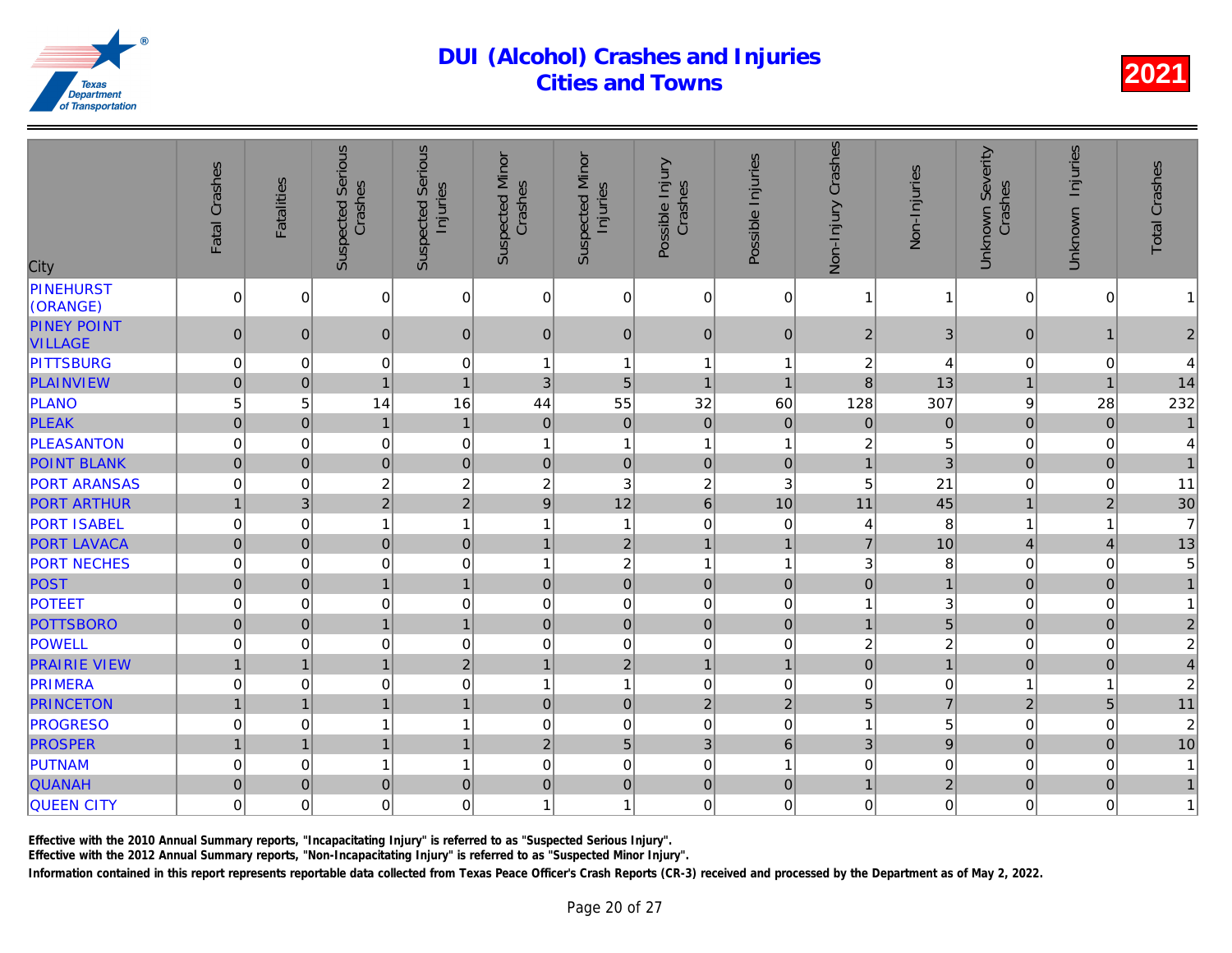| City                                 | Fatal Crashes  | <b>Fatalities</b> | <b>Suspected Serious</b><br>Crashes | <b>Suspected Serious</b><br>Injuries | <b>Suspected Minor</b><br>Crashes | <b>Suspected Minor</b><br>Injuries | Possible Injury<br>Crashes | Possible Injuries | Non-Injury Crashes | Non-Injuries   |
|--------------------------------------|----------------|-------------------|-------------------------------------|--------------------------------------|-----------------------------------|------------------------------------|----------------------------|-------------------|--------------------|----------------|
| <b>PINEHURST</b><br>(ORANGE)         | 0              | $\overline{0}$    | 0                                   | $\pmb{0}$                            | 0                                 | 0                                  | $\mathbf 0$                | 0                 | 1                  |                |
| <b>PINEY POINT</b><br><b>VILLAGE</b> | $\mathbf{0}$   | $\Omega$          | $\overline{0}$                      | $\mathbf{0}$                         | $\mathbf{0}$                      | $\overline{0}$                     | $\mathbf{0}$               | $\Omega$          | $\overline{2}$     | 3              |
| <b>PITTSBURG</b>                     | 0              | $\mathbf 0$       | 0                                   | $\mathbf 0$                          | 1                                 | $\mathbf{1}$                       | -1                         | 1                 | 2                  | $\overline{4}$ |
| <b>PLAINVIEW</b>                     | $\overline{0}$ | $\overline{0}$    | $\mathbf{1}$                        | $\overline{1}$                       | 3                                 | 5                                  | $\overline{1}$             | $\overline{1}$    | 8                  | 13             |
| PLANO                                | 5              | 5                 | 14                                  | 16                                   | 44                                | 55                                 | 32                         | 60                | 128                | 307            |
| <b>PLEAK</b>                         | $\mathbf 0$    | $\overline{0}$    | $\mathbf{1}$                        | $\mathbf{1}$                         | $\mathbf{0}$                      | $\mathbf 0$                        | $\overline{0}$             | $\mathbf{0}$      | $\overline{0}$     | $\Omega$       |
| <b>PLEASANTON</b>                    | 0              | $\mathbf 0$       | 0                                   | $\mathbf 0$                          | 1                                 | $\mathbf{1}$                       | $\overline{1}$             | 1                 | 2                  |                |
| <b>POINT BLANK</b>                   | $\pmb{0}$      | $\overline{0}$    | $\mathbf 0$                         | $\boldsymbol{0}$                     | $\overline{0}$                    | $\mathbf 0$                        | $\mathbf 0$                | $\pmb{0}$         | $\mathbf{1}$       | 3              |
| <b>PORT ARANSAS</b>                  | 0              | $\overline{0}$    | $\overline{\mathbf{c}}$             | $\overline{c}$                       | 2                                 | 3                                  | $\overline{c}$             | 3                 | 5                  | 21             |
| <b>PORT ARTHUR</b>                   | $\mathbf{1}$   | 3 <sup>1</sup>    | $\overline{2}$                      | $\overline{2}$                       | $9\,$                             | 12                                 | $6\phantom{1}$             | 10                | 11                 | 45             |
| <b>PORT ISABEL</b>                   | 0              | $\overline{0}$    | 1                                   | $\mathbf{1}$                         | 1                                 | $\mathbf{1}$                       | $\mathbf 0$                | 0                 | 4                  | 8              |
| <b>PORT LAVACA</b>                   | $\mathbf 0$    | 0                 | $\overline{0}$                      | $\mathbf 0$                          | $\mathbf{1}$                      | $\overline{2}$                     | $\mathbf{1}$               | $\overline{1}$    | $\overline{7}$     | 10             |
| <b>PORT NECHES</b>                   | 0              | $\overline{0}$    | 0                                   | $\mathbf 0$                          | 1                                 | $\overline{c}$                     | $\overline{1}$             | 1                 | 3                  | 8              |
| POST                                 | $\overline{0}$ | 0                 | $\overline{1}$                      | $\overline{1}$                       | $\mathbf 0$                       | $\overline{0}$                     | $\mathbf 0$                | $\mathbf 0$       | $\overline{0}$     |                |
| <b>POTEET</b>                        | 0              | $\Omega$          | 0                                   | $\mathbf 0$                          | $\mathbf 0$                       | 0                                  | $\mathbf 0$                | $\Omega$          | 1                  |                |
| <b>POTTSBORO</b>                     | $\pmb{0}$      | $\overline{0}$    | $\mathbf{1}$                        | $\mathbf{1}$                         | $\mathbf 0$                       | $\mathbf 0$                        | $\mathbf 0$                | $\pmb{0}$         | $\mathbf{1}$       | 5              |
| POWELL                               | $\mathsf 0$    | 0                 | 0                                   | $\mathbf 0$                          | $\mathbf 0$                       | 0                                  | $\mathbf 0$                | 0                 | $\overline{c}$     | $\overline{a}$ |
| <b>PRAIRIE VIEW</b>                  | $\overline{1}$ | $\mathbf{1}$      | $\mathbf{1}$                        | $\overline{2}$                       | $\mathbf{1}$                      | $\overline{2}$                     | $\mathbf{1}$               | $\mathbf{1}$      | $\overline{0}$     |                |
| PRIMERA                              | 0              | 0                 | 0                                   | $\mathbf 0$                          | 1                                 | $\mathbf{1}$                       | $\mathbf 0$                | $\mathbf 0$       | 0                  |                |
| <b>PRINCETON</b>                     | $\mathbf{1}$   | $\mathbf{1}$      | $\overline{1}$                      | $\mathbf{1}$                         | $\pmb{0}$                         | $\mathbf 0$                        | $\overline{2}$             | $\overline{2}$    | 5                  |                |
| <b>PROGRESO</b>                      | $\mathsf 0$    | 0                 | 1                                   | $\mathbf{1}$                         | $\mathbf 0$                       | 0                                  | $\mathbf 0$                | $\mathbf 0$       | $\overline{1}$     |                |
| <b>PROSPER</b>                       | $\mathbf{1}$   | $\mathbf{1}$      | $\mathbf{1}$                        | $\mathbf{1}$                         | $\overline{2}$                    | 5                                  | 3                          | $6\phantom{a}$    | 3 <sup>1</sup>     |                |
| PUTNAM                               | 0              | $\overline{0}$    | 1                                   | $\mathbf{1}$                         | $\mathbf 0$                       | 0                                  | $\mathbf 0$                | 1                 | $\mathsf 0$        |                |
| <b>QUANAH</b>                        | $\mathbf 0$    | $\overline{0}$    | $\overline{0}$                      | $\mathbf 0$                          | $\overline{0}$                    | $\mathbf 0$                        | $\mathbf 0$                | $\mathbf{0}$      | $\mathbf{1}$       | $\overline{2}$ |
| <b>QUEEN CITY</b>                    | 0              | $\overline{0}$    | 0                                   | $\mathbf 0$                          | 1                                 | 1                                  | $\mathbf 0$                | $\Omega$          | $\pmb{0}$          |                |

Effective with the 2010 Annual Summary reports, "Incapacitating Injury" is referred to as "Suspected Serious Injury".

Effective with the 2012 Annual Summary reports, "Non-Incapacitating Injury" is referred to as "Suspected Minor Injury".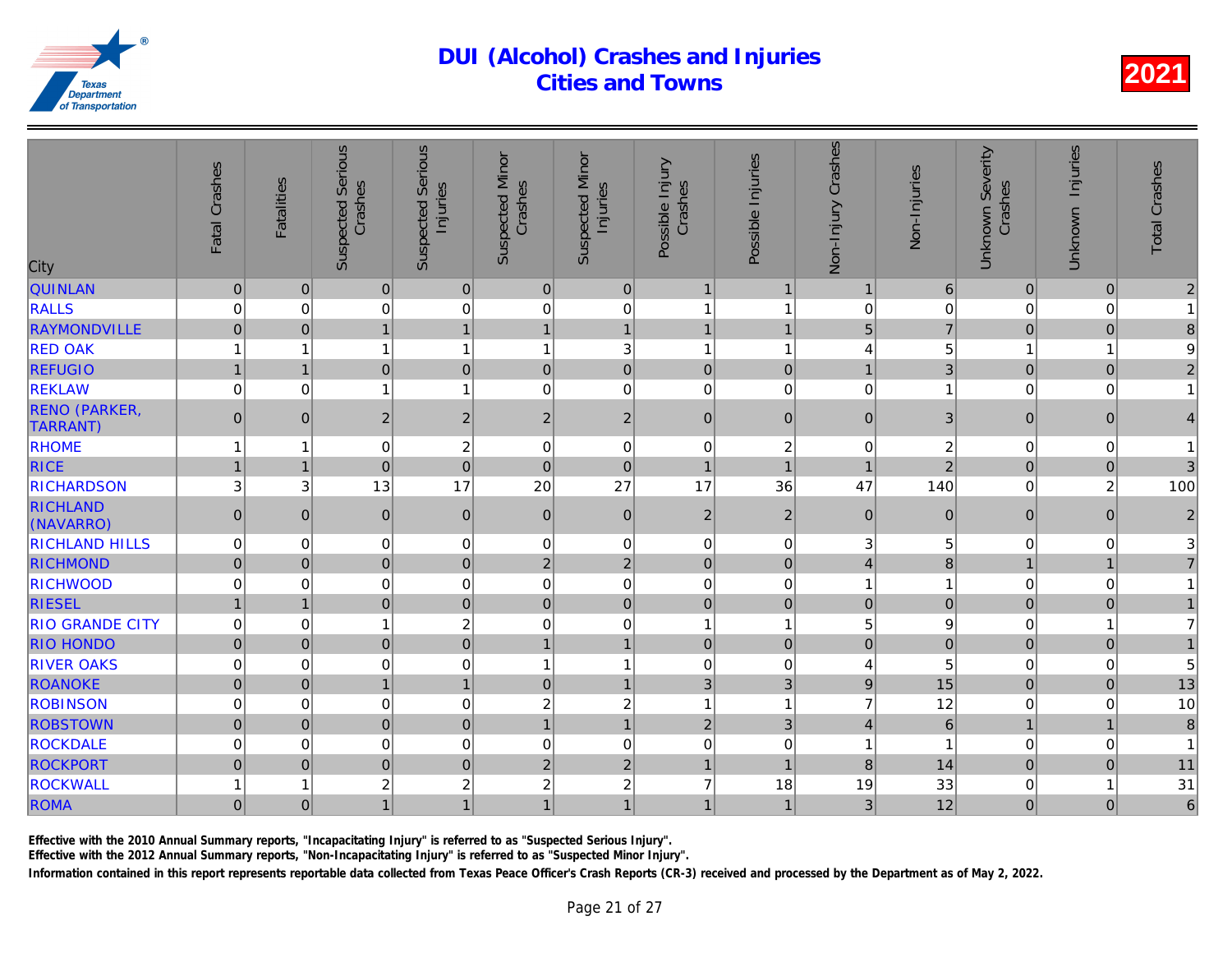| City                                    | Fatal Crashes  | <b>Fatalities</b> | <b>Suspected Serious</b><br>Crashes | <b>Suspected Serious</b><br>Injuries | <b>Suspected Minor</b><br>Crashes | <b>Suspected Minor</b><br>Injuries | Possible Injury<br>Crashes | Possible Injuries        | Non-Injury Crashes | Non-Injuries            |
|-----------------------------------------|----------------|-------------------|-------------------------------------|--------------------------------------|-----------------------------------|------------------------------------|----------------------------|--------------------------|--------------------|-------------------------|
| <b>QUINLAN</b>                          | $\pmb{0}$      | 0                 | $\overline{0}$                      | $\pmb{0}$                            | $\overline{0}$                    | $\pmb{0}$                          | $\mathbf{1}$               | $\overline{\phantom{a}}$ | $\mathbf{1}$       | 6                       |
| <b>RALLS</b>                            | 0              | 0                 | 0                                   | $\mathbf 0$                          | $\mathbf 0$                       | 0                                  | $\overline{1}$             | 1                        | 0                  |                         |
| <b>RAYMONDVILLE</b>                     | $\overline{0}$ | 0                 | $\overline{1}$                      | $\mathbf{1}$                         | $\mathbf{1}$                      | $\overline{1}$                     | $\overline{1}$             | $\overline{1}$           | 5 <sup>1</sup>     |                         |
| <b>RED OAK</b>                          | 1              | -1                | $\mathbf{1}$                        | $\mathbf{1}$                         | 1                                 | 3                                  | $\overline{1}$             | 1                        | 4                  |                         |
| <b>REFUGIO</b>                          | 1              | $\mathbf{1}$      | $\overline{0}$                      | $\mathbf 0$                          | $\mathbf 0$                       | $\overline{0}$                     | $\mathbf 0$                | $\mathbf{0}$             | $\mathbf{1}$       |                         |
| <b>REKLAW</b>                           | $\mathsf 0$    | $\Omega$          | 1                                   | $\mathbf{1}$                         | $\mathbf 0$                       | $\mathbf 0$                        | $\mathbf 0$                | 0                        | $\mathsf 0$        |                         |
| <b>RENO (PARKER,</b><br><b>TARRANT)</b> | $\pmb{0}$      | $\overline{0}$    | $\overline{c}$                      | $\sqrt{2}$                           | $\mathbf 2$                       | $\overline{2}$                     | $\mathbf 0$                | $\mathbf{0}$             | $\overline{0}$     | 3                       |
| <b>RHOME</b>                            | 1              |                   | 0                                   | $\overline{c}$                       | 0                                 | 0                                  | $\boldsymbol{0}$           | $\overline{c}$           | $\pmb{0}$          | $\overline{\mathbf{c}}$ |
| <b>RICE</b>                             | $\mathbf{1}$   | $\mathbf{1}$      | $\overline{0}$                      | $\mathbf 0$                          | $\mathbf{0}$                      | $\mathbf 0$                        | $\overline{1}$             | $\overline{1}$           | $\mathbf{1}$       | $\overline{2}$          |
| <b>RICHARDSON</b>                       | 3              | 3                 | 13                                  | 17                                   | 20                                | 27                                 | 17                         | 36                       | 47                 | 140                     |
| <b>RICHLAND</b><br>(NAVARRO)            | $\mathbf{0}$   | $\Omega$          | $\overline{0}$                      | $\pmb{0}$                            | $\overline{0}$                    | $\pmb{0}$                          | $\overline{2}$             | $\overline{2}$           | 0                  | $\Omega$                |
| <b>RICHLAND HILLS</b>                   | 0              | 0                 | 0                                   | $\mathbf 0$                          | $\mathbf 0$                       | 0                                  | $\boldsymbol{0}$           | 0                        | 3                  |                         |
| <b>RICHMOND</b>                         | $\mathbf 0$    | 0                 | $\overline{0}$                      | $\mathbf 0$                          | $\overline{2}$                    | $\overline{2}$                     | $\mathbf 0$                | $\mathbf 0$              | $\vert 4 \vert$    |                         |
| <b>RICHWOOD</b>                         | 0              | 0                 | 0                                   | $\mathbf 0$                          | $\mathbf 0$                       | 0                                  | $\mathbf 0$                | 0                        | $\mathbf{1}$       |                         |
| <b>RIESEL</b>                           | $\mathbf{1}$   | $\mathbf{1}$      | $\overline{0}$                      | $\mathbf 0$                          | $\mathbf{0}$                      | $\mathbf 0$                        | $\mathbf 0$                | $\overline{0}$           | $\overline{0}$     |                         |
| <b>RIO GRANDE CITY</b>                  | 0              | 0                 | 1                                   | $\overline{c}$                       | 0                                 | 0                                  | $\overline{1}$             | 1                        | 5                  |                         |
| <b>RIO HONDO</b>                        | $\mathbf 0$    | 0                 | $\overline{0}$                      | $\mathbf{0}$                         | $\mathbf{1}$                      | $\mathbf{1}$                       | $\mathbf 0$                | $\mathsf{O}\xspace$      | $\overline{0}$     | $\overline{0}$          |
| <b>RIVER OAKS</b>                       | 0              | $\overline{0}$    | 0                                   | $\mathbf 0$                          | 1                                 | $\mathbf{1}$                       | $\overline{0}$             | 0                        | 4                  | 5                       |
| <b>ROANOKE</b>                          | $\pmb{0}$      | $\overline{0}$    | $\mathbf{1}$                        | $\mathbf{1}$                         | $\mathbf 0$                       | $\mathbf{1}$                       | 3                          | 3                        | 9                  | 15                      |
| <b>ROBINSON</b>                         | 0              | 0                 | 0                                   | $\mathbf 0$                          | $\overline{c}$                    | $\overline{c}$                     | $\overline{1}$             | 1                        | $\overline{7}$     | 12                      |
| <b>ROBSTOWN</b>                         | $\overline{0}$ | 0                 | $\overline{0}$                      | $\overline{0}$                       | $\mathbf{1}$                      | $\overline{1}$                     | $\overline{2}$             | 3                        | $\vert$            | $\overline{6}$          |
| <b>ROCKDALE</b>                         | 0              | $\overline{0}$    | 0                                   | $\mathbf 0$                          | $\mathbf 0$                       | 0                                  | $\mathbf 0$                | 0                        | 1                  |                         |
| <b>ROCKPORT</b>                         | $\overline{0}$ | $\overline{0}$    | $\overline{0}$                      | $\overline{0}$                       | $\overline{2}$                    | $\overline{2}$                     | $\overline{1}$             |                          | 8                  | 14                      |
| <b>ROCKWALL</b>                         | 1              |                   | 2                                   | $\overline{c}$                       | $\overline{c}$                    | $\overline{c}$                     | $\overline{7}$             | 18                       | 19                 | 33                      |
| <b>ROMA</b>                             | $\mathbf 0$    | 0                 | 1                                   | $\mathbf{1}$                         | $\mathbf{1}$                      | 1                                  | $\mathbf{1}$               | $\mathbf{1}$             | 3 <sup>1</sup>     | 12                      |

Effective with the 2010 Annual Summary reports, "Incapacitating Injury" is referred to as "Suspected Serious Injury".

Effective with the 2012 Annual Summary reports, "Non-Incapacitating Injury" is referred to as "Suspected Minor Injury".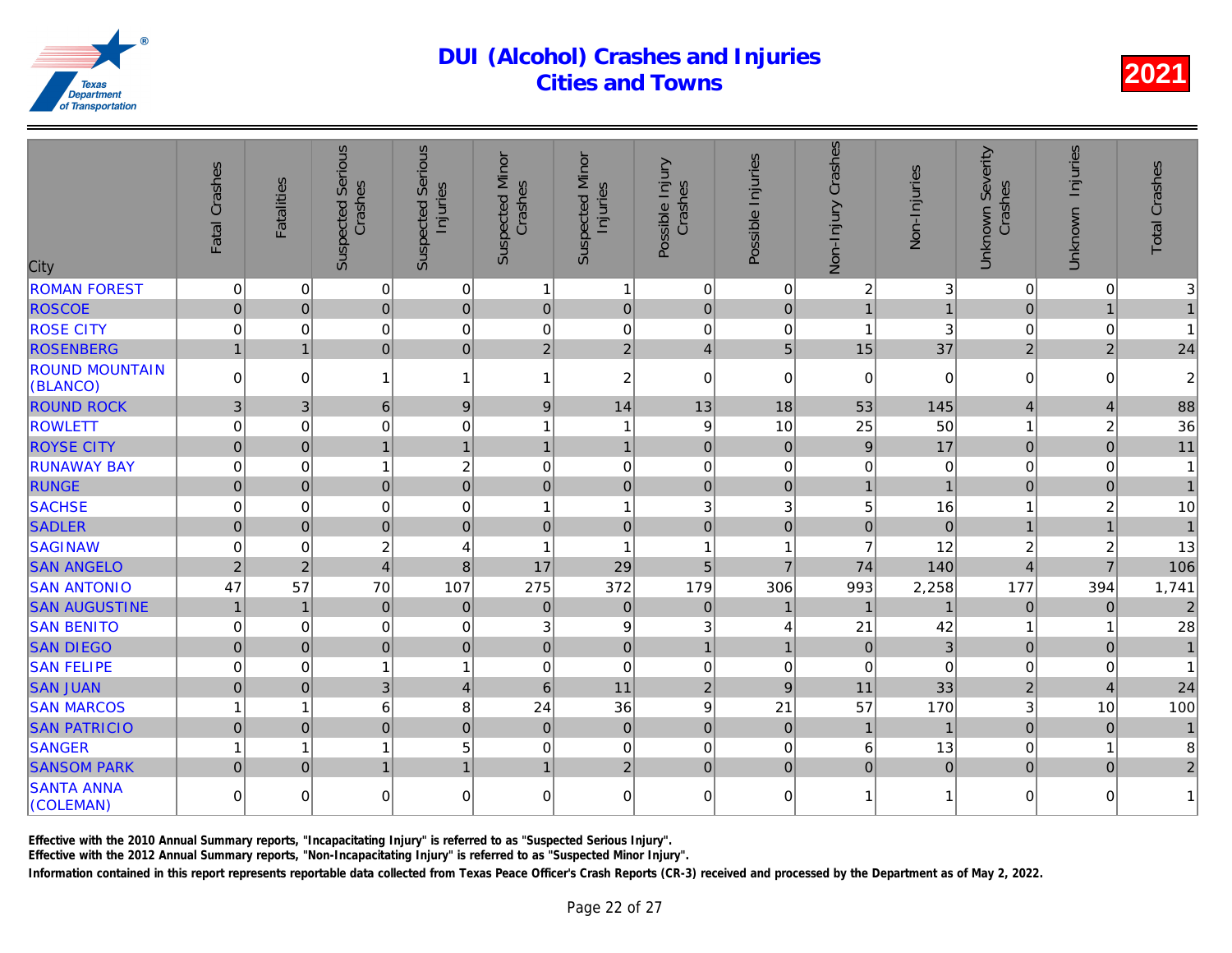| City                              | Fatal Crashes  | <b>Fatalities</b> | <b>Suspected Serious</b><br>Crashes | Serious<br>Injuries<br>Suspected | <b>Suspected Minor</b><br>Crashes | <b>Suspected Minor</b><br>Injuries | Possible Injury<br>Crashes | Possible Injuries | Non-Injury Crashes | Non-Injuries   |
|-----------------------------------|----------------|-------------------|-------------------------------------|----------------------------------|-----------------------------------|------------------------------------|----------------------------|-------------------|--------------------|----------------|
| <b>ROMAN FOREST</b>               | 0              | $\mathbf 0$       | 0                                   | $\mathbf 0$                      | 1                                 | $\mathbf{1}$                       | $\mathbf 0$                | $\mathbf 0$       | $\overline{c}$     |                |
| <b>ROSCOE</b>                     | $\overline{0}$ | $\overline{0}$    | $\overline{0}$                      | $\overline{0}$                   | $\mathbf 0$                       | $\overline{0}$                     | $\mathbf 0$                | $\mathbf 0$       | $\overline{1}$     |                |
| <b>ROSE CITY</b>                  | 0              | 0                 | 0                                   | $\mathbf 0$                      | $\mathbf 0$                       | $\mathbf 0$                        | $\mathbf 0$                | 0                 | 1                  | 3              |
| <b>ROSENBERG</b>                  | $\overline{1}$ | $\mathbf{1}$      | $\overline{0}$                      | $\mathbf 0$                      | $\overline{2}$                    | $\overline{2}$                     | $\overline{4}$             | 5                 | 15                 | 37             |
| <b>ROUND MOUNTAIN</b><br>(BLANCO) | $\Omega$       | $\Omega$          | 1                                   | $\mathbf{1}$                     | 1                                 | $\boldsymbol{2}$                   | $\Omega$                   | $\Omega$          | $\Omega$           | $\Omega$       |
| <b>ROUND ROCK</b>                 | 3              | 3                 | 6                                   | $\boldsymbol{9}$                 | 9                                 | 14                                 | 13                         | 18                | 53                 | 145            |
| <b>ROWLETT</b>                    | 0              | $\mathbf 0$       | 0                                   | $\mathbf 0$                      |                                   | $\mathbf{1}$                       | 9                          | 10                | 25                 | 50             |
| <b>ROYSE CITY</b>                 | $\overline{0}$ | $\overline{0}$    | $\mathbf{1}$                        | $\mathbf{1}$                     |                                   | $\overline{1}$                     | $\mathbf 0$                | $\pmb{0}$         | $\mathsf g$        | 17             |
| <b>RUNAWAY BAY</b>                | 0              | $\Omega$          | $\mathbf{1}$                        | $\overline{2}$                   | $\Omega$                          | $\overline{0}$                     | $\mathbf 0$                | $\mathbf 0$       | $\mathbf 0$        |                |
| <b>RUNGE</b>                      | $\overline{0}$ | $\Omega$          | $\overline{0}$                      | $\mathbf 0$                      | $\mathbf 0$                       | $\overline{0}$                     | $\overline{0}$             | $\Omega$          | $\mathbf{1}$       |                |
| <b>SACHSE</b>                     | 0              | $\mathbf 0$       | 0                                   | $\mathbf 0$                      | 1                                 | $\mathbf{1}$                       | 3                          | 3                 | 5                  | 16             |
| <b>SADLER</b>                     | $\overline{0}$ | $\mathbf 0$       | $\overline{0}$                      | $\overline{0}$                   | $\mathbf 0$                       | $\overline{0}$                     | $\overline{0}$             | $\overline{0}$    | $\overline{0}$     | $\overline{0}$ |
| <b>SAGINAW</b>                    | 0              | $\Omega$          | $\overline{c}$                      | $\overline{4}$                   | $\overline{1}$                    | $\overline{1}$                     | $\overline{1}$             | 1                 | $\overline{7}$     | 12             |
| <b>SAN ANGELO</b>                 | $\overline{2}$ | $\overline{2}$    | $\overline{\mathbf{4}}$             | 8                                | 17                                | 29                                 | 5                          | $\overline{7}$    | 74                 | 140            |
| <b>SAN ANTONIO</b>                | 47             | 57                | 70                                  | 107                              | 275                               | 372                                | 179                        | 306               | 993                | 2,258          |
| <b>SAN AUGUSTINE</b>              | $\mathbf{1}$   | $\mathbf{1}$      | $\mathsf{O}\xspace$                 | $\mathbf 0$                      | $\pmb{0}$                         | $\overline{0}$                     | $\mathbf 0$                | $\mathbf{1}$      | $\overline{1}$     |                |
| <b>SAN BENITO</b>                 | 0              | $\mathbf 0$       | 0                                   | $\mathbf 0$                      | 3                                 | 9                                  | 3                          | 4                 | 21                 | 42             |
| <b>SAN DIEGO</b>                  | $\mathbf 0$    | $\mathbf{0}$      | $\mathbf 0$                         | $\mathbf 0$                      | $\mathbf 0$                       | $\overline{0}$                     | $\overline{1}$             | $\overline{1}$    | $\mathbf 0$        | 3              |
| <b>SAN FELIPE</b>                 | 0              | $\mathbf 0$       | 1                                   | $\mathbf{1}$                     | $\mathbf 0$                       | $\mathbf 0$                        | $\mathbf 0$                | $\mathbf 0$       | $\mathbf 0$        |                |
| <b>SAN JUAN</b>                   | $\overline{0}$ | $\overline{0}$    | 3                                   | $\overline{4}$                   | $6\phantom{1}$                    | 11                                 | $\overline{2}$             | 9                 | 11                 | 33             |
| <b>SAN MARCOS</b>                 | 1              | 1                 | 6                                   | 8                                | 24                                | 36                                 | 9                          | 21                | 57                 | 170            |
| <b>SAN PATRICIO</b>               | $\mathbf 0$    | $\Omega$          | $\overline{0}$                      | $\mathbf 0$                      | $\mathbf{0}$                      | $\overline{0}$                     | $\mathbf 0$                | $\mathbf 0$       | $\overline{1}$     |                |
| <b>SANGER</b>                     | 1              | 1                 | $\mathbf{1}$                        | 5                                | 0                                 | $\mathbf 0$                        | $\mathbf 0$                | 0                 | 6                  | 13             |
| <b>SANSOM PARK</b>                | $\Omega$       | $\Omega$          | $\mathbf{1}$                        | $\overline{1}$                   | $\mathbf{1}$                      | $\overline{2}$                     | $\mathbf{0}$               | $\mathbf 0$       | $\pmb{0}$          | $\overline{0}$ |
| <b>SANTA ANNA</b><br>(COLEMAN)    | $\Omega$       | $\Omega$          | 0                                   | $\overline{0}$                   | $\Omega$                          | $\overline{0}$                     | $\Omega$                   | $\Omega$          | $\mathbf{1}$       |                |
|                                   |                |                   |                                     |                                  |                                   |                                    |                            |                   |                    |                |

Effective with the 2010 Annual Summary reports, "Incapacitating Injury" is referred to as "Suspected Serious Injury".

Effective with the 2012 Annual Summary reports, "Non-Incapacitating Injury" is referred to as "Suspected Minor Injury".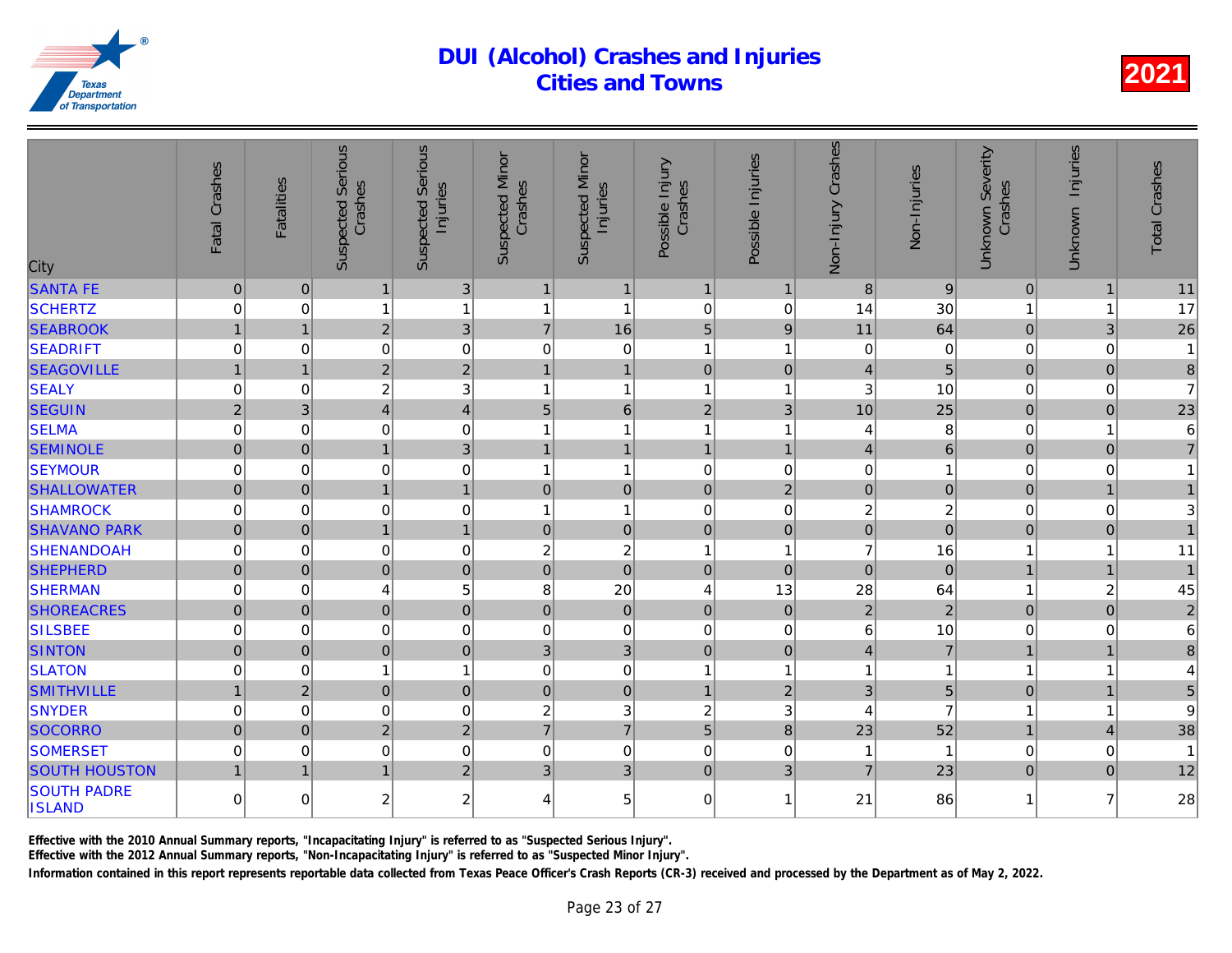| City                                | Fatal Crashes  | <b>Fatalities</b> | Serious<br>Crashes<br>Suspected | Serious<br>Injuries<br>Suspected | <b>Suspected Minor</b><br>Crashes | <b>Suspected Minor</b><br>Injuries | Possible Injury<br>Crashes | Possible Injuries | Crashes<br>Non-Injury | Non-Injuries   |
|-------------------------------------|----------------|-------------------|---------------------------------|----------------------------------|-----------------------------------|------------------------------------|----------------------------|-------------------|-----------------------|----------------|
| <b>SANTA FE</b>                     | $\pmb{0}$      | 0                 | $\mathbf{1}$                    | 3 <sup>1</sup>                   | $\mathbf{1}$                      | $\mathbf{1}$                       | $\mathbf{1}$               | $\overline{1}$    | 8                     | 9              |
| <b>SCHERTZ</b>                      | 0              | $\Omega$          | 1                               | $\overline{1}$                   | 1                                 | 1                                  | $\mathbf 0$                | 0                 | 14                    | 30             |
| <b>SEABROOK</b>                     | $\mathbf{1}$   | $\mathbf{1}$      | $\overline{2}$                  | 3                                | $\overline{7}$                    | 16                                 | 5                          | 9                 | 11                    | 64             |
| <b>SEADRIFT</b>                     | 0              | $\overline{0}$    | 0                               | $\mathbf 0$                      | $\mathbf 0$                       | 0                                  | $\overline{1}$             | 1                 | 0                     | $\Omega$       |
| <b>SEAGOVILLE</b>                   | $\mathbf{1}$   | $\mathbf{1}$      | $\overline{2}$                  | $\overline{2}$                   | 1                                 | $\mathbf{1}$                       | $\overline{0}$             | $\mathbf{0}$      | $\vert 4 \vert$       | 5              |
| <b>SEALY</b>                        | 0              | $\Omega$          | 2                               | 3                                | 1                                 | $\overline{1}$                     | 1                          | 1                 | 3                     | 10             |
| <b>SEGUIN</b>                       | $\overline{c}$ | 3 <sup>1</sup>    | $\overline{4}$                  | $\overline{4}$                   | $5\phantom{.}$                    | $6\phantom{a}$                     | $\overline{2}$             | 3                 | 10                    | 25             |
| <b>SELMA</b>                        | 0              | $\overline{0}$    | 0                               | $\mathbf 0$                      |                                   | 1                                  | $\overline{1}$             | 1                 | 4                     | 8              |
| <b>SEMINOLE</b>                     | $\overline{0}$ | $\Omega$          | $\overline{1}$                  | 3                                | $\overline{1}$                    | $\overline{1}$                     | $\overline{1}$             | $\overline{1}$    | $\vert 4 \vert$       | 6              |
| <b>SEYMOUR</b>                      | 0              | $\Omega$          | 0                               | $\mathbf 0$                      | 1                                 | $\mathbf{1}$                       | $\Omega$                   | $\Omega$          | 0                     |                |
| <b>SHALLOWATER</b>                  | $\mathbf 0$    | 0                 | $\overline{1}$                  | $\overline{1}$                   | $\overline{0}$                    | $\mathbf 0$                        | $\overline{0}$             | $\overline{2}$    | $\overline{0}$        | $\overline{0}$ |
| <b>SHAMROCK</b>                     | 0              | $\overline{0}$    | 0                               | $\mathbf 0$                      | 1                                 | $\mathbf{1}$                       | $\overline{0}$             | 0                 | $\overline{c}$        | $\frac{2}{0}$  |
| <b>SHAVANO PARK</b>                 | $\overline{0}$ | 0                 | $\mathbf{1}$                    | $\overline{1}$                   | $\mathbf 0$                       | $\mathbf 0$                        | $\mathbf 0$                | $\mathbf 0$       | $\overline{0}$        |                |
| <b>SHENANDOAH</b>                   | 0              | 0                 | 0                               | $\mathbf 0$                      | $\boldsymbol{2}$                  | $\overline{c}$                     | 1                          | 1                 | $\overline{7}$        | 16             |
| <b>SHEPHERD</b>                     | $\mathbf 0$    | $\overline{0}$    | $\overline{0}$                  | $\overline{0}$                   | $\overline{0}$                    | $\overline{0}$                     | $\overline{0}$             | $\mathbf{0}$      | $\overline{0}$        | $\overline{0}$ |
| <b>SHERMAN</b>                      | 0              | $\Omega$          | 4                               | 5                                | 8                                 | 20                                 | $\overline{4}$             | 13                | 28                    | 64             |
| <b>SHOREACRES</b>                   | $\overline{0}$ | 0                 | $\overline{0}$                  | $\overline{0}$                   | $\overline{0}$                    | $\mathbf 0$                        | $\overline{0}$             | $\mathbf{0}$      | $\overline{2}$        | $\overline{a}$ |
| <b>SILSBEE</b>                      | 0              | $\overline{0}$    | 0                               | $\mathbf 0$                      | $\mathbf 0$                       | 0                                  | $\mathbf 0$                | 0                 | 6                     | 10             |
| <b>SINTON</b>                       | $\mathbf 0$    | $\Omega$          | $\overline{0}$                  | $\mathbf 0$                      | $\mathfrak{B}$                    | 3                                  | $\overline{0}$             | $\Omega$          | $\overline{4}$        | $\overline{7}$ |
| <b>SLATON</b>                       | $\mathsf 0$    | 0                 | 1                               | $\mathbf{1}$                     | $\mathbf 0$                       | $\mathbf 0$                        | 1                          | 1                 | 1                     |                |
| <b>SMITHVILLE</b>                   | $\mathbf{1}$   | $\overline{2}$    | $\overline{0}$                  | $\overline{0}$                   | $\pmb{0}$                         | $\mathbf 0$                        | $\mathbf{1}$               | $\overline{2}$    | 3 <sup>1</sup>        | 5              |
| <b>SNYDER</b>                       | 0              | $\Omega$          | 0                               | $\mathbf 0$                      | $\boldsymbol{2}$                  | 3                                  | $\overline{c}$             | 3                 | 4                     | 7              |
| <b>SOCORRO</b>                      | $\overline{0}$ | $\Omega$          | $\overline{2}$                  | $\overline{2}$                   | $\overline{7}$                    | $\overline{7}$                     | 5                          | 8                 | 23                    | 52             |
| <b>SOMERSET</b>                     | 0              | $\Omega$          | 0                               | $\mathbf 0$                      | $\mathbf 0$                       | 0                                  | $\mathbf 0$                | $\Omega$          | 1                     |                |
| <b>SOUTH HOUSTON</b>                | $\mathbf{1}$   | $\mathbf{1}$      | $\mathbf{1}$                    | $\overline{2}$                   | 3                                 | 3                                  | $\mathbf 0$                | 3                 | $\overline{7}$        | 23             |
| <b>SOUTH PADRE</b><br><b>ISLAND</b> | $\Omega$       | $\Omega$          | $\overline{2}$                  | $\overline{c}$                   | 4                                 | 5                                  | $\Omega$                   | 1                 | 21                    | 86             |

Effective with the 2010 Annual Summary reports, "Incapacitating Injury" is referred to as "Suspected Serious Injury".

Effective with the 2012 Annual Summary reports, "Non-Incapacitating Injury" is referred to as "Suspected Minor Injury".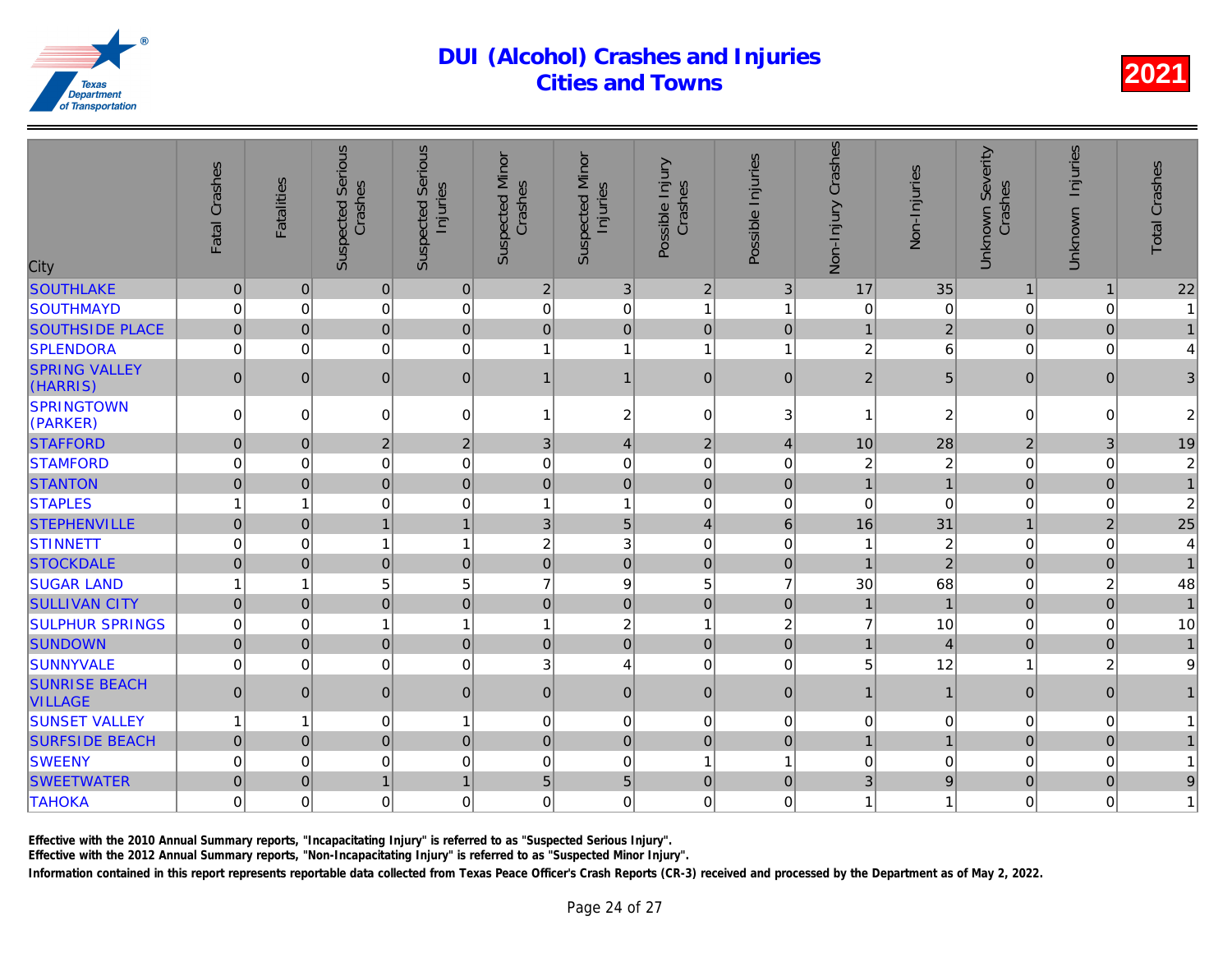| City                                   | Fatal Crashes  | <b>Fatalities</b> | <b>Suspected Serious</b><br>Crashes | <b>Suspected Serious</b><br>Injuries | <b>Suspected Minor</b><br>Crashes | <b>Suspected Minor</b><br>Injuries | Possible Injury<br>Crashes | Possible Injuries | Crashes<br>Non-Injury | Non-Injuries   |
|----------------------------------------|----------------|-------------------|-------------------------------------|--------------------------------------|-----------------------------------|------------------------------------|----------------------------|-------------------|-----------------------|----------------|
| <b>SOUTHLAKE</b>                       | $\pmb{0}$      | 0                 | 0                                   | $\pmb{0}$                            | $\overline{2}$                    | $\mathfrak{S}$                     | $\overline{2}$             | $\mathbf{3}$      | 17                    | 35             |
| <b>SOUTHMAYD</b>                       | 0              | $\Omega$          | 0                                   | $\mathbf 0$                          | $\mathbf 0$                       | 0                                  | $\overline{1}$             | 1                 | $\mathbf 0$           | $\Omega$       |
| <b>SOUTHSIDE PLACE</b>                 | $\mathbf 0$    | 0                 | $\overline{0}$                      | $\mathbf 0$                          | $\mathbf 0$                       | $\mathbf 0$                        | $\mathbf 0$                | $\mathbf 0$       | $\mathbf{1}$          | $\overline{a}$ |
| <b>SPLENDORA</b>                       | 0              | $\overline{0}$    | 0                                   | $\mathbf 0$                          |                                   | $\overline{1}$                     | 1                          | 1                 | $\overline{2}$        | 6              |
| <b>SPRING VALLEY</b><br>(HARRIS)       | $\mathbf{0}$   | $\Omega$          | $\mathbf 0$                         | $\pmb{0}$                            | $\mathbf 1$                       | $\mathbf{1}$                       | $\mathbf 0$                | $\mathbf{0}$      | $\overline{2}$        | 5              |
| <b>SPRINGTOWN</b><br>(PARKER)          | $\Omega$       | $\Omega$          | 0                                   | $\mathbf 0$                          |                                   | 2                                  | $\mathbf 0$                | 3                 |                       | $\overline{a}$ |
| <b>STAFFORD</b>                        | $\pmb{0}$      | 0                 | $\overline{2}$                      | $\sqrt{2}$                           | 3                                 | $\overline{\mathbf{4}}$            | $\overline{2}$             | $\overline{4}$    | 10                    | 28             |
| <b>STAMFORD</b>                        | 0              | $\overline{0}$    | 0                                   | $\mathbf 0$                          | $\mathbf 0$                       | 0                                  | $\mathbf 0$                | 0                 | 2                     | $\overline{a}$ |
| <b>STANTON</b>                         | $\mathbf 0$    | 0                 | $\overline{0}$                      | $\mathbf 0$                          | $\mathbf 0$                       | $\overline{0}$                     | $\mathbf 0$                | $\mathbf 0$       | $\overline{1}$        |                |
| <b>STAPLES</b>                         | 1              | 1                 | 0                                   | $\mathbf 0$                          | 1                                 | $\mathbf{1}$                       | $\overline{0}$             | 0                 | $\mathbf 0$           |                |
| <b>STEPHENVILLE</b>                    | $\overline{0}$ | $\Omega$          | $\mathbf{1}$                        | $\overline{1}$                       | $\mathfrak{B}$                    | 5                                  | $\overline{4}$             | $6\phantom{1}$    | 16                    | 31             |
| <b>STINNETT</b>                        | 0              | $\overline{0}$    | 1                                   | $\mathbf{1}$                         | 2                                 | 3                                  | $\mathbf 0$                | 0                 | 1                     | $\overline{a}$ |
| <b>STOCKDALE</b>                       | $\overline{0}$ | 0                 | $\overline{0}$                      | $\mathbf 0$                          | $\pmb{0}$                         | $\overline{0}$                     | $\mathbf 0$                | $\mathbf 0$       | $\overline{1}$        | $\overline{2}$ |
| <b>SUGAR LAND</b>                      | 1              | 1                 | 5                                   | 5                                    | $\overline{7}$                    | $\boldsymbol{9}$                   | 5                          | $\overline{7}$    | 30                    | 68             |
| <b>SULLIVAN CITY</b>                   | $\pmb{0}$      | $\Omega$          | $\mathbf 0$                         | $\pmb{0}$                            | $\Omega$                          | $\overline{0}$                     | $\mathbf 0$                | $\pmb{0}$         | $\mathbf{1}$          | $\overline{1}$ |
| <b>SULPHUR SPRINGS</b>                 | 0              | $\overline{0}$    | 1                                   | $\mathbf{1}$                         | 1                                 | $\overline{c}$                     | $\overline{1}$             | $\overline{c}$    | $\overline{7}$        | 10             |
| <b>SUNDOWN</b>                         | $\mathbf 0$    | 0                 | $\overline{0}$                      | $\pmb{0}$                            | $\mathbf 0$                       | $\overline{0}$                     | $\mathbf 0$                | $\mathbf 0$       | $\mathbf{1}$          | $\overline{4}$ |
| <b>SUNNYVALE</b>                       | 0              | $\overline{0}$    | 0                                   | $\mathbf 0$                          | 3                                 | $\overline{\mathbf{4}}$            | $\mathbf 0$                | $\Omega$          | 5                     | 12             |
| <b>SUNRISE BEACH</b><br><b>VILLAGE</b> | $\mathbf{0}$   | $\overline{0}$    | $\overline{0}$                      | $\pmb{0}$                            | $\overline{0}$                    | $\mathsf{O}\xspace$                | $\overline{0}$             | $\mathbf{0}$      | $\mathbf{1}$          |                |
| <b>SUNSET VALLEY</b>                   | 1              | 1                 | 0                                   | $\mathbf{1}$                         | 0                                 | 0                                  | $\mathbf 0$                | $\mathbf 0$       | $\pmb{0}$             |                |
| <b>SURFSIDE BEACH</b>                  | $\overline{0}$ | $\Omega$          | $\overline{0}$                      | $\overline{0}$                       | $\overline{0}$                    | $\overline{0}$                     | $\mathbf 0$                | $\Omega$          | $\mathbf{1}$          |                |
| <b>SWEENY</b>                          | 0              | $\overline{0}$    | 0                                   | $\mathbf 0$                          | $\mathbf 0$                       | 0                                  | $\overline{1}$             | 1                 | $\pmb{0}$             |                |
| <b>SWEETWATER</b>                      | $\overline{0}$ | $\Omega$          | $\mathbf{1}$                        | $\mathbf{1}$                         | $5\phantom{.}$                    | 5                                  | $\overline{0}$             | $\Omega$          | 3                     |                |
| <b>TAHOKA</b>                          | 0              | $\overline{0}$    | 0                                   | $\mathbf 0$                          | $\mathbf 0$                       | 0                                  | $\mathbf 0$                | $\Omega$          | 1                     |                |
|                                        |                |                   |                                     |                                      |                                   |                                    |                            |                   |                       |                |

Effective with the 2010 Annual Summary reports, "Incapacitating Injury" is referred to as "Suspected Serious Injury".

Effective with the 2012 Annual Summary reports, "Non-Incapacitating Injury" is referred to as "Suspected Minor Injury".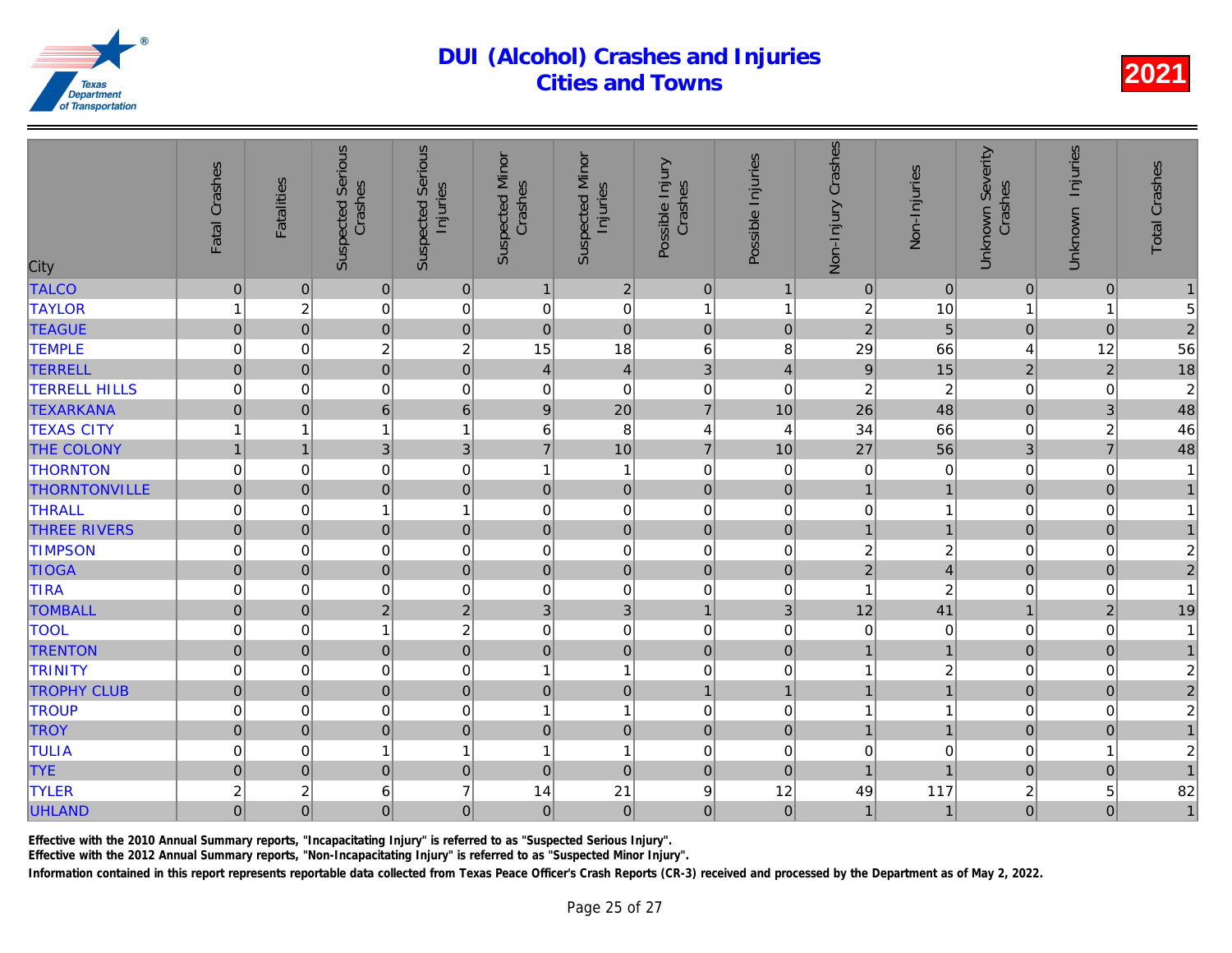| City                 | Fatal Crashes       | <b>Fatalities</b> | <b>Suspected Serious</b><br>Crashes | <b>Serious</b><br>Injuries<br>Suspected | <b>Suspected Minor</b><br>Crashes | <b>Suspected Minor</b><br>Injuries | Possible Injury<br>Crashes | Possible Injuries | Non-Injury Crashes | Non-Injuries            |
|----------------------|---------------------|-------------------|-------------------------------------|-----------------------------------------|-----------------------------------|------------------------------------|----------------------------|-------------------|--------------------|-------------------------|
| <b>TALCO</b>         | $\pmb{0}$           | $\overline{0}$    | $\pmb{0}$                           | $\mathbf 0$                             | $\mathbf{1}$                      | $\overline{2}$                     | $\mathbf{0}$               | $\mathbf 1$       | $\mathbf 0$        | $\Omega$                |
| <b>TAYLOR</b>        | 1                   | 2                 | 0                                   | $\mathbf 0$                             | 0                                 | $\mathbf 0$                        | $\overline{1}$             | 1                 | 2                  | 10                      |
| <b>TEAGUE</b>        | $\mathsf{O}\xspace$ | $\mathbf 0$       | $\overline{0}$                      | $\mathbf 0$                             | $\pmb{0}$                         | $\overline{0}$                     | $\mathbf 0$                | $\pmb{0}$         | $\overline{2}$     | 5                       |
| <b>TEMPLE</b>        | 0                   | 0                 | $\overline{c}$                      | $\overline{c}$                          | 15                                | 18                                 | $\,6$                      | 8                 | 29                 | 66                      |
| <b>TERRELL</b>       | $\overline{0}$      | $\overline{0}$    | $\overline{0}$                      | $\mathbf 0$                             | $\overline{4}$                    | $\vert 4 \vert$                    | 3                          | $\overline{4}$    | $\mathsf g$        | 15                      |
| <b>TERRELL HILLS</b> | $\mathbf 0$         | $\Omega$          | 0                                   | $\mathbf 0$                             | $\mathbf 0$                       | $\mathbf 0$                        | $\mathbf 0$                | $\Omega$          | $\overline{c}$     | $\overline{\mathbf{c}}$ |
| <b>TEXARKANA</b>     | $\overline{0}$      | $\mathbf 0$       | $6\phantom{a}$                      | $6\phantom{1}$                          | $\boldsymbol{9}$                  | 20                                 | $\overline{7}$             | 10                | 26                 | 48                      |
| <b>TEXAS CITY</b>    | $\mathbf{1}$        | 1                 | 1                                   | $\mathbf{1}$                            | 6                                 | 8                                  | $\overline{4}$             | $\overline{4}$    | 34                 | 66                      |
| <b>THE COLONY</b>    | $\mathbf{1}$        | $\mathbf{1}$      | 3                                   | 3                                       | $\overline{7}$                    | 10                                 | $\overline{7}$             | 10                | 27                 | 56                      |
| <b>THORNTON</b>      | 0                   | $\mathbf 0$       | 0                                   | $\mathbf 0$                             | $\overline{\phantom{a}}$          | $\mathbf{1}$                       | $\mathbf 0$                | $\mathbf 0$       | $\mathbf 0$        |                         |
| <b>THORNTONVILLE</b> | $\overline{0}$      | $\Omega$          | $\overline{0}$                      | $\mathbf 0$                             | $\mathbf 0$                       | $\overline{0}$                     | $\overline{0}$             | $\mathbf{0}$      | $\mathbf{1}$       |                         |
| <b>THRALL</b>        | 0                   | $\mathbf 0$       | 1                                   | $\mathbf{1}$                            | $\mathbf 0$                       | $\mathbf 0$                        | $\mathbf 0$                | $\mathbf 0$       | $\mathbf 0$        |                         |
| <b>THREE RIVERS</b>  | $\overline{0}$      | $\overline{0}$    | $\overline{0}$                      | $\mathbf 0$                             | $\mathbf 0$                       | $\overline{0}$                     | $\mathbf 0$                | $\overline{0}$    | $\mathbf{1}$       |                         |
| <b>TIMPSON</b>       | 0                   | $\mathbf 0$       | 0                                   | $\mathbf 0$                             | $\mathbf 0$                       | $\overline{0}$                     | $\mathbf 0$                | 0                 | 2                  |                         |
| <b>TIOGA</b>         | $\mathbf 0$         | $\Omega$          | $\overline{0}$                      | $\mathbf 0$                             | $\mathbf 0$                       | $\overline{0}$                     | $\mathbf 0$                | $\mathbf 0$       | $\overline{2}$     |                         |
| <b>TIRA</b>          | 0                   | $\Omega$          | 0                                   | $\mathbf 0$                             | $\mathbf 0$                       | $\mathbf 0$                        | $\mathbf 0$                | 0                 | 1                  | $\overline{a}$          |
| <b>TOMBALL</b>       | $\overline{0}$      | $\overline{0}$    | $\overline{2}$                      | $\overline{2}$                          | $\mathbf{3}$                      | $\overline{3}$                     | $\mathbf{1}$               | $\mathbf{3}$      | 12                 | 41                      |
| <b>TOOL</b>          | 0                   | 0                 | $\mathbf{1}$                        | $\overline{c}$                          | $\mathbf 0$                       | 0                                  | $\mathbf 0$                | 0                 | $\mathbf 0$        | $\Omega$                |
| <b>TRENTON</b>       | $\overline{0}$      | $\overline{0}$    | $\mathbf 0$                         | $\mathbf 0$                             | $\pmb{0}$                         | $\overline{0}$                     | $\mathbf 0$                | $\mathbf 0$       | $\overline{1}$     |                         |
| <b>TRINITY</b>       | 0                   | $\mathbf 0$       | 0                                   | $\boldsymbol{0}$                        | 1                                 | $\mathbf{1}$                       | $\mathbf 0$                | $\mathbf 0$       | 1                  |                         |
| <b>TROPHY CLUB</b>   | $\mathbf 0$         | $\mathbf 0$       | $\overline{0}$                      | $\mathbf 0$                             | $\pmb{0}$                         | $\overline{0}$                     | $\mathbf{1}$               | $\mathbf{1}$      | $\mathbf{1}$       |                         |
| <b>TROUP</b>         | 0                   | 0                 | 0                                   | $\mathbf 0$                             | $\overline{1}$                    | $\mathbf{1}$                       | $\mathbf 0$                | $\mathbf 0$       | 1                  |                         |
| <b>TROY</b>          | $\overline{0}$      | $\overline{0}$    | $\overline{0}$                      | $\mathbf 0$                             | $\pmb{0}$                         | $\overline{0}$                     | $\mathbf 0$                | $\mathbf 0$       | $\mathbf{1}$       |                         |
| <b>TULIA</b>         | 0                   | $\mathbf 0$       | $\mathbf{1}$                        | $\mathbf{1}$                            | $\overline{1}$                    | $\mathbf{1}$                       | $\mathbf 0$                | 0                 | $\mathbf 0$        |                         |
| <b>TYE</b>           | $\mathbf 0$         | $\Omega$          | $\overline{0}$                      | $\mathbf 0$                             | $\mathbf 0$                       | $\mathbf 0$                        | $\mathbf 0$                | $\Omega$          |                    |                         |
| <b>TYLER</b>         | 2                   | 2                 | 6                                   | $\overline{7}$                          | 14                                | 21                                 | $\boldsymbol{9}$           | 12                | 49                 | 117                     |
| <b>UHLAND</b>        | $\mathbf 0$         | $\mathbf 0$       | $\overline{0}$                      | $\pmb{0}$                               | $\mathbf{0}$                      | $\overline{0}$                     | $\mathbf 0$                | $\mathbf 0$       | $\mathbf{1}$       |                         |
|                      |                     |                   |                                     |                                         |                                   |                                    |                            |                   |                    |                         |

Effective with the 2010 Annual Summary reports, "Incapacitating Injury" is referred to as "Suspected Serious Injury".

Effective with the 2012 Annual Summary reports, "Non-Incapacitating Injury" is referred to as "Suspected Minor Injury".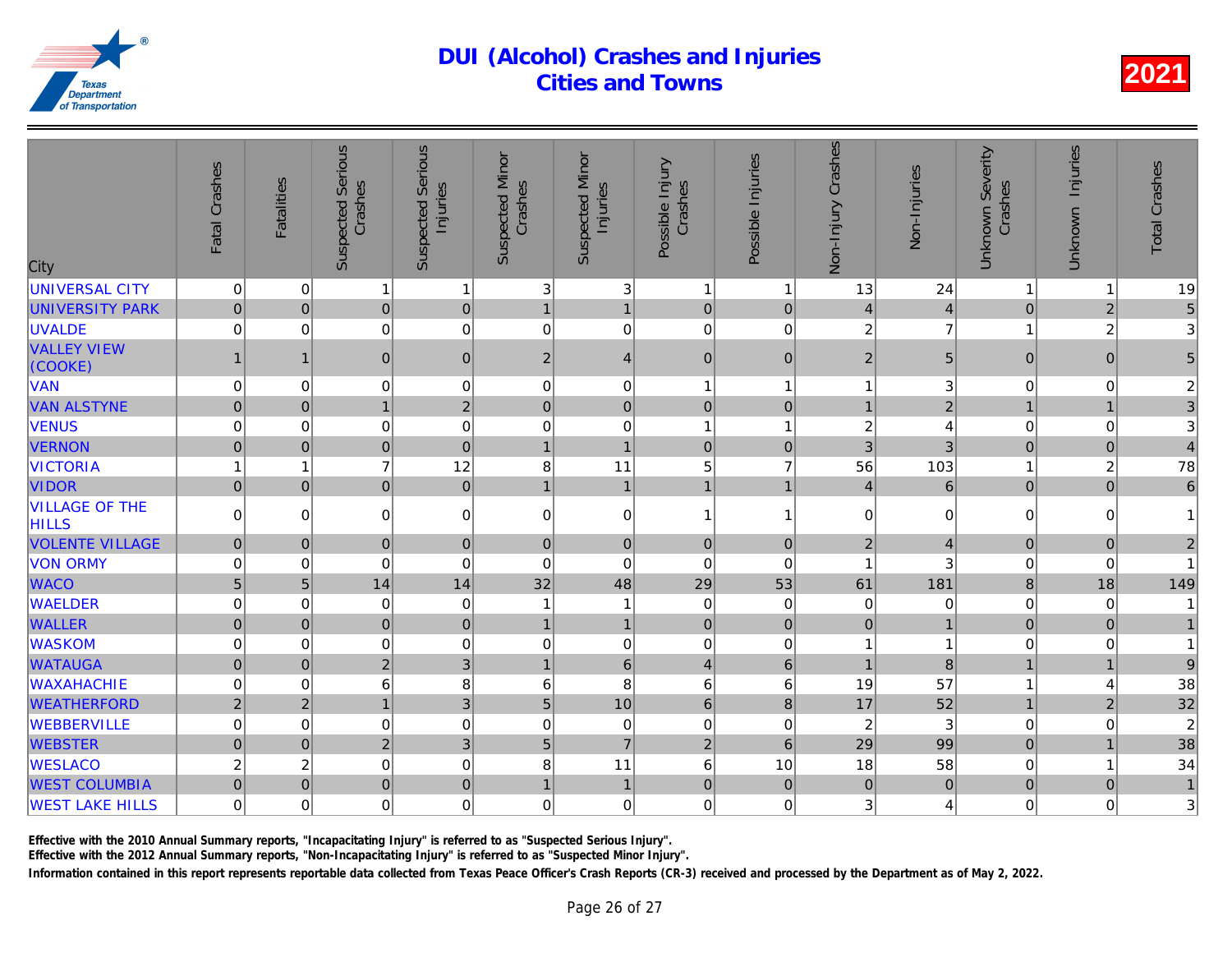| City                                  | Fatal Crashes  | <b>Fatalities</b> | <b>Suspected Serious</b><br>Crashes | <b>Suspected Serious</b><br>Injuries | <b>Suspected Minor</b><br>Crashes | <b>Suspected Minor</b><br>Injuries | Possible Injury<br>Crashes | Possible Injuries | Crashes<br>Non-Injury | Non-Injuries            |
|---------------------------------------|----------------|-------------------|-------------------------------------|--------------------------------------|-----------------------------------|------------------------------------|----------------------------|-------------------|-----------------------|-------------------------|
| <b>UNIVERSAL CITY</b>                 | 0              | $\overline{0}$    | 1                                   | $\mathbf{1}$                         | 3                                 | 3                                  | -1                         | 1                 | 13                    | 24                      |
| <b>UNIVERSITY PARK</b>                | $\pmb{0}$      | 0                 | $\overline{0}$                      | $\mathbf 0$                          | $\mathbf{1}$                      | $\mathbf{1}$                       | $\mathbf 0$                | $\pmb{0}$         | $\overline{4}$        | $\overline{\mathbf{r}}$ |
| <b>UVALDE</b>                         | 0              | $\overline{0}$    | 0                                   | $\mathbf 0$                          | $\pmb{0}$                         | 0                                  | $\boldsymbol{0}$           | 0                 | $\overline{c}$        | 7                       |
| <b>VALLEY VIEW</b><br>(COOKE)         | 1              | $\mathbf{1}$      | 0                                   | $\pmb{0}$                            | $\boldsymbol{2}$                  | 4                                  | $\boldsymbol{0}$           | $\mathbf{0}$      | $\overline{2}$        | 5                       |
| <b>VAN</b>                            | 0              | $\overline{0}$    | 0                                   | $\mathbf 0$                          | 0                                 | 0                                  | $\overline{1}$             | 1                 | 1                     |                         |
| <b>VAN ALSTYNE</b>                    | $\overline{0}$ | $\Omega$          | $\mathbf{1}$                        | $\overline{2}$                       | $\mathbf{0}$                      | $\overline{0}$                     | $\overline{0}$             | $\mathbf{0}$      | $\mathbf{1}$          | $\overline{2}$          |
| <b>VENUS</b>                          | 0              | $\Omega$          | 0                                   | $\mathbf 0$                          | $\mathbf 0$                       | 0                                  | $\overline{1}$             | 1                 | $\overline{c}$        |                         |
| <b>VERNON</b>                         | $\overline{0}$ | 0                 | $\overline{0}$                      | $\mathbf 0$                          | $\mathbf{1}$                      | $\overline{1}$                     | $\overline{0}$             | $\mathbf 0$       | 3                     | 3                       |
| <b>VICTORIA</b>                       | 1              | 1                 | $\overline{7}$                      | 12                                   | 8                                 | 11                                 | 5                          | $\overline{7}$    | 56                    | 103                     |
| <b>VIDOR</b>                          | $\mathbf 0$    | $\overline{0}$    | $\overline{0}$                      | $\mathbf 0$                          | $\mathbf{1}$                      | 1                                  | $\overline{1}$             | $\overline{1}$    | $\overline{4}$        | $\overline{6}$          |
| <b>VILLAGE OF THE</b><br><b>HILLS</b> | 0              | $\overline{0}$    | 0                                   | $\mathbf 0$                          | $\mathbf 0$                       | 0                                  | $\overline{1}$             | 1                 | $\mathbf 0$           | $\Omega$                |
| <b>VOLENTE VILLAGE</b>                | $\pmb{0}$      | 0                 | $\mathbf 0$                         | $\boldsymbol{0}$                     | $\mathbf 0$                       | $\mathbf 0$                        | $\mathbf 0$                | $\mathbf 0$       | $\overline{c}$        | $\overline{4}$          |
| <b>VON ORMY</b>                       | 0              | $\Omega$          | 0                                   | $\mathbf 0$                          | $\mathbf 0$                       | 0                                  | $\overline{0}$             | 0                 | 1                     | 3                       |
| <b>WACO</b>                           | 5              | 5                 | 14                                  | 14                                   | 32                                | 48                                 | 29                         | 53                | 61                    | 181                     |
| <b>WAELDER</b>                        | 0              | $\Omega$          | 0                                   | $\mathbf 0$                          | 1                                 | $\mathbf{1}$                       | $\Omega$                   | $\Omega$          | $\mathbf 0$           |                         |
| <b>WALLER</b>                         | $\pmb{0}$      | $\overline{0}$    | $\mathbf 0$                         | $\bf 0$                              | $\overline{1}$                    | $\mathbf{1}$                       | $\mathbf 0$                | $\pmb{0}$         | $\mathsf 0$           |                         |
| <b>WASKOM</b>                         | 0              | 0                 | 0                                   | $\mathbf 0$                          | 0                                 | 0                                  | $\mathbf 0$                | 0                 | 1                     |                         |
| <b>WATAUGA</b>                        | $\mathbf 0$    | 0                 | $\overline{2}$                      | $\mathbf{3}$                         | $\mathbf{1}$                      | $6\phantom{a}$                     | $\overline{4}$             | $6\phantom{1}$    | $\overline{1}$        | $\overline{8}$          |
| <b>WAXAHACHIE</b>                     | 0              | $\mathbf 0$       | 6                                   | 8                                    | 6                                 | 8                                  | 6                          | 6                 | 19                    | 57                      |
| <b>WEATHERFORD</b>                    | $\overline{2}$ | $\overline{2}$    | $\mathbf{1}$                        | $\mathbf{3}$                         | $5\phantom{.}$                    | 10                                 | $6\phantom{1}$             | 8                 | 17                    | 52                      |
| <b>WEBBERVILLE</b>                    | $\mathsf 0$    | 0                 | 0                                   | $\mathbf 0$                          | $\mathbf 0$                       | 0                                  | $\mathbf 0$                | $\mathbf 0$       | 2                     | 3                       |
| <b>WEBSTER</b>                        | $\mathbf 0$    | 0                 | $\overline{2}$                      | $\overline{3}$                       | 5                                 | $\overline{7}$                     | $\overline{2}$             | $6\phantom{1}$    | 29                    | 99                      |
| <b>WESLACO</b>                        | $\overline{c}$ | $\overline{c}$    | 0                                   | $\mathbf 0$                          | 8                                 | 11                                 | $6\phantom{1}6$            | 10                | 18                    | 58                      |
| <b>WEST COLUMBIA</b>                  | $\mathbf 0$    | $\overline{0}$    | $\overline{0}$                      | $\mathbf 0$                          | $\mathbf{1}$                      | $\mathbf{1}$                       | $\mathbf 0$                | $\mathbf{0}$      | $\overline{0}$        | $\overline{0}$          |
| <b>WEST LAKE HILLS</b>                | 0              | $\overline{0}$    | 0                                   | $\mathbf 0$                          | $\mathbf 0$                       | 0                                  | $\mathbf 0$                | $\Omega$          | 3                     |                         |

Effective with the 2010 Annual Summary reports, "Incapacitating Injury" is referred to as "Suspected Serious Injury".

Effective with the 2012 Annual Summary reports, "Non-Incapacitating Injury" is referred to as "Suspected Minor Injury".